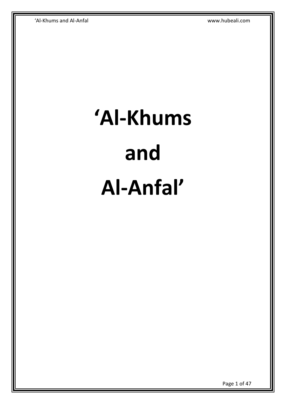# **'Al-Khums and Al-Anfal'**

Page 1 of 47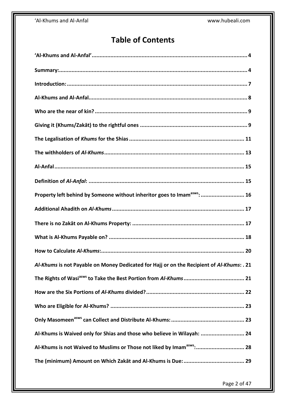# **Table of Contents**

| Property left behind by Someone without inheritor goes to Imam <sup>asws</sup> :  16      |
|-------------------------------------------------------------------------------------------|
|                                                                                           |
|                                                                                           |
|                                                                                           |
|                                                                                           |
| Al-Khums is not Payable on Money Dedicated for Hajj or on the Recipient of Al-Khums: . 21 |
|                                                                                           |
|                                                                                           |
|                                                                                           |
|                                                                                           |
| Al-Khums is Waived only for Shias and those who believe in Wilayah:  24                   |
|                                                                                           |
| Al-Khums is not Waived to Muslims or Those not liked by Imam <sup>asws</sup> : 28         |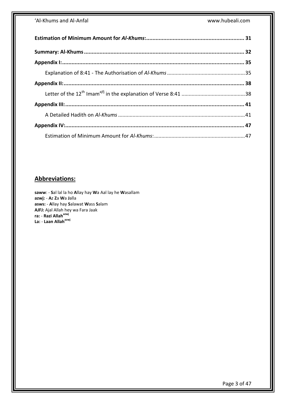#### **Abbreviations:**

**saww**: - **S**al lal la ho **A**llay hay **W**a Aal lay he **W**asallam **azwj:** - **A**z **Z**a **W**a **J**alla **asws:** - **A**llay hay **S**alawat **W**ass **S**alam **AJFJ:** Ajal Allah hey wa Fara Jaak **ra:** - **Razi Allahazwj La:** - **Laan Allahazwj**

Page 3 of 47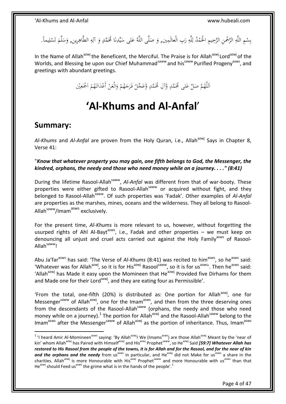بِسْمِ اللَّهِ الرَّحْمنِ الرَّحِيمِ الْحَمْدُ لِلَّهِ رَبِ الْعالَمِين, وَ صَلَّى اللَّهُ عَلى سَيِّدِنَا مُحَمَّدٍ وَ آلِهِ الطَّاهِرِين, وَسَلَّمَ تَسْلِيماً. ْ ب ِ ِ ا ل ا<br>ا .<br>. َ لَّ  $\ddot{\phantom{0}}$ </sub><br>د <u>ہ</u> ِ َ **ٍ** .<br>. ن ِ ي ليو.  $\ddot{\phantom{0}}$ ِ ا  $\ddot{\phantom{0}}$ َ ِ ْ ت

In the Name of Allah<sup>azwj</sup> the Beneficent, the Merciful. The Praise is for Allah<sup>azwj</sup> Lord<sup>azwj</sup> of the Worlds, and Blessing be upon our Chief Muhammad<sup>saww</sup> and his<sup>saww</sup> Purified Progeny<sup>asws</sup>, and greetings with abundant greetings.

> للَّهُمَّ صَلِّ عَلى مُحَمَّدٍ وَّآلِ مُحَمَّدٍ وَّعَجِّلْ فَرَجَهُمْ وَالْعَنْ أَعْدَائَهُمْ اَجْمَعِيْن ٍ<br>ٍ ا ْ  $\overline{\phantom{a}}$ ْ َ ْ َ َ <u>ا</u>  $\overline{a}$ **ٍ** ر<br>گ  $\frac{1}{2}$ ا

# **'Al-Khums and Al-Anfal**'

### <span id="page-3-1"></span><span id="page-3-0"></span>**Summary:**

*Al-Khums* and *Al-Anfal* are proven from the Holy Quran, i.e., Allah<sup>azwj</sup> Says in Chapter 8, Verse 41:

"*Know that whatever property you may gain, one fifth belongs to God, the Messenger, the kindred, orphans, the needy and those who need money while on a journey. . . ." (8:41)*

During the lifetime Rasool-Allah<sup>saww</sup>, Al-Anfal was different from that of war-booty. These properties were either gifted to Rasool-Allah<sup>saww</sup> or acquired without fight, and they belonged to Rasool-Allah<sup>saww</sup>. Of such properties was 'Fadak'. Other examples of Al-Anfal are properties as the marshes, mines, oceans and the wilderness. They all belong to Rasool-Allah<sup>saww</sup>/Imam<sup>asws</sup> exclusively.

For the present time, *Al-Khums* is more relevant to us, however, without forgetting the usurped rights of Ahl Al-Bayt<sup>asws</sup>, i.e., Fadak and other properties – we must keep on denouncing all unjust and cruel acts carried out against the Holy Family<sup>asws</sup> of Rasool-Allah<sup>saww</sup>!

Abu Ja'far<sup>asws</sup> has said: 'The Verse of Al-Khums (8:41) was recited to him<sup>asws</sup>, so he<sup>asws</sup> said: 'Whatever was for Allah<sup>azwj</sup>, so it is for His<sup>azwj</sup> Rasool<sup>saww</sup>, so it is for us<sup>asws</sup>'. Then he<sup>asws</sup> said: 'Allah<sup>azwj</sup> has Made it easy upon the Momineen that He<sup>azwj</sup> Provided five Dirhams for them and Made one for their Lord<sup>azwj</sup>, and they are eating four as Permissible'.

'From the total, one-fifth (20%) is distributed as: One portion for Allah $^{azwj}$ , one for Messenger<sup>saww</sup> of Allah<sup>azwj</sup>, one for the Imam<sup>asws</sup>, and then from the three deserving ones from the descendants of the Rasool-Allah<sup>saww</sup> (orphans, the needy and those who need money while on a journey).<sup>1</sup> The portion for Allah<sup>azwj</sup> and the Rasool-Allah<sup>saww</sup> belong to the Imam<sup>asws</sup> after the Messenger<sup>saww</sup> of Allah<sup>azwj</sup> as the portion of inheritance. Thus, Imam<sup>asws</sup>

Theard Amir Al-Momineen<sup>asws</sup> saying: 'By Allah<sup>azwj</sup>! We (Imams<sup>asws</sup>) are those Allah<sup>azwj</sup> Meant by the 'near of kin' whom Allah<sup>azwj</sup> has Paired with Himself<sup>azwj</sup> and His<sup>azwj</sup> Prophet<sup>saww</sup>, so He<sup>azwj</sup> Said *[59:7] Whatever Allah has restored to His Rasool from the people of the towns, it is for Allah and for the Rasool, and for the near of kin*  and the orphans and the needy from us<sup>asws</sup> in particular, and He<sup>azwj</sup> did not Make for us<sup>asws</sup> a share in the charities. Allah<sup>azwj</sup> is more Honourable with His<sup>azwj</sup> Prophet<sup>saww</sup> and more Honourable with us<sup>asws</sup> than that He<sup>azwj</sup> should Feed us<sup>asws</sup> the grime what is in the hands of the people'.<sup>1</sup>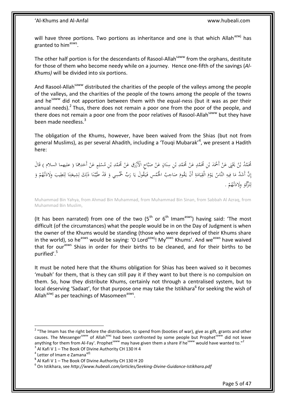will have three portions. Two portions as inheritance and one is that which Allah<sup>azwj</sup> has granted to him<sup>asws</sup>.

The other half portion is for the descendants of Rasool-Allah<sup>saww</sup> from the orphans, destitute for those of them who become needy while on a journey. Hence one-fifth of the savings (*Al-Khums)* will be divided into six portions.

And Rasool-Allah<sup>saww</sup> distributed the charities of the people of the valleys among the people of the valleys, and the charities of the people of the towns among the people of the towns and he<sup>saww</sup> did not apportion between them with the equal-ness (but it was as per their annual needs). $<sup>2</sup>$  Thus, there does not remain a poor one from the poor of the people, and</sup> there does not remain a poor one from the poor relatives of Rasool-Allah<sup>saww</sup> but they have been made needless. $3$ 

The obligation of the Khums, however, have been waived from the Shias (but not from general Muslims), as per several Ahadith, including a 'Touqi Mubarak'<sup>4</sup>, we present a Hadith here:

ْ مُحَمَّدُ بْنُ يَحْيَى عَنْ أَحْمَدَ بْنِ مُحَمَّدٍ عَنْ مُحَمَّدِ بْنِ سِنَانٍ عَنْ صَبَّاحٍ الْأَزْرَقِ عَنْ مُحَمَّدِ بْنِ مُسْلِمٍ عَنْ أَحَدِهِمَا ( عليهما السلام ) قَالَ<br>. **ٍ** ْ ب **ـ** ْ َ ب َ اب<br>ا ֧<br>ֲ ِ َ .<br>.<br>. ِ **ٔ** ْ ب ِ .<br>.<br>. َ ب  $\overline{\phantom{a}}$ .<br>. ن ْ ب ِ نَّ أَشَدَّ مَا فِيهِ النَّاسُ يَوْمَ الْقِيَامَةِ أَنْ يَقُومَ صَاحِبُ الْحُمُسِ فَيَقُولَ يَا رَبِّ خُمُسِي وَ قَدْ طَيَّبْنَا ذَلِكَ لِشِيعَتِنَا لِتَطِيبَ وِلَادَتْهُمْ وَ َ َ پا<br>ً ا<br>ا َ  $\overline{\phantom{a}}$ .<br>ا  $\ddot{\epsilon}$ ا<br>ا **ٔ** ي ِ َ **ٔ** .<br>ا ِ ٍ<br>ئ ا<br>ا ِ إ ِ .<br>. ن .<br>. ْ َ ت ؚ<br>ۣ  $\ddot{\phantom{0}}$ ن ِ ت .<br>أ ِ نَزُكُوَ وِلَادَتُهُمْ . <sup>(</sup> َ ٔ<br>ا ا ل

Muhammad Bin Yahya, from Ahmad Bin Muhammad, from Muhammad Bin Sinan, from Sabbah Al Azraq, from Muhammad Bin Muslim,

(It has been narrated) from one of the two  $5<sup>th</sup>$  or  $6<sup>th</sup>$  Imam<sup>asws</sup>) having said: 'The most difficult (of the circumstances) what the people would be in on the Day of Judgment is when the owner of the Khums would be standing (those who were deprived of their Khums share in the world), so he<sup>asws</sup> would be saying: 'O Lord<sup>azwj</sup>! My<sup>asws</sup> Khums'. And we<sup>asws</sup> have waived that for our<sup>asws</sup> Shias in order for their births to be cleaned, and for their births to be purified'.<sup>5</sup>

It must be noted here that the Khums obligation for Shias has been waived so it becomes 'mubah' for them, that is they can still pay it if they want to but there is no compulsion on them. So, how they distribute Khums, certainly not through a centralised system, but to local deserving 'Sadaat', for that purpose one may take the Istikhara<sup>6</sup> for seeking the wish of Allah<sup>azwj</sup> as per teachings of Masomeen<sup>asws</sup>.

**THE 1888 1888**<br>The Imam has the right before the distribution, to spend from (booties of war), give as gift, grants and other causes. The Messengersaww of Allahazwj had been confronted by some people but Prophetsaww did not leave anything for them from Al-Fay'. Prophet<sup>saww</sup> may have given them a share if he<sup>saww</sup> would have wanted to."<sup>2</sup>

 $3$  Al Kafi V 1 – The Book Of Divine Authority CH 130 H 4

<sup>&</sup>lt;sup>4</sup> Letter of Imam e Zamana<sup>ajfj</sup>

**<sup>5</sup>** Al Kafi V 1 – The Book Of Divine Authority CH 130 H 20

<sup>6</sup> On Istikhara, see *http://www.hubeali.com/articles/Seeking-Divine-Guidance-Istikhara.pdf*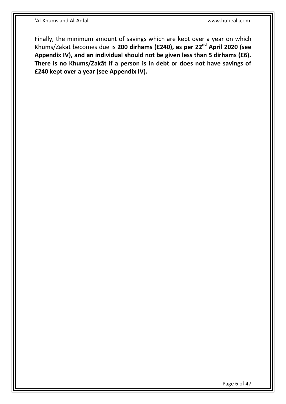Finally, the minimum amount of savings which are kept over a year on which Khums/Zakāt becomes due is **200 dirhams (£240), as per 22nd April 2020 (see Appendix IV), and an individual should not be given less than 5 dirhams (£6). There is no Khums/Zakāt if a person is in debt or does not have savings of £240 kept over a year (see Appendix IV).**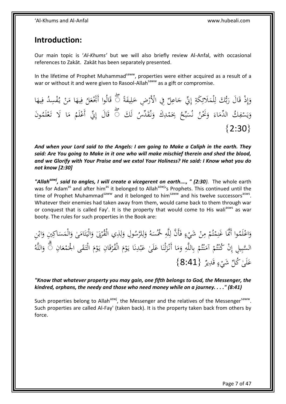#### <span id="page-6-0"></span>**Introduction:**

Our main topic is '*Al-Khums'* but we will also briefly review Al-Anfal, with occasional references to Zakāt. Zakāt has been separately presented.

In the lifetime of Prophet Muhammad<sup>saww</sup>, properties were either acquired as a result of a war or without it and were given to Rasool-Allah<sup>saww</sup> as a gift or compromise.

**ئ**ة<br>م وَإِذْ قَالَ رَبُّكَ لِلْمَلَائِكَةِ إِنِّي جَاعِلٌ فِي الْأَرْضِ خَلِيفَةً ۞ قَالُوا أَبَّحْعَلُ فِيهَا مَنْ يُفْسِدُ فِيهَا<br>م ِ َ .<br>.<br>. َ ٍٍٍٍٍٍٍٍٍٍٍٍٍٍٍٍٍٍٍٍٍٍٍ إ <u>ہ</u> ِ<br>ئ  $\overline{\phantom{a}}$ ِ<br>ل بر<br>ب َ <u>،</u> ِ إ ُر<br>د َ ِ  $\ddot{\phantom{0}}$ َ َ ِ<br>ف قَالُوا أَبْخُعَلُ<br>م ة<br>أ وَيَسْفِكُ الدِّمَاءَ وَنَحْنُ نُسَبِّحُ بِحَمْدِكَ وَنُقَدِّسُ لَكَ ۞ قَالَ إِنِّي أَعْلَمُ مَا لَا تَعْلَمُونَ **م** <u>ٔ</u> بر  $\overline{a}$ بر<br>ن ٍ<br>ر  $\overline{\phantom{a}}$ ا<br>ا ِ ْ ي َ لَ نم<br>عم َ ْ  $\overline{a}$ **ٔ** ِ َ  ${2:}30$ }

*And when your Lord said to the Angels: I am going to Make a Caliph in the earth. They said: Are You going to Make in it one who will make mischief therein and shed the blood, and we Glorify with Your Praise and we extol Your Holiness? He said: I Know what you do not know [2:30]*

*"Allahazwj, said to angles, I will create a vicegerent on earth…., " (2:30).* The whole earth was for Adam<sup>as</sup> and after him<sup>as</sup> it belonged to Allah<sup>azwj</sup>'s Prophets. This continued until the time of Prophet Muhammad<sup>saww</sup> and it belonged to him<sup>saww</sup> and his twelve successors<sup>asws</sup>. Whatever their enemies had taken away from them, would came back to them through war or conquest that is called Fay'. It is the property that would come to His waliasws as war booty. The rules for such properties in the Book are:

 $\sim$ وَاعْلَمُوا أَنَّمَا غَنِمْتُمْ مِنْ شَيْءٍ فَأَنَّ لِلَّهِ خُمُسَهُ وَلِلرَّسُولِ وَلِذِي الْقُرْبَىٰ وَالْيَتَامَىٰ وَالْمَسَاكِينِ وَابْنِ<br>أ َ .<br>. ت یا<br>: َ ِ ل َ ِ ل َ  $\overline{a}$  $\overline{a}$ ڵ ِ<br>ء ِ<br>پر ِ ْ و<br>ته ا<br>ا .<br>. ر<br>د ِ<br>ر بہ<br>. َ  $\ddot{\phantom{0}}$  $\overline{\phantom{a}}$ السَّبِيلِ إِنْ كُنْتُمْ آمَنْتُمْ بِاللَّهِ وَمَا أَنْزَلْنَا عَلَىٰ عَبْدِنَا يَوْمَ الْفُرْقَانِ يَوْمَ الْتَقَى الْحَمْعَانِ ݣَا ْ و<br>ته <u>:</u> ا<br>پو ِ<br>با **و م** <u>ً</u> .<br>ا م **ٔ** یہ<br>: ق<br>أ ر<br>ز م **ٔ** یہ<br>: .<br>.<br>. ن **ٔ** ب ر<br>د ر<br>د .<br>. زا<br>.  $\overline{\phantom{a}}$ َ ِ ِ ب ْ و<br>ته ن ُ ه َّ الل و َ عَلَىٰ كُلِّ شَيْءٍ قَدِيرٌ  $\{8:41\}$  $\zeta$ ْ ر<br>د

*"Know that whatever property you may gain, one fifth belongs to God, the Messenger, the kindred, orphans, the needy and those who need money while on a journey. . . ." (8:41)*

Such properties belong to Allah<sup>azwj</sup>, the Messenger and the relatives of the Messenger<sup>saww</sup>. Such properties are called Al-Fay' (taken back). It is the property taken back from others by force.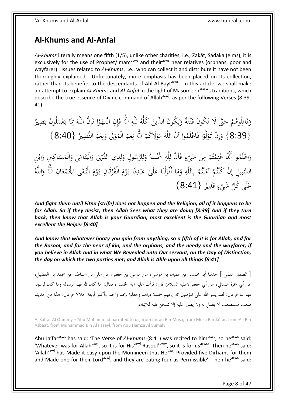ْ

### <span id="page-7-0"></span>**Al-Khums and Al-Anfal**

*Al-Khums* literally means one fifth (1/5), unlike other charities, i.e., Zakāt, Sadaka (elms), it is exclusively for the use of Prophet/Imam<sup>asws</sup> and their<sup>asws</sup> near relatives (orphans, poor and wayfarer). Issues related to *Al-Khums*, i.e., who can collect it and distribute it have not been thoroughly explained. Unfortunately, more emphasis has been placed on its collection, rather than its benefits to the descendants of Ahl Al Bayt<sup>asws</sup>. In this article, we shall make an attempt to explain *Al-Khums* and *Al-Anfal* in the light of Masomeen<sup>asws</sup>'s traditions, which describe the true essence of Divine command of Allah<sup>azwj</sup>, as per the following Verses (8:39-41):

ِ وَقَاتِلُوهُمْ حَيَّىٰ لَا تَكُونَ فِتْنَةٌ وَيَكُونَ الدِّينُ كُلُّهُ لِلَّهِ ۞ فَإِنِ انْتَهَوْا فَإِنَّ اللَّهَ بِمَا يَعْمَلُونَ بَصِيرٌ ا ل يا<br>. ي َ  $\ddot{\phantom{0}}$ ن **ٔ** ِ َ ِ <u>،</u> َ با<br>.  $\ddot{\phantom{0}}$ يہ<br>. ُ<br>ا ِ ام<br>ا ِ ن<br>أ **ٔ** َ .<br>ن ة<br>م {8:39} وَإِنْ تَوَلَّوْا فَاعْلَمُوا أَنَّ اللَّهَ مَوْلَاكُمْ ۞ نِعْمَ الْمَوْلَىٰ وَنِعْمَ النَّصِيرُ {8:40} ْ **ٔ**  $\overline{\phantom{a}}$  $\epsilon$ **ٔ** <u>،</u> <u>ٔ</u> ل و<br>ر ا<br>م إ َ ِ<br>نا ز َ ،<br>'  $\sim$ َ ر<br>د وَاعْلَمُوا أَنَّمَا غَنِمْتُمْ مِنْ شَيْءٍ فَأَنَّ لِلَّهِ خُمُسَهُ وَلِلرَّسُولِ وَلِذِي الْقُرْبَىٰ وَالْيَتَامَىٰ وَالْمَسَاكِينِ وَابْنِ<br>أَفْسَرَ الْمَسَاكِينِ َ  $\ddot{\phantom{0}}$ َ ند<br>ا ت یا<br>: َ ِ ل َ ِ ل َ  $\overline{a}$ **ہ** ِ<br>ل ِ<br>ء ِ<br>په ∕ ْ و<br>ته ا<br>ا ِ بہ<br>. َ <u>:</u> السَّبِيلِ إِنْ كُنْتُمْ آمَنْتُمْ بِاللَّهِ وَمَا أَنْزَلْنَا عَلَىٰ عَبْدِنَا يَوْمَ الْفُرْقَانِ يَوْمَ الْتَقَى الْحُمْعَانِ ۞ وَاللَّهُ .<br>. مُ <u>ٔ</u> یہ<br>ا قہ<br>أ ر<br>. مُ **ٔ** یہ<br>۔ .<br>.<br>. ن **ٔ** ه<br>بر ا<br>أ ا<br>أ  $\ddot{\phantom{0}}$ زا<br>ز  $\overline{\phantom{a}}$ َ ِ ِ<br>ب ب ْ و<br>ته .<br>. ن  $\overline{\phantom{a}}$ ْ و<br>ته :<br>. ا<br>ءِ ب<br>بہ **و م** َ عَلَىٰ كُلِّ شَيْءٍ قَدِيرٌ  $\{8.41\}$ **ء**ِ ر<br>د

*And fight them until Fitna (strife) does not happen and the Religion, all of it happens to be for Allah. So if they desist, then Allah Sees what they are doing [8:39] And if they turn back, then know that Allah is your Guardian; most excellent is the Guardian and most excellent the Helper [8:40]*

*And know that whatever booty you gain from anything, so a fifth of it is for Allah, and for the Rasool, and for the near of kin, and the orphans, and the needy and the wayfarer, if you believe in Allah and in what We Revealed unto Our servant, on the Day of Distinction, the day on which the two parties met; and Allah is Able upon all things [8:41]*

] ِالصفار ِالقمي ِ[ ِحدثنا ِأبو ُِممد، ِعن ِعمران ِبن ِموسى، ِعن ِموسى ِبن ِجعفر، ِعن ِعلي ِبن ِاسباط، ِعن ُِممد ِبن ِالفضيلِ، عن أي حمزةِ الثمالي، عن أي جعفر (عليه السلام) قال: قرأت عليه آية الحمس، فقال: ما كان لله فهو لرسوله وما كان لرسوله فهوِ لنا ثمِ قالِ: لقد يسرِ اللهِ علىِ المؤمنينِ انه رزقهمِ خمسةِ دراهمِ وجعلوا لربَحمِ واحدا وأكلوا أربعةِ حلالا ثم قال: هذا من حديثنا صعبِ مستصعبِ لا يعملِ بهِ وِلا يصبرِ عليهِ إِلا ممتحنِ قلبهِ للإيمان.

Al Saffar Al Qummy – Abu Muhammad narrated to us, from Imran Bin Musa, from Musa Bin Ja'far, from Ali Bin Asbaat, from Muhammad Bin Al Fazeyl, from Abu Hamza Al Sumaly,

Abu Ja'far<sup>asws</sup> has said: 'The Verse of Al-Khums (8:41) was recited to him<sup>asws</sup>, so he<sup>asws</sup> said: 'Whatever was for Allah<sup>azwj</sup>, so it is for His<sup>azwj</sup> Rasool<sup>saww</sup>, so it is for us<sup>asws</sup>'. Then he<sup>asws</sup> said: 'Allah<sup>azwj</sup> has Made it easy upon the Momineen that He<sup>azwj</sup> Provided five Dirhams for them and Made one for their Lord<sup>azwj</sup>, and they are eating four as Permissible'. Then he<sup>asws</sup> said: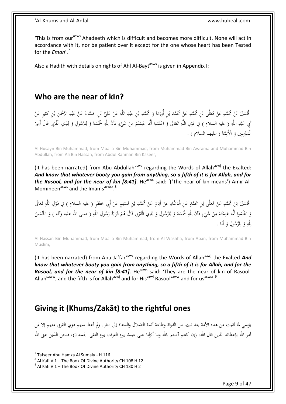'This is from our<sup>asws</sup> Ahadeeth which is difficult and becomes more difficult. None will act in accordance with it, nor be patient over it except for the one whose heart has been Tested for the *Eman*'.<sup>7</sup>

Also a Hadith with details on rights of Ahl Al-Bayt<sup>asws</sup> is given in Appendix I:

#### <span id="page-8-0"></span>**Who are the near of kin?**

ٔ. الْحُسَيْنُ بْنُ مُحَمَّدٍ عَنْ مُعَلَّى بْنِ مُحَمَّدٍ عَنْ مُحَمَّدِ بْنِ أُورَمَةَ وَ مُحَمَّدِ بْنِ عَبْدِ اللَّهِ عَنْ عَلِيِّ بْنِ حَسَّانَ عَنْ عَبْدِ الرَّحْمَنِ بْنِ كَثِيرٍ عَنْ<br>ِ َ ْ ب ِ َ .<br>.<br>. ً ِ ْ ب َ ْ ب ِ َ  $\overline{\phantom{a}}$ َ ا<br>ا ب ِ ْ .<br>∙ ْ َ ْ **∶** .<br>-<br>-ِ<br>ِمُ **ٔ** ِ **ٔ** ب َ ْ أَبِي عَبْدِ اللَّهِ ( عليه السلام ) فِي قَوْلِ اللَّهِ تَعَالَى وَ اعْلَمُوا أَمَّا غَنِمْتُمْ مِنْ شَيْءٍ فَأَنَّ لِلَّهِ خُمْسَهُ وَ لِلرَّسُولِ وَ لِذِي الْقُرْبى قَالَ أَمِيرُ<br>يَا يَسْمَعُ اللَّهِ ( عليه السلام ) فِي ر<br>د َ َ ِ <u>ٔ</u> ِ ِ .<br>. ب َ ْ ِ ْ ت ا<sup>م</sup> ب ِ. ن ِ َ ∫<br>∙ ِ ل َ ِ ل َ  $\ddot{\phantom{0}}$ ⊿ ِ َ .<br>ء الْمُؤْمِنِينَ وَ الْأَئِمَّةُ ( عليهم السلام ) .<br>. ِ َ ِ ن **∕** ْ

Al Husayn Bin Muhammad, from Moalla Bin Muhammad, from Muhammad Bin Awrama and Muhammad Bin Abdullah, from Ali Bin Hassan, from Abdul Rahman Bin Kaseer,

(It has been narrated) from Abu Abdullah<sup>asws</sup> regarding the Words of Allah<sup>azwj</sup> the Exalted: *And know that whatever booty you gain from anything, so a fifth of it is for Allah, and for the Rasool, and for the near of kin [8:41]*. He<sup>asws</sup> said: '('The near of kin means') Amir Al-Momineen<sup>asws</sup> and the Imams<sup>asws, 8</sup>

الْحُسَيْنُ بْنُ مُحَمَّدٍ عَنْ مُعَلَّى بْنِ مُحَمَّدٍ عَنِ الْوَشَّاءِ عَنْ أَبَانٍ عَنْ مُحَمَّدِ بْنِ مُسْلِمٍ عَنْ أَبِي جَعْفَوٍ ( عليه السلام ) فِي قَوْلِ اللَّهِ تَعَالَى<br>ِ .<br>-<br>-ِ **ٔ** ْ ب ∫<br>∙ .<br>-<br>-َ ْ ِ َ َ **ٍ** ْ َ ْ **ٍ** َ <u>ٔ</u> ْ َ ْ وَ اعْلَمُوا أَنَّمَا غَنِمْتُمْ مِنْ شَيْءٍ فَأَنَّ لِلَّهِ خُمْسَهُ وَ لِلرَّسُولِ وَ لِذِي الْقُرْبى قَالَ هُمْ قَرَابَةُ رَسُولِ اللَّهِ ( صلى الله عليه وآله ) وَ الْحُمُسُ<br>يَهِ ِ <sup>(</sup> ت ا<br>ا ِ ر<br>د و<br>ر Į ل َ  $\overline{a}$ ِ ڶ َ **ء**ِ َ ِ َ با َ ْ َ ِ ِ ل َ لَّهِ وَ لِلرَّسُولِ وَ لَنَا . :<br>. َ Į ل َ ِ ا ل

Al Hassan Bin Muhammad, from Moalla Bin Muhammad, from Al Washha, from Aban, from Muhammad Bin Muslim,

(It has been narrated) from Abu Ja'far<sup>asws</sup> regarding the Words of Allah<sup>azwj</sup> the Exalted *And know that whatever booty you gain from anything, so a fifth of it is for Allah, and for the Rasool, and for the near of kin [8:41]*. He<sup>asws</sup> said: 'They are the near of kin of Rasool-Allah<sup>saww</sup>, and the fifth is for Allah<sup>azwj</sup> and for His<sup>azwj</sup> Rasool<sup>saww</sup> and for us<sup>asws, 9</sup>

#### <span id="page-8-1"></span>**Giving it (Khums/Zakāt) to the rightful ones**

بؤسي ِلما لقيتِ من هذهِ الأمةِ بعدِ نبيهاِ من الفرقةِ وطاعةِ أئمةِ الضلالِ والدعاةِ إلى النارِ. ولم أعطِ سهمِ ذوي القربي منهمِ إلا لمن أمرِ الله بإعطائه الذين ِقال الله: (إن كنتم آمنتم بالله وما أنزلنا على عبدنا يوم الفرقان يوم التقى الجمعان)، فنحن الذين عني الله

<sup>7</sup> Tafseer Abu Hamza Al Sumaly - H 116

 $^8$  Al Kafi V 1 – The Book Of Divine Authority CH 108 H 12

 $^{9}$  Al Kafi V 1 – The Book Of Divine Authority CH 130 H 2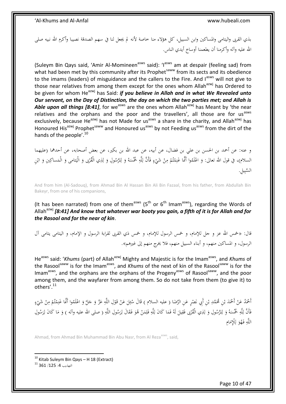بذي ِالقرَب ِواليتامى ِواملساكني ِوابن ِالسبيل، ِكل ِهؤَلء ِمنا ِخاصة ِْلنه ِمل ِجيعل ِلنا ِِف ِسهم ِالصدقة ِنصيبا ِوأكرم ِاهلل ِنبيه ِصلىِ اللهِ عليهِ وآلهِ وأكرمنا أن يطعمنا أوساخِ أيديِ الناسِ.

(Suleym Bin Qays said, 'Amir Al-Momineen<sup>asws</sup> said): 'I<sup>asws</sup> am at despair (feeling sad) from what had been met by this community after its Prophet<sup>saww</sup> from its sects and its obedience to the imams (leaders) of misguidance and the callers to the Fire. And l<sup>asws</sup> will not give to those near relatives from among them except for the ones whom Allah<sup>azwj</sup> has Ordered to be given for whom He<sup>azwj</sup> has Said: *if you believe in Allah and in what We Revealed unto Our servant, on the Day of Distinction, the day on which the two parties met; and Allah is*  Able upon all things [8:41], for we<sup>asws</sup> are the ones whom Allah<sup>azwj</sup> has Meant by 'the near relatives and the orphans and the poor and the travellers', all those are for us<sup>asws</sup> exclusively, because He<sup>azwj</sup> has not Made for us<sup>asws</sup> a share in the charity, and Allah<sup>azwj</sup> has Honoured His<sup>azwj</sup> Prophet<sup>saww</sup> and Honoured us<sup>asws</sup> by not Feeding us<sup>asws</sup> from the dirt of the hands of the people'.<sup>10</sup>

و عنه: عن أحمد بن الحسن بن علي بن فضال، عن أبيه، عن عبد الله بن بكير، عن بعض أصحابه، عن أحدهما (عليهما ْ السلام)، في قول الله تعالى: وَ اعْلَمُوا أَمَّا غَنِمْتُمْ مِنْ شَيْءٍ فَأَنَّ لِلَّهِ خُمْسَهُ وَ لِلرَّسُولِ وَ لِذِي الْقُرْبى وَ الْيَتامى وَ الْمَساكِينِ وَ ابْنِ ِ ْ ت ْ ِ ر<br>د َ ٍ<sup>م</sup> َ .<br>: َ ∫<br>∙ ِ ل َ ِ ل َ  $\ddot{\phantom{0}}$ ِ ِّلْ َ **ٔ** َ السَّبِيلِ. ِ

And from him (Al-Sadouq), from Ahmad Bin Al Hassan Bin Ali Bin Fazaal, from his father, from Abdullah Bin Bakeyr, from one of his companions,

(It has been narrated) from one of them<sup>asws</sup> (5<sup>th</sup> or 6<sup>th</sup> Imam<sup>asws</sup>), regarding the Words of Allah<sup>azwj</sup> [8:41] And know that whatever war booty you gain, a fifth of it is for Allah and for *the Rasool and for the near of kin*.

قال: «خمس الله عز وِ جل للإمام، وِ خمس الرسول للإمام، وِ خمس ذي القرى لقرابة الرسول وِ الإمام، وِ اليتامى يتامى آل الرسول، وِ المساكينِ منهم، وِ أبناءِ السبيلِ منهمِ، فلا يُخرجِ منهمِ إلى غيرهمِ».

He<sup>asws</sup> said: '*Khums* (part) of Allah<sup>azwj</sup> Mighty and Majestic is for the Imam<sup>asws</sup>, and *Khums* of the Rasool<sup>saww</sup> is for the Imam<sup>asws</sup>, and *Khums* of the next of kin of the Rasool<sup>saww</sup> is for the Imam<sup>asws</sup>, and the orphans are the orphans of the Progeny<sup>asws</sup> of Rasool<sup>saww</sup>, and the poor among them, and the wayfarer from among them. So do not take from them (to give it) to others'.<sup>11</sup>

أَحْمَدُ عَنْ أَحْمَدَ بْنِ مُحَمَّدِ بْنِ أَبِي نَصْرٍ عَنِ الرِّضَا ( عليه السلام ) قَالَ سُئِلَ عَنْ قَوْلِ اللَّهِ عَزَّ وَ جَلَّ وَ اعْلَمُوا أَنَّمَا غَنِمْتُمْ مِنْ شَيْءٍ َ ْ ب ِ ْ ب **ـ** ْ ْ ِ ْ ت ْ ِ **ٔ** َ َ َ ⊿<br>≀ ْ  $\overline{\phantom{0}}$ ِ ئ َ ٍ ا فَأَنَّ لِلَّهِ خُمْسَهُ وَ لِلرَّسُولِ وَ لِنِي الْقُرْبِى فَقِيلَ لَهُ فَمَا كَانَ لِلَّهِ فَلِمَنْ هُوَ فَقَالَ لِرَسُولِ اللَّهِ ( صلى الله عليه وآله ) وَ مَا كَانَ لِرَسُولِ<br>. َ ِ ِ<br>مُ َ ْ َ ِ ني<br>أ ِ ا َ  $\overline{\phantom{0}}$ .<br>د ِ ِ ل َ Į ل َ  $\ddot{\phantom{0}}$ ِ اً ٍ<br>ू ر<br>. ِ  $\overline{\phantom{a}}$ َ اللَّهِ فَهُوَ لِلْإِمَامِ ا<br>ا ٍ<br>یا ل ر<br>ر ِ

Ahmad, from Ahmad Bin Muhammad Bin Abu Nasr, from Al Reza<sup>asws</sup>, said,

-

Page 10 of 47

 $10$  Kitab Suleym Bin Qays - H 18 (Extract)

 $^{11}$ 361 /125 $:4$  التهذيب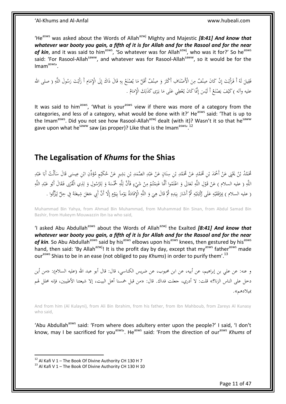'He<sup>asws</sup> was asked about the Words of Allah<sup>azwj</sup> Mighty and Majestic *[8:41] And know that whatever war booty you gain, a fifth of it is for Allah and for the Rasool and for the near*  of kin, and it was said to him<sup>asws</sup>, 'So whatever was for Allah<sup>azwj</sup>, who was it for?' So he<sup>asws</sup> said: 'For Rasool-Allah<sup>saww</sup>, and whatever was for Rasool-Allah<sup>saww</sup>, so it would be for the  $Imam<sup>asws</sup>$ .

َ فَقِيلَ لَهُ أَ فَرَأَيْتَ إِنْ كَانَ صِنْفٌ مِنَ الْأَصْنَافِ أَكْثَرَ وَ صِنْفٌ أَقَلَّ مَا يُصْنَعُ بِهِ قَالَ ذَاكَ إِلَى الْإِمَامِ أَ رَأَيْتَ رَسُولَ اللَّهِ ( صلى الله<br>. ِ  $\overline{\phantom{a}}$ ٍٍٍٍٍٍٍٍٍٍٍٍٍٍٍٍٍٍٍٍٍٍٍٍٍ َ ِ ِ<br>با ب  $\overline{\phantom{a}}$ َ ر<br>ا .<br>. ن **ٔ** َ ِ ِ َ ِ َ َ عليه وآله )كَيْفَ يَصْنَعُ أَ لَيْسَ إِنَّمَاكَانَ يُعْطِي عَلَى مَا يَرَى كَذَلِكَ الْإِمَامُ .<br>. ِ ب<br>: ا<br>ا َ إ  $\overline{\phantom{0}}$ ا<br>ا

It was said to him<sup>asws</sup>, 'What is your<sup>asws</sup> view if there was more of a category from the categories, and less of a category, what would be done with it?' He<sup>asws</sup> said: 'That is up to the Imam<sup>asws</sup>. Did you not see how Rasool-Allah<sup>azwj</sup> dealt (with it)? Wasn't it so that he<sup>saww</sup> gave upon what he<sup>saww</sup> saw (as proper)? Like that is the Imam<sup>asws, 12</sup>

#### <span id="page-10-0"></span>**The Legalisation of** *Khums* **for the Shias**

َ مُحَمَّدُ بْنُ يَحْيَى عَنْ أَحْمَدَ بْنِ مُحَمَّدٍ عَنْ مُحَمَّدِ بْنِ سِنَانٍ عَنْ عَبْدِ الصَّمَدِ بْنِ بَشِيرٍ عَنْ حُكَيْمٍ مُؤَذِّنِ ابْنِ عِيسَى قَالَ سَأَلْتُ أَبَا عَبْدِ<br>يَا مَنْ الْبَائِسِ مِنْ أَحْمَدَ بْنِ مُ **ٔ** ب ∫<br>∙  $\overline{a}$ ِ ْ ب َ ْ .<br>. ن **ٔ** ب ِ .<br>.<br>. **ٍ** ْ ب **ـ** .<br>.<br>. َ ب ∫<br>∙ ْ ب َ َ **ـ** َ  $\ddot{\phantom{0}}$ **ٔ** ة<br>ر ْ ْ اللَّهِ ( عليه السلام ) عَنْ قَوْلِ اللَّهِ تَعَالَى وَ اعْلَمُوا أَنَّمَا غَنِمْتُمْ مِنْ شَيْءٍ فَأَنَّ لِلَّهِ خُمْسَهُ وَ لِلرَّسُولِ وَ لِنِي الْقُرْبى فَقَالَ أَبُو عَبْدِ اللَّهِ **∕** ْ ت ا<br>ا ∫. ر<br>أ َ َ ِ <u>ٔ</u> ْ ِ ِ ِ ْ ب **ء** .<br>م ِ ِ ل َ ِ ل َ  $\ddot{\phantom{0}}$ ِ ِّل َ **ٍ** رْ عليه السلام ) بِمِرْفَقَيْهِ عَلَى زَكْبَتَيْهِ ثُمَّ أَشَارَ بِيَدِهِ ثُمَّ قَالَ هِيَ وَ اللَّهِ الْإِفَادَةُ يَوْماً بِيَوْمٍ إِلَّا أَنَّ أَبِي جَعَلَ شِيعَتَهُ فِي حِلٍّ لِيَزْكُوا . إ **ٍ** ْ ا:<br>ا ي ِ ْ ب<br>: ا<br>ا َ ِ َ  $\ddot{\cdot}$ ِ َ ِ ِ ا<br>ا ي ِ ب َ ِ **ٔ** ي <u>بَائِ</u> ت َ َ ِ ْ ي .<br>أم ْ ้ ي ِ ل <u>َ</u> ت **ٔ**  $\overline{\phantom{0}}$ َ

Muhammad Bin Yahya, from Ahmad Bin Muhammad, from Muhammad Bin Sinan, from Abdul Samad Bin Bashir, from Hukeym Mouwazzin Ibn Isa who said,

'I asked Abu Abdullah<sup>asws</sup> about the Words of Allah<sup>azwj</sup> the Exalted *[8:41] And know that whatever war booty you gain, a fifth of it is for Allah and for the Rasool and for the near*  of kin. So Abu Abdullah<sup>asws</sup> said by his<sup>asws</sup> elbows upon his<sup>asws</sup> knees, then gestured by his<sup>asws</sup> hand, then said: 'By Allah<sup>azwj</sup>! It is the profit day by day, except that my<sup>asws</sup> father<sup>asws</sup> made our<sup>asws</sup> Shias to be in an ease (not obliged to pay *Khums*) in order to purify them'.<sup>13</sup>

و ِعنه: ِعن ِعلي ِبن ِإبراهيم، ِعن ِأبيه، ِعن ِابن ُِمبوب، ِعن ِضريس ِالكناسي، ِقال: ِقال ِأبو ِعبد ِاهلل ِ)عليه ِالسالم(: ِ»من ِأينِ دخل على الناس الزنا؟» قلت: لا أدري، جعلت فداك. قال: «من قبل خمسنا أهل البيت، إلا شيعتنا الأطيبن، فإنه محلل لهم بميلادهم».

And from him (Al Kulayni), from Ali Bin Ibrahim, from his father, from Ibn Mahboub, from Zareys Al Kunasy who said,

'Abu Abdullah<sup>asws</sup> said: 'From where does adultery enter upon the people?' I said, 'I don't know, may I be sacrificed for you<sup>asws</sup>'. He<sup>asws</sup> said: 'From the direction of our<sup>asws</sup> Khums of

-

 $12$  Al Kafi V 1 – The Book Of Divine Authority CH 130 H 7

 $13$  Al Kafi V 1 – The Book Of Divine Authority CH 130 H 10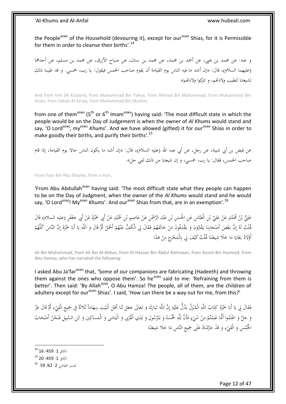the People<sup>asws</sup> of the Household (devouring it), except for our<sup>asws</sup> Shias, for it is Permissible for them in order to cleanse their births'.<sup>14</sup>

و ِعنه: ِعن ُِممد ِبن َِيَي، ِعن ِأْحد ِبن ُِممد، ِعن ُِممد ِبن ِسنان، ِعن ِصباح ِاْلزرق، ِعن ُِممد ِبن ِمسلم، ِعن ِأحدِهاِ (عليهما السلام)، قال: «إن أشد ما فيه الناس يوم القيامة أن يقوم صاحب الحمس فيقول: يا رب، خمسي. و قد طيبنا ذلك لشيعتناِ لتطيبِ وِلادتهمِ، وِ لتزكوا ولادتهم».

And from him (Al Kulayni), from Muhammad Bin Yahya, from Ahmad Bin Muhammad, from Muhammad Bin Sinan, from Sabah Al Azraq, from Muhammad Bin Muslim,

from one of them<sup>asws</sup> (5<sup>th</sup> or 6<sup>th</sup> Imam<sup>asws</sup>) having said: 'The most difficult state in which the people would be on the Day of Judgement is when the owner of *Al Khums* would stand and say, 'O Lord<sup>azwj</sup>, my<sup>asws</sup> Khums'. And we have allowed (gifted) it for our<sup>asws</sup> Shias in order to make goodly their births, and purify their births'.<sup>15</sup>

عن فيض بن أبي شيبة، عن رجل، عن أبي عبدِ الله (عليه السلام)، قال: «إن أشد ما يكون الناس حالا يوم القيامة، إذا قام صاحبِ الخمسِ، فقالِ: يا رِبِ، خمسِي، وِ إن شيعتنا من ذلكِ لفي حلِ».

From Fayz Bin Abu Shayba, from a man,

'From Abu Abdullah<sup>asws</sup> having said: 'The most difficult state what they people can happen to be on the Day of Judgment, when the owner of the *Al Khums* would stand and he would say, 'O Lord<sup>azwj</sup>! My<sup>asws</sup> Khums'. And our<sup>asws</sup> Shias from that, are in an exemption'.<sup>16</sup>

عَلِيُّ بْنُ مُحَمَّدٍ عَنْ عَلِيِّ بْنِ الْعَبَّاسِ عَنِ الْحَسَنِ بْنِ عَبْدِ الرَّحْمَنِ عَنْ عَاصِمٍ بْنِ حُمَيْدٍ عَنْ أَبِي حَمْزَةَ عَنْ أَبِي جَعْفَرٍ (عليه السلام) قَالَ ْ ب ِ ر<br>ا ْ **ٍ** ب ِ َ ْ َ ْ َ .<br>.<br>. **ٍ ٔ** ي **ٔ** َ ْ ِ ْ ب َ ْ  $\ddot{\phantom{0}}$ َ ب َ َ قُلْتُ لَهُ إِنَّ بَعْضَ أَصْحَابِنَا يَفْتَرُونَ وَ يَقْذِفُونَ مَنْ خَالَفَهُمْ فَقَالَ لِي الْكَفُّ عَنْهُمْ أَجْمَلُ ثُمَّ قَالَ وَ اللَّهِ يَا أَبَا حَمْزَةً إِنَّ النَّاسَ كُلَّهُمْ<br>ِ ْ ن َ نم<br>عم ْ َ  $\overline{\phantom{a}}$ ∫<br>∙ ُيا<br>: َ .<br>ا ن ِ َ ً ِ إ <u>َ</u> ِ إ  $\ddot{\epsilon}$ زا<br>ن با<br>ا با<br>ا ي ِ َ َ أَوْلَادُ بَغَايَا مَا خَلَا شِيعَتَنَا قُلْتُ كَيْفَ لِي بِالْمَخْرَجِ مِنْ هَذَا ۵<br>ا ْ **∕** َ ِ :<br>. ن : ت َ َ  $\overline{\phantom{a}}$ با<br>أ .<br>أ َ <u>ٔ</u>

Ali Bin Muhammad, from Ali Bin Al-Abbas, from Al-Hassan Bin Abdul Rahmaan, from Aasim Bin Humeyd, from Abu Hamza, who has narrated the following:

I asked Abu Ja'far<sup>asws</sup> that, 'Some of our companions are fabricating (Hadeeth) and throwing them against the ones who oppose them'. So he<sup>asws</sup> said to me: 'Refraining from them is better'. Then said: 'By Allah<sup>azwj</sup>, O Abu Hamza! The people, all of them, are the children of adultery except for our<sup>asws</sup> Shias'. I said, 'How can there be a way out for me, from this?'

فَقَالَ لِي يَا أَبَا حَمْزَةً كِتَابُ اللَّهِ الْمُنْزَلُ يَدُلُّ عَلَيْهِ إِنَّ اللَّهَ تَبَارَكَ وَ تَعَالَى جَعَلَ لَنَا أَهْلَ الْبَيْتِ سِهَاماً ثَلاثَةً فِي جَمِيعِ الْفَيْءِ ثُمَّ قَالَ عَزَّ<br>وَيَقَالُ لِي يَا أَبَ .<br>. َ َ َ َ َ **:** ب ؘ<br>ن َ ِ إ ِ ْ َ ِيا<br>ِ ُنا<br>نا ن ِ <u>:</u> ت زا<br>. با َ .<br>م <u>:</u>  $\epsilon$ **ٔ** ي ∶'  $\overline{\phantom{0}}$ َ َ ِ ْ وَ حَلَّ وَ اعْلَمُوا أَمَّا غَنِمْتُمْ مِنْ شَيْءٍ فَأَنَّ لِلَّهِ خُمُسَهُ وَ لِلرَّسُولِ وَ لِذِي الْقُرْبى وَ الْيَسامى وَ الْمَساكِينِ وَ ابْنِ السَّبِيلِ فَنَحْنُ أَصْحَابُ **∕** <sup>t</sup> ت ا<br>ا .<br>ب ر<br>د َ َ ؚ<br>پر َ ن َ ِ **ٔ** َ َ .<br>: َ ِ ِ ل َ ِ ل َ  $\ddot{\phantom{0}}$ ِ ِّلْ َ ْ الْحُمُسِ وَ الْفَيْءِ وَ قَدْ حَرَّمْنَاهُ عَلَى جَمِيعِ النَّاسِ مَا خَلَا شِيعَتَنَا َ .<br>. ن : ت َ َ ا<br>ا َ :<br>. ن ا<br>ا َ َ ِ

 $^{14}$  16 /459 $\,$  1 $\,$  16  $\,$ 

-

 $^{15}$  20 /459 $:1$ الكاني 1

تفسير العيّاشي 2: 52/ 59. <sup>16</sup>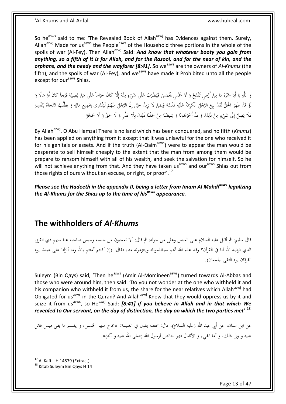So he<sup>asws</sup> said to me: 'The Revealed Book of Allah<sup>azwj</sup> has Evidences against them. Surely, Allah<sup>azwj</sup> Made for us<sup>asws</sup> the People<sup>asws</sup> of the Household three portions in the whole of the spoils of war (Al-Fey). Then Allah<sup>azwj</sup> Said: **And know that whatever booty you gain from** *anything, so a fifth of it is for Allah, and for the Rasool, and for the near of kin, and the orphans, and the needy and the wayfarer [8:41]*. So we<sup>asws</sup> are the owners of *Al-Khums* (the fifth), and the spoils of war (Al-Fey), and we<sup>asws</sup> have made it Prohibited unto all the people except for our<sup>asws</sup> Shias.

ْ وَ اللَّهِ يَا أَبَا حَمْزَةَ مَا مِنْ أَرْضٍ تُفْتَحُ وَ لَا خُمُسٍ يُخْمَسُ فَيُضْرَبُ عَلَى شَيْءٍ مِنْهُ إِلَّا كَانَ خَرَاماً عَلَى مَنْ يُصِيبُهُ فَرْجاً كَانَ أَوْ مَالًا وَ<br>مُسْتَقِيمَةً مَا مِنْ أَرْضٍ تُفْتَحُ و َ ي َ َ ت .<br>م ْ **∕** ا<br>ا َ َ َيا ي ِ َ َ  $\overline{\phantom{a}}$ <u>ٔ</u> و<br>يو .<br>.<br>.  $\overline{\phantom{a}}$ َ َ َ إ ن ِ .<br>ء ا لَوْ قَدْ ظَهَرَ الْحَقُّ لَقَدْ بِيعَ الرَّجُلُ الْكَرِيمَةُ عَلَيْهِ نَفْسُهُ فِيمَنْ لَا يَزِيدُ حَتَّى إِنَّ الرَّجُلَ مِنْهُمْ لَيَفْتَدِي بِجَمِيعِ مَالِهِ وَ يَطْلُبُ النَّجَاةَ لِنَفْسِهِ  $\zeta$ ِ َ َ  $\triangleleft$ **ٔ** با<br>∶ ي َ ⊿ ِ  $\overline{\phantom{a}}$ <u>ٔ</u> ِ ت .<br>م ان<br>ا ْ ن ِ  $\overline{\phantom{0}}$ ِ َ .<br>ا .<br>-<br>- $\overline{\phantom{a}}$ ِ **:** َ اً ِ .<br>ا ن ِ<br>ل ل ة<br>م َ ْ فَلَا يَصِلُ إِلَى شَيْءٍ مِنْ ذَلِكَ وَ قَدْ أَخْرَجُونَا وَ شِيعَتَنَا مِنْ حَقَّنَا ذَلِكَ بِلَا عُذْرٍ وَ لَا حَقٌّ وَ لَا حُجَّةٍ ِ إ َ َ ِ ِ .<br>. َ **∕** .<br>. ن <u>َ</u> ت َ َ نا<br>ا .<br>. **ٔ** َ ِ ْ **∕** .<br>ء  $\ddot{a}$ َ َ

By Allah<sup>azwj</sup>, O Abu Hamza! There is no land which has been conquered, and no fifth (*Khums*) has been applied on anything from it except that it was unlawful for the one who received it for his genitals or assets. And if the truth (Al-Qaim<sup>asws</sup>) were to appear the man would be desperate to sell himself cheaply to the extent that the man from among them would be prepare to ransom himself with all of his wealth, and seek the salvation for himself. So he will not achieve anything from that. And they have taken us<sup>asws</sup> and our<sup>asws</sup> Shias out from those rights of ours without an excuse, or right, or proof'.<sup>17</sup>

*Please see the Hadeeth in the appendix II, being a letter from Imam Al Mahdiasws legalizing the Al-Khums for the Shias up to the time of hisasws appearance.*

#### <span id="page-12-0"></span>**The withholders of** *Al-Khums*

قالِ سليمِ: ثُم أقبلِ عليهِ السلامِ علىِ العباسِ وعلىِ من حولهِ، ثم قال: أَلا تعجبونِ من حبسهِ وحبسِ صاحبِهِ عنا سهم ذي القرى الذي فرضه الله لنا في القرآن؟ وقد علم الله أنهم سيظلموناه وينتزعونه منا، فقال: (إن كنتم آمنتم بالله وما أُنزلنا على عبدنا يومِ الفرقانِ يومِ التقىِ الجمعان).

Suleym (Bin Qays) said, 'Then he<sup>asws</sup> (Amir Al-Momineen<sup>asws</sup>) turned towards Al-Abbas and those who were around him, then said: 'Do you not wonder at the one who withheld it and his companion who withheld it from us, the share for the near relatives which Allah<sup>azwj</sup> had Obligated for us<sup>asws</sup> in the Quran? And Allah<sup>azwj</sup> Knew that they would oppress us by it and seize it from us<sup>asws</sup>, so He<sup>azwj</sup> Said: [8:41] if you believe in Allah and in that which We *revealed to Our servant, on the day of distinction, the day on which the two parties met*'.<sup>18</sup>

عن ابنِ سنان، عن أبي عبدِ الله (عليه السلام)، قال: سمعته يقول في الغنيمة: «يخرج منها الخمس، و يقسم ما بقي فيمن قاتل عليهِ وِ ولِي ذلكِ، وِ أما الفيءِ وِ الأنفالِ فهو خالصِ لرسولِ اللهِ (صلىِ اللهِ عليهِ وِ آله)».

 $17$  Al Kafi – H 14879 (Extract)

-

<sup>18</sup> Kitab Suleym Bin Qays H 14

Page 13 of 47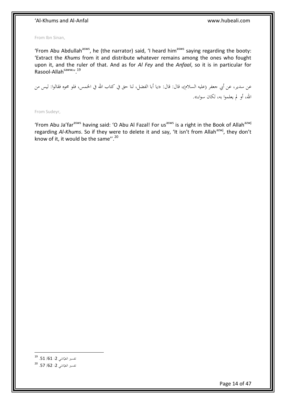From Ibn Sinan,

'From Abu Abdullah<sup>asws</sup>, he (the narrator) said, 'I heard him<sup>asws</sup> saying regarding the booty: 'Extract the *Khums* from it and distribute whatever remains among the ones who fought upon it, and the ruler of that. And as for *Al Fey* and the *Anfaal*, so it is in particular for Rasool-Allahsawwy.<sup>19</sup>

عنِ سديرِ، عنِ أبي جعفرِ (عليهِ السلام)، قال: قال: «يا أباِ الفضلِ، لنا حقِ فِي كتابِ اللهِ فِي الخمسِ، فلو محوهِ فقالوا: ليسِ من اللهِ، أوِ لم يعلموا بهِ، لكانِ سواءِ».

From Sudeyr,

'From Abu Ja'far<sup>asws</sup> having said: 'O Abu Al Fazal! For us<sup>asws</sup> is a right in the Book of Allah<sup>azwj</sup> regarding Al-Khums. So if they were to delete it and say, 'It isn't from Allah<sup>azwj</sup>, they don't know of it, it would be the same''.<sup>20</sup>

Page 14 of 47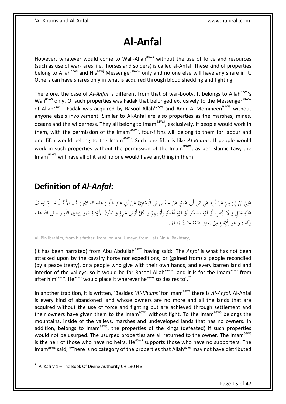# **Al-Anfal**

<span id="page-14-0"></span>However, whatever would come to Wali-Allah<sup>asws</sup> without the use of force and resources (such as use of war-fares, i.e., horses and solders) is called al-Anfal. These kind of properties belong to Allah<sup>azwj</sup> and His<sup>azwj</sup> Messenger<sup>saww</sup> only and no one else will have any share in it. Others can have shares only in what is acquired through blood shedding and fighting.

Therefore, the case of Al-Anfal is different from that of war-booty. It belongs to Allah<sup>azwj</sup>'s Wali<sup>asws</sup> only. Of such properties was Fadak that belonged exclusively to the Messenger<sup>saww</sup> of Allah<sup>azwj</sup>. Fadak was acquired by Rasool-Allah<sup>saww</sup> and Amir Al-Momineen<sup>asws</sup> without anyone else's involvement. Similar to Al-Anfal are also properties as the marshes, mines, oceans and the wilderness. They all belong to Imam<sup>asws</sup>, exclusively. If people would work in them, with the permission of the Imam<sup>asws</sup>, four-fifths will belong to them for labour and one fifth would belong to the Imam<sup>asws</sup>. Such one fifth is like *Al-Khums*. If people would work in such properties without the permission of the Imam<sup>asws</sup>, as per Islamic Law, the Imam<sup>asws</sup> will have all of it and no one would have anything in them.

# <span id="page-14-1"></span>**Definition of** *Al-Anfal***:**

عَلِيُّ بْنُ إِبْرَاهِيمَ عَنْ أَبِيهِ عَنِ ابْنِ أَبِي عُمَيْرٍ عَنْ حَفْصٍ بْنِ الْبَخْتَرِيِّ عَنْ أَبِي عَبْدِ اللَّهِ ( عليه السلام ) قَالَ الْأَنْفَالُ مَا لَمْ يُوجَفْ ِ ِ **ٔ** ب َ ْ ِ م<br>أ ْ .<br>م َ ْ **ै** ْ د<br>ا ِ ِ :<br>.<br>. ا ِ َ .<br>أ  $\frac{1}{2}$ إ ب ِ َ و<br>يو **أ**  $\overline{a}$ .<br>م َ عَلَيْهِ بِخَيْلٍ وَ لَا رَكِابٍ أَوْ قَوْمٌ صَالحُوا أَوْ قَوْمٌ أَعْطَوْا بِأَيْدِيهِمْ وَ كُلُّ أَرْضٍ خَرِبَةٍ وَ بُطُونُ الْأَوْدِيَةِ فَهُوَ لِرَسُولِ اللَّهِ ( صلى الله عليه ِ ْ ْ <u>ٔ</u>  $\overline{\phantom{a}}$ <u>ٔ</u> َ **:** ي ؚۣ<br>ٔ ِ **ٔ** َ ِ َ ِ ل َ  $\ddot{a}$ يا<br>. ي **∶** <u>ٔ</u> و<br>ب َ  $\ddot{a}$ با َ <u>ٔ</u> َ ْ ي ِ ْ ي وآله ) وَ هُوَ لِلْإِمَامِ مِنْ بَعْدِهِ يَضَعُهُ حَيْثُ يَشَاءُ .<br>\* ي َ ي  $\overline{c}$ ِ ْ َ ْ ِ َ ِ ل َ َ

Ali Bin Ibrahim, from his father, from Ibn Abu Umeyr, from Hafs Bin Al Bakhtary,

(It has been narrated) from Abu Abdullah<sup>asws</sup> having said: 'The *Anfal* is what has not been attacked upon by the cavalry horse nor expeditions, or (gained from) a people reconciled (by a peace treaty), or a people who give with their own hands, and every barren land and interior of the valleys, so it would be for Rasool-Allah<sup>saww</sup>, and it is for the Imam<sup>asws</sup> from after him<sup>saww</sup>. He<sup>asws</sup> would place it wherever he<sup>asws</sup> so desires to'.<sup>21</sup>

In another tradition, it is written, 'Besides 'Al-Khums' for Imam<sup>asws</sup> there is Al-Anfal. Al-Anfal is every kind of abandoned land whose owners are no more and all the lands that are acquired without the use of force and fighting but are achieved through settlement and their owners have given them to the Imam<sup>asws</sup> without fight. To the Imam<sup>asws</sup> belongs the mountains, inside of the valleys, marshes and undeveloped lands that has no owners. In addition, belongs to Imam<sup>asws</sup>, the properties of the kings (defeated) if such properties would not be usurped. The usurped properties are all returned to the owner. The Imam<sup>asws</sup> is the heir of those who have no heirs. He<sup>asws</sup> supports those who have no supporters. The Imam<sup>asws</sup> said, "There is no category of the properties that Allah<sup>azwj</sup> may not have distributed

<sup>1</sup> **<sup>21</sup>** Al Kafi V 1 – The Book Of Divine Authority CH 130 H 3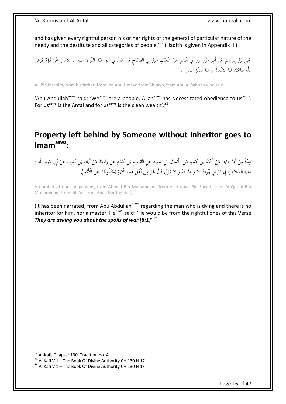and has given every rightful person his or her rights of the general of particular nature of the needy and the destitute and all categories of people.<sup>'22</sup> (Hadith is given in Appendix III)

َ عَلِيُّ بْنُ إِبْرَاهِيمَ عَنْ أَبِيهِ عَنِ ابْنِ أَبِي عُمَيْرٍ عَنْ شُعَيْبِ عَنْ أَبِي الصَّبَّاحِ قَالَ قَالَ لِي أَبُو عَبْدِ اللَّهِ ( عليه السلام ) نَحْنُ قَوْمٌ فَرَضَ<br>يَرْضُحُ الْجَمَعِينَ مِنْ أَبِيهِ عَنِ ابْنِ َ َ ْ **:** ي َ ْ َ ْ د<br>ا ِ ِ<br>پ ْ ا ِ َ .<br>أ إ ب ِ َ ْ ِ ِ ْ ب اللَّهُ طَاعَتَنَا لَنَا الْأَنْفَالُ وَ لَنَا صَفْوُ الْمَالِ .<br>. َ  $\overline{\phantom{a}}$ :<br>ا َ .<br>م :<br>ا ن ٔ<br>ا

Ali Bin Ibrahim, from his father, from Ibn Abu Umeyr, from Shuayb, from Abu Al Sabbah who said,

'Abu Abdullah<sup>asws</sup> said: 'We<sup>asws</sup> are a people, Allah<sup>azwj</sup> has Necessitated obedience to us<sup>asws</sup>. For us<sup>asws</sup> is the Anfal and for us<sup>asws</sup> is the clean wealth'.<sup>23</sup>

## <span id="page-15-0"></span>**Property left behind by Someone without inheritor goes to Imamasws :**

َ عِدَّةٌ مِنْ أَصْحَابِنَا عَنْ أَحْمَدَ بْنِ مُحَمَّدٍ عَنِ الْحُسَيْنِ بْنِ سَعِيدٍ عَنِ الْقَاسِمِ بْنِ مُحَمَّدٍ عَنْ رِفَاعَةَ عَنْ أَبَانِ بْنِ تَغْلِبَ عَنْ أَبِي عَبْدِ اللَّهِ (<br>. .<br>-<br>-**ٍ** ْ .<br>أ َ **ٍ** ِ  $\overline{a}$ ْ ب د<br>ا **ٍ** ْ ب **ـ** ْ .<br>. ن :<br>پا َ ْ ِ ِ ِ<br>ٍ ِ ْ ب َ ْ َ .<br>. **ٔ** ب با<br>ا .<br>-<br>-َ َ عليه السلام ) فِي الرَّجُلِ يَمُوتُ لَا وَارِثَ لَهُ وَ لَا مَوْلَى قَالَ هُوَ مِنْ أَهْلِ هَذِهِ الْآيَةِ يَسْئَلُونَكَ عَنِ الْأَنْفالِ . ْ  $\overline{\phantom{a}}$ َ َ َ َ **ٔ** ي ِ يا<br>ا ِ ِ **م** å<br>. .<br>-<br>-ِ و<br>د

A number of our companions, from Ahmad Bin Muhammad, from Al Husayn Bin Saeed, from Al Qasim Bin Muhammad, from Rifa'at, from Aban Bin Taghlub,

(It has been narrated) from Abu Abdullah<sup>asws</sup> regarding the man who is dying and there is no inheritor for him, nor a master. He<sup>asws</sup> said: 'He would be from the rightful ones of this Verse *They are asking you about the spoils of war [8:1]'*.<sup>24</sup>

<sup>&</sup>lt;sup>22</sup> Al-Kafi, Chapter 130, Tradition no. 4.

**<sup>23</sup>** Al Kafi V 1 – The Book Of Divine Authority CH 130 H 17

**<sup>24</sup>** Al Kafi V 1 – The Book Of Divine Authority CH 130 H 18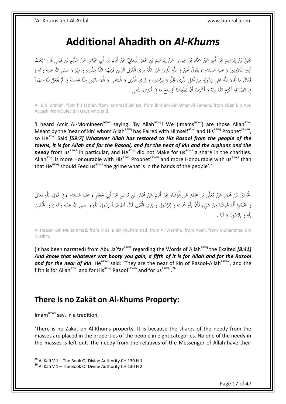# **Additional Ahadith on** *Al-Khums*

<span id="page-16-0"></span>ي ِ عَلِيُّ بْنُ إِبْرَاهِيمَ عَنْ أَبِيهِ عَنْ حَمَّادِ بْنِ عِيسَى عَنْ إِبْرَاهِيمَ بْنِ عُمَرَ الْيَمَانِيِّ عَنْ أَبَانِ بْنِ أَبِي عَيَّاشٍ عَنْ سُلَيْمِ بْنِ قَيْسٍ قَالَ سَمِعْتُ<br>-َ .<br>. إ ب ِ َ ي َ **ٔ** ب با<br>ا ْ **ै** ا:<br>ا ر<br>ا  $\overline{\phantom{a}}$ ْ ب ا ِ َ .<br>. ِ إ ْ  $\ddot{\phantom{0}}$ ْ ب **∶** ِ ِ<br>پ ْ اً َ ْ ي َ **ٔ** ْ أَمِيرَ الْمُؤْمِنِينَ ( عليه السلام ) يَقُولُ نَحْنُ وَ اللَّهِ الَّذِينَ عَنَى اللَّهُ بِذِي الْقُرْبَى الَّذِينَ قَرَنَهُمُ اللَّهُ بِنَفْسِهِ وَ نَبِيِّهِ ( صلى اللَّه عليه وآله )<br>. ِ ب .<br>ئ َ ِ ِ َ ً ِ ن **∕** ْ  $\overline{\phantom{a}}$ ِ ⊿<br>≀ ي ِ ب نې<br>: ن َ ِ .<br>ا ِّ ب َ َ ِ َ  $\ddot{\phantom{0}}$ فَقَالَ ما أَفاءَ اللَّهُ عَلَى رَسُولِهِ مِنْ أَهْلِ الْقُرى فَلِلَّهِ وَ لِلرَّسُولِ وَ لِذِي الْقُرْبِى وَ الْيَتامى وَ الْمَساكِينِ مِنَّا خَاصَّةً وَ ۖ لَمْ يَجْعَلْ لَنَا سَهْماً َ .<br>: َ ِ ِ ل َ ِ ل َ ِم<br>ٍ ِ ني<br>أ å<br>. ْ **∕** ً ِ َ َ </sub> ِ<br>مُ ْ <u>ٔ</u> **أ** َ َ ِم<br>ِ ِ  $\overline{\phantom{a}}$ ٔ<br>أ فِي الصَّدَقَةِ أَكْرَمَ اللَّهُ نَبِيَّهُ وَ أَكْرَمَنَا أَنْ يُطْعِمَنَا أَوْسَاخَ مَا فِي أَيْدِي النَّاسِ .<br>\* ِ **ٔ**  $\overline{\phantom{a}}$ َ  $\ddot{\phantom{0}}$ .<br>. ن َ ِ<br>و .<br>. ن َ َ َ ي ֺ֧֦֧֦֧<u>֓</u> ب :<br>; ن َ َ ;  $\overline{\phantom{a}}$ 

Ali Bin Ibrahim, from his father, from Hammad Bin Isa, from Ibrahim Bin Umar Al Yamani, from Aban Bin Abu Ayyash, from Suley Bin Qays who said,

'I heard Amir Al-Momineen<sup>asws</sup> saying: 'By Allah<sup>azwj</sup>! We (Imams<sup>asws</sup>) are those Allah<sup>azwj</sup> Meant by the 'near of kin' whom Allah<sup>azwj</sup> has Paired with Himself<sup>azwj</sup> and His<sup>azwj</sup> Prophet<sup>saww</sup>, so He<sup>azwj</sup> Said [59:7] Whatever Allah has restored to His Rasool from the people of the *towns, it is for Allah and for the Rasool, and for the near of kin and the orphans and the*  needy from us<sup>asws</sup> in particular, and He<sup>azwj</sup> did not Make for us<sup>asws</sup> a share in the charities. Allah<sup>azwj</sup> is more Honourable with His<sup>azwj</sup> Prophet<sup>saww</sup> and more Honourable with us<sup>asws</sup> than that He<sup>azwj</sup> should Feed us<sup>asws</sup> the grime what is in the hands of the people'.<sup>25</sup>

الْحُسَيْنُ بْنُ مُحَمَّدٍ عَنْ مُعَلَّى بْنِ مُحَمَّدٍ عَنِ الْوَشَّاءِ عَنْ أَبَانٍ عَنْ مُحَمَّدِ بْنِ مُسْلِمٍ عَنْ أَبِي جَعْفَوٍ ( عليه السلام ) فِي قَوْلِ اللَّهِ تَعَالَى<br>يَر مَسْنَةُ الْجَمَّدِ عَنْ مُعَلَّى بْنِ .<br>-<br>-ِ **ٔ** ْ ب ∫<br>∙ .<br>-<br>-.<br>ا ْ ِ َ َ **ٍ** ْ َ :<br>.<br>. **ٍ** َ <u>ٔ</u> ْ ْ وَ اعْلَمُوا أَنَّمَا غَنِمْتُمْ مِنْ شَيْءٍ فَأَنَّ لِلَّهِ خُمْسَهُ وَ لِلرَّسُولِ وَ لِذِي الْقُرْبِى قَالَ هُمْ قَرَابَةُ رَسُولِ اللَّهِ ( صلى الله عليه وآله ) وَ الْحُمُسُ<br>يَرْمَعُوا أَمَّا غَنِمْتُمْ مِنْ شَيْءٍ فَ ِ <sup>(</sup> ت ا<br>ا ِ. ر<br>أ ٍ<br>ب َ ِ َ َ َ ْ َ ِ ِ ل َ Į ل َ  $\ddot{\phantom{0}}$ ِ ڶ ن<br>ا **ٍ** لَ َ لِلَّهِ وَ لِلرَّسُولِ وَ لَنَا . Į ل َ ِ ٍ<br>ا :<br>. ن

Al Hassan Bin Muhammad, from Moalla Bin Muhammad, from Al Washha, from Aban, from Muhammad Bin Muslim,

(It has been narrated) from Abu Ja'far<sup>asws</sup> regarding the Words of Allah<sup>azwj</sup> the Exalted *[8:41] And know that whatever war booty you gain, a fifth of it is for Allah and for the Rasool*  and for the near of kin. He<sup>asws</sup> said: 'They are the near of kin of Rasool-Allah<sup>saww</sup>, and the fifth is for Allah<sup>azwj</sup> and for His<sup>azwj</sup> Rasool<sup>saww</sup> and for us<sup>asws</sup>'.<sup>26</sup>

#### <span id="page-16-1"></span>**There is no Zakāt on Al-Khums Property:**

Imam<sup>asws</sup> say, in a tradition,

-

'There is no Zakāt on Al-Khums property. It is because the shares of the needy from the masses are placed in the properties of the people in eight categories. No one of the needy in the masses is left out. The needy from the relatives of the Messenger of Allah have their

**<sup>25</sup>** Al Kafi V 1 – The Book Of Divine Authority CH 130 H 1

**<sup>26</sup>** Al Kafi V 1 – The Book Of Divine Authority CH 130 H 2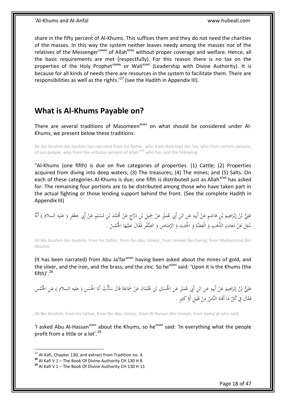share in the fifty percent of Al-Khums. This suffices them and they do not need the charities of the masses. In this way the system neither leaves needy among the masses nor of the relatives of the Messenger<sup>saww</sup> of Allah<sup>azwj</sup> without proper coverage and welfare. Hence, all the basic requirements are met (respectfully). For this reason there is no tax on the properties of the Holy Prophet<sup>saww</sup> or Wali<sup>asws</sup> (Leadership with Divine Authority). It is because for all kinds of needs there are resources in the system to facilitate them. There are responsibilities as well as the rights. $127$  (see the Hadith in Appendix III).

### <span id="page-17-0"></span>**What is Al-Khums Payable on?**

There are several traditions of Masomeen<sup>asws</sup> on what should be considered under Al-Khums, we present below these traditions:

Ali ibn Ibrahim ibn Hashim has narrated from his father, who from Hammad ibn 'Isa, who from certain persons of our people, who from the virtuous servant of Allah<sup>azwj</sup> who has said the following.

"Al-Khums (one fifth) is due on five categories of properties. (1) Cattle; (2) Properties acquired from diving into deep waters; (3) The treasures; (4) The mines; and (5) Salts. On each of these categories Al-Khums is due; one fifth is distributed just as Allah<sup>azwj</sup> has asked for. The remaining four portions are to be distributed among those who have taken part in the actual fighting or those lending support behind the front. (See the complete Hadith in Appendix III)

عَلِيُّ بْنُ إِبْرَاهِيمَ بْنِ هَاشِمٍ عَنْ أَبِيهِ عَنِ ابْنِ أَبِي عُمَيْرٍ عَنْ جَمِيلِ بْنِ دَرَّاجٍ عَنْ مُحَمَّدِ بْنِ مُسْلِمٍ عَنْ أَبِي جَعْفَوٍ ( عليه السلام ) أَنَّهُ **ٔ** ب ِ .<br>-<br>-ْ ْ **ै** ْ د<br>ا ِ ِ ْ ا<br>ا ْ ب اً ِ َ .<br>أ إ ب ِ َ .<br>م ْ َ .<br>-<br>-ِ **ٔ** ا َ سُئِلَ عَنْ مَعَادِنِ الذَّهَبِ وَ الْفِضَّةِ وَ الْحَدِيدِ وَ الرَّصَاصِ وَ الصُّفْرِ فَقَالَ عَلَيْهَا الْحُمُسُ .<br>.  $\ddot{\phantom{0}}$ َ ِ ِ .<br>. َ  $\ddot{\epsilon}$ ِ َ م<br>ا ∫<br>∹ َ ا<br>ا ْ  $\zeta$ ِ<br>ب ئ َ ْ َ ِ<br>مُ .<br>أ ل

Ali Bin Ibrahim Bin Hashim, from his father, from Ibn Abu Umeyr, from Jameel Bin Darraj, from Muhammad Bin Muslim,

(It has been narrated) from Abu Ja'far<sup>asws</sup> having been asked about the mines of gold, and the silver, and the iron, and the brass, and the zinc. So he<sup>asws</sup> said: 'Upon it is the Khums (the fifth $y^2$ .<sup>28</sup>

عَلِيُّ بْنُ إِبْرَاهِيمَ عَنْ أَبِيهِ عَنِ ابْنِ أَبِي عُمَيْرٍ عَنِ الْحُسَيْنِ بْنِ عُثْمَانَ عَنْ سَمَاعَةَ قَالَ سَأَلْتُ أَبَا الْحَسَنِ ( عليه السلام ) عَنِ الْحُمُسِ<br>- $\ddot{\phantom{0}}$ َ <u>ة</u> َ ا<br>ا **ै** ث **ٔ** ب َ ْ ا<br>ا ْ َ ِ ِ<br>پ ْ ا ِ َ .<br>أ ׀<sub>֡</sub> إ ب ِ َ  $\ddot{\phantom{0}}$  َ **ء** فَقَالَ فِي ݣَالِّ مَا أَفَادَ النَّاسُ مِنْ قَلِيلٍ أَوْ كَثِيرٍ . ڹ <u>ٔ</u> ِ ن<br>أ ْ **∕** ا<br>ا ن<br>أ ا<br>ا .<br>أ

Ali Bin Ibrahim, from his father, from Ibn Abu Umeyr, from Al Husayn Bin Usman, from Sama'at who said,

'I asked Abu Al-Hassan<sup>asws</sup> about the Khums, so he<sup>asws</sup> said: 'In everything what the people profit from a little or a lot'.<sup>29</sup>

 $^{27}$  Al-Kafi, Chapter 130, and extract from Tradition no. 4.

**<sup>28</sup>** Al Kafi V 1 – The Book Of Divine Authority CH 130 H 8

**<sup>29</sup>** Al Kafi V 1 – The Book Of Divine Authority CH 130 H 11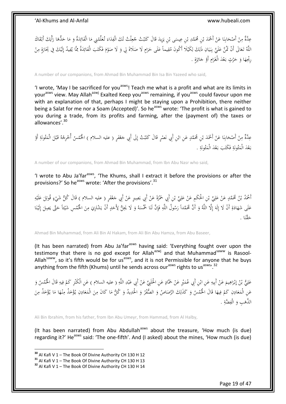لِّ َ عِدَّةٌ مِنْ أَصْحَابِنَا عَنْ أَحْمَدَ بْنِ مُحَمَّدِ بْنِ عِيسَى بْنِ يَزِيدَ قَالَ كَتَبْتُ لِحُعِلْتُ لَكَ الْفِدَاءَ تُعَلِّمُنِي مَا الْفَائِدَةُ وَ مَا حَدُّهَا رَأْيَكَ أَبْقَاك<br>ِ ا<br>ا ِ  $\overline{\mathsf{l}}$ ِ ب ِ<br>أ َ ٔ<br>ا  $\ddot{ }$ **ٔ**  $\ddot{\phantom{0}}$ **ٔ** ب ِ **ٔ** ب **ـ** ْ .<br>. ن ِ َ ْ ِ **ٔ** ر<br>ا َ َ  $\overline{\phantom{a}}$ َ .<br>ا ِ<br>ئا .<br>م  $\overline{\phantom{a}}$ اللَّهُ تَعَالَى أَنْ تَمُّنَّ عَلَيَّ بِبَيَانِ ذَلِكَ لِكَيْلَا أَكُونَ مُقِيماً عَلَى حَرَامٍ لَا صَلَاةَ لِي وَ لَا صَوْمَ فَكَتَبَ الْفَائِدَةُ مِمَّا يُفِيدُ إِلَيْكَ فِي بِحَارَةٍ مِنْ َ .<br>م َ َ <u>ٔ</u>  $\overline{a}$ َ ة<br>م  $\overline{\phantom{a}}$ َ َ َ .<br>مُ **ٔ** رُ ِ ا<br>ا ي  $\ddot{\phantom{0}}$ ِ ب َ .<br>-<br>-**∫** َ ٔ. َ اٍٰ إ ِ ِ ٔ<br>ا ِ<br>ئا رِجْهَا وَ حَرْثٍ بَعْدَ الْغَرَامِ أَوْ جَائِزَةٍ . :<br>نم ؚ<br>ئۆ َ َ <u>ً</u> ْ َ .<br>.<br>. َ َ  $\Leftrightarrow$ 

A number of our companions, from Ahmad Bin Muhammad Bin Isa Bin Yazeed who said,

'I wrote, 'May I be sacrificed for you<sup>asws</sup>! Teach me what is a profit and what are its limits in your<sup>asws</sup> view. May Allah<sup>azwj</sup> Exalted Keep you<sup>asws</sup> remaining, if you<sup>asws</sup> could favour upon me with an explanation of that, perhaps I might be staying upon a Prohibition, there neither being a Salat for me nor a Soam (Accepted)'. So he<sup>asws</sup> wrote: 'The profit is what is gained to you during a trade, from its profits and farming, after the (payment of) the taxes or allowances'.<sup>30</sup>

عِدَّةٌ مِنْ أَصْحَابِنَا عَنْ أَحْمَدَ بْنِ مُحَمَّدٍ عَنِ ابْنِ أَبِي نَصْرٍ قَالَ كَتَبْتُ إِلَى أَبِي جَعْفَرٍ ( عليه السلام ) الْحُمُسُ أُخْرِجُهُ قَبْلَ الْمَقُونَةِ أَوْ<br>وَمَنْ أَصْحَابِنَا عَنْ أَحْمَدَ بْنِ مُحَمَ ُمُ<br>م ْ َ ׀<sub>֡</sub> ب ِ<br>أ َ ْ َ **ٍ** ْ ب ٔ<br>ا ْ ٔ<br>ا ن :<br>با َ ْ ِ ْ أ <u>ہ</u> م<br>م  $\overline{\phantom{a}}$  $\overline{\phantom{0}}$ ب َ ْ بَعْْدَ الْمَثُونَةِ فَكُتَبَ بَعْدَ الْمَثُونَةِ .  $\ddot{\epsilon}$ م<br>م َ **ـ** ْ َ َ  $\ddot{\epsilon}$ ئ ا<br>ا **ـ** و<br>ا َ

A number of our companions, from Ahmad Bin Muhammad, from Ibn Abu Nasr who said,

'I wrote to Abu Ja'far<sup>asws</sup>, 'The Khums, shall I extract it before the provisions or after the provisions?' So he<sup>asws</sup> wrote: 'After the provisions'.<sup>31</sup>

َ أَحْمَدُ بْنُ مُحَمَّدٍ عَنْ عَلِيِّ بْنِ الْحَكَمِ عَنْ عَلِيٍّ بْنِ أَبِي حَمْزَةَ عَنْ أَبِي بَصِيرٍ عَنْ أَبِي جَعْفَوٍ ( عليه السلام ) قَالَ كُلُّ شَيْءٍ قُوتِلَ عَلَيْهِ ْ **ٍ** ب ْ َ .<br>م ْ َ ْ َ ْ َ ْ ب ِ َ ْ .<br>. ْ ب ِ ِ ْ َ َ ِ<br>نا ٍ َ عَلَى شَهَادَةِ أَنْ لَا إِلَهَ إِلَّا اللَّهُ وَ أَنَّ مُحَمَّداً رَسُولُ اللَّهِ فَإِنَّ لَنَا خُمُسَهُ وَ لَا يَحِلُّ لِأَحَدٍ أَنْ يَشْتَرِيَ مِنَ الْحُمُسِ شَيْئاً حَتَّى يَصِلَ إِلَيْنَا  $\ddot{\phantom{0}}$ .<br>. ِ ٍ<br>أ ِ َ َ إ َ ِ  $\ddot{\vec{c}}$ ا<br>ا  $\Leftrightarrow$ َ ن ْ ًاٍ<br>ٍٍٍٍٍٍٍٍٍٍٍٍٍٍٍٍٍٍٍٍٍٍٍٍٍٍ إ ٍ<sup>ا</sup> با<br>∶ َ .<br>: <u>:</u> **∕** َ ا<br>أ **ٍ** َ حَقَّنَا . :<br>. َ

Ahmad Bin Muhammad, from Ali Bin Al Hakam, from Ali Bin Abu Hamza, from Abu Baseer,

(It has been narrated) from Abu Ja'far<sup>asws</sup> having said: 'Everything fought over upon the testimony that there is no god except for Allah<sup>azwj</sup> and that Muhammad<sup>saww</sup> is Rasool-Allah<sup>saww</sup>, so it's fifth would be for us<sup>asws</sup>, and it is not Permissible for anyone that he buys anything from the fifth (Khums) until he sends across our<sup>asws</sup> rights to us<sup>asws, 32</sup>

عَلِيُّ بْنُ إِبْرَاهِيمَ عَنْ أَبِيهِ عَنِ ابْنِ أَبِي عُمَيْرٍ عَنْ حَمَّادٍ عَنِ الْحُلَمِيِّ عَنْ أَبِي عَبْدِ اللَّهِ ( عليه السلام ) عَنِ الْكُنْزِ كَمْ فِيهِ قَالَ الْحُمْسُ وَ<br>. ً ِ .<br>. ب َ .<br>.<br>. لم.<br>أ َ َ **∶** ْ **ै** ْ َ ِ ِ ْ ا ِ َ .<br>أ ِ إ ب <u>ِ</u> َ َ َ ً ِ ْ **:** َ َ عَنِ الْمَعَادِنِ كَمْ فِيهَا قَالَ الْخُمُسُ وَ كَذَلِكَ الرَّصَاصُ وَ الصُّفْرُ وَ الْحُدِيدُ وَ كُلُّ مَا كَانَ مِنَ الْمَعَادِنِ يُؤْخَذُ مِنْهَا مَا يُؤْخَذُ مِنَ<br>\*  $\overline{\phantom{a}}$ ِ َ َ  $\triangleleft$ ِ ْ ِ َ ا<br>ا َ َ ِ َ  $\overline{\phantom{a}}$ َ ِ َ **∶** َ  $\overline{a}$ َ ٍ<br>∧ ا<br>ا َ ِ **ٔ** َ الذَّهَبِ وَ الْفِضَّةِ . ; ِ َ ٔ<br>م

Ali Bin Ibrahim, from his father, from Ibn Abu Umeyr, from Hammad, from Al Halby,

(It has been narrated) from Abu Abdullah $^{35W5}$  about the treasure, 'How much (is due) regarding it?' He<sup>asws</sup> said: 'The one-fifth'. And (I asked) about the mines, 'How much (is due)

**<sup>30</sup>** Al Kafi V 1 – The Book Of Divine Authority CH 130 H 12

**<sup>31</sup>** Al Kafi V 1 – The Book Of Divine Authority CH 130 H 13

**<sup>32</sup>** Al Kafi V 1 – The Book Of Divine Authority CH 130 H 14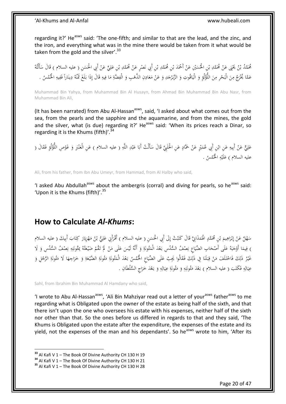regarding it?' He<sup>asws</sup> said: 'The one-fifth; and similar to that are the lead, and the zinc, and the iron, and everything what was in the mine there would be taken from it what would be taken from the gold and the silver'.<sup>33</sup>

ِ مُحَمَّدُ بْنُ يَحْيَى عَنْ مُحَمَّدِ بْنِ الْحُسَيْنِ عَنْ أَحْمَدَ بْنِ مُحَمَّدِ بْنِ أَبِي نَصْرٍ عَنْ مُحَمَّدِ بْنِ عَلِيٍّ عَنْ أَبِي الْحَسَنِ ( عليه السلام ) قَالَ سَأَلْتُهُ<br>. َ **ٔ** ب ِ .<br>.<br>. ْ ب ِ ْ ب **ـ** :<br>.<br>. ْ ب ِ ْ َ ب **ـ** َ  $\ddot{\phantom{0}}$ .<br>-<br>-.<br>ا عَمَّا يُخْرَجُ مِنَ الْبَحْرِ مِنَ اللُّؤْلُوْ وَ الْيَاقُوتِ وَ الزَّبَرْجَدِ وَ عَنْ مَعَادِنِ الذَّهَبِ وَ الْفِضَّةِ مَا فِيهِ قَالَ إِذَا بَلَغَ ثَمَّهُ دِينَاراً فَفِيهِ الْحُمُسُ . َ ا<br>ا َ ٔ<br>نر َ **∕** ْ َ **∕** ً ِ  $\frac{1}{2}$ .<br>. ِ َ َ ِ َ ِم<br>ٍ ٍ<br>فر  $\overline{a}$ ة<br>إ ∫<br>∫ َ ۵<br>ا ∫<br>∹ َ ا<br>ا ْ َ ِ َ

Muhammad Bin Yahya, from Muhammad Bin Al Husayn, from Ahmad Bin Muhammad Bin Abu Nasr, from Muhammad Bin Ali,

(It has been narrated) from Abu Al-Hassan<sup>asws</sup>, said, 'I asked about what comes out from the sea, from the pearls and the sapphire and the aquamarine, and from the mines, the gold and the silver, what (is due) regarding it?' He $^{asws}$  said: 'When its prices reach a Dinar, so regarding it is the Khums (fifth)'. $34$ 

عَلِيٌّ عَنْ أَبِيهِ عَنِ ابْنِ أَبِي عُمَيْرٍ عَنْ حَمَّادٍ عَنِ الْحَلَمِيِّ قَالَ سَأَلْتُ أَبَا عَبْدِ اللَّهِ ( عليه السلام ) عَنِ الْعَنْبَرِ وَ غَوْصِ اللَّؤْلُؤِ فَقَالَ ( ِ ِ **ٔ** ب َ با<br>ا  $\ddot{\phantom{0}}$ َ ل<br>: َ د<br>ا **∶** ْ ا<br>ا ْ گ<br>ا ِ ِ ْ ِ َ لُ ْ ْ َ יִ<br>: ن َ َ عليه السلام ) عَلَيْهِ الْخُمُسُ .<br>-ِ **ٔ** َ

Ali, from his father, from Ibn Abu Umeyr, from Hammad, from Al Halby who said,

'I asked Abu Abdullah<sup>asws</sup> about the ambergris (corral) and diving for pearls, so he<sup>asws</sup> said: 'Upon it is the Khums (fifth)'. $35$ 

#### <span id="page-19-0"></span>**How to Calculate** *Al-Khums***:**

سَهْلٌ عَنْ إِبْرَاهِيمَ بْنِ مُحَمَّدٍ الْهَمَذَانِيِّ قَالَ كَتَبْتُ إِلَى أَبِي الْحُسَنِ ( عليه السلام ) أَقْرَأَنِي عَلِيُّ بْنُ مَهْزِيَارَ كِتَابَ أَبِيكَ ( عليه السلام<br>ِ َ َ ا<br>ا **ٍ** ْ ب ا ِ َ ْ إ ْ  $\overline{a}$ ي ِ<br>بہ <u>ً</u> ت َ پا<br>: ْ  $\overline{\phantom{a}}$ ب ِ َ َ  $\ddot{\phantom{0}}$ ׀<sub>֟</sub> ب <u>َ</u> ْ ِّ فِيمَا أَوْجَبَهُ عَلَى أَصْحَابِ الضِّيَاعِ نِصْفُ السُّلُسِ بَعْدَ الْمَثُونَةِ وَ أَنَّهُ لَيْسَ عَلَى مَنْ لَمْ تَقْمْ ضَيْعَتُهُ بِمَثْونَتِهِ نِصْفُ السُّلُسِ وَ لَا .<br>-<br>-ا<br>ا َ .<br>-َ *<u>a</u>* م<br>م  $\overline{\phantom{a}}$ .<br>-ْ ٔ. ِ **:** َ َ .<br>ا ب َ َ ِ و<br>م ءُ<br>ا ِ ت َ ْ َ ِ<br>با ن<br>ب ⊿<br>≀ ِ ت ؚڹ<br>ؖ  $\ddot{\epsilon}$ غَيْرُ ذَلِكَ فَاخْتَلَفَ مَنْ قِبَلْنَا فِي ذَلِكَ فَقَالُوا يَجِبُ عَلَى الضِّيَاعِ الْخُمُسُ بَعْدَ الْمَثُونَةِ مَثُونَةِ الضَّيْعَةِ وَ خَرَاجِهَا لَا مَثُونَةِ الرَّجُلِ وَ<br>. و<br>م ا<br>ا ِ ئ ٍ<br>م  $\overline{\phantom{a}}$ ْ َ ا<br>ا َ نم<br>عم ِ :<br>ا  $\ddot{\cdot}$ ِ ْ َ َ : ْ َ ِ **ٔ** َ ٍ<br>ق و<br>م  $\overline{a}$ َ َ َ َ **a** َ ْ عِيَالِهِ فَكَتَبَ ( عليه السلام ) بَعْدَ مَثْونَتِهِ وَ مَثْونَةِ عِيَالِهِ وَ بَعْدَ خَرَاجِ السُّلْطَانِ . و<br>م ا<br>ا ْ َ َ ِ l **:** ي ِ َ َ ْ ٔ. َ ِ ِ ا<br>ا ي **a** ر<br>م ً<br>ا َ ِ ِ. ت ؚڹ<br>ؙ

Sahl, from Ibrahim Bin Muhammad Al Hamdany who said,

'I wrote to Abu Al-Hassan<sup>asws</sup>, 'Ali Bin Mahziyar read out a letter of your<sup>asws</sup> father<sup>asws</sup> to me regarding what is Obligated upon the owner of the estate as being half of the sixth, and that there isn't upon the one who oversees his estate with his expenses, neither half of the sixth nor other than that. So the ones before us differed in regards to that and they said, 'The Khums is Obligated upon the estate after the expenditure, the expenses of the estate and its yield, not the expenses of the man and his dependants'. So he<sup>asws</sup> wrote to him, 'After its

**<sup>33</sup>** Al Kafi V 1 – The Book Of Divine Authority CH 130 H 19

**<sup>34</sup>** Al Kafi V 1 – The Book Of Divine Authority CH 130 H 21

**<sup>35</sup>** Al Kafi V 1 – The Book Of Divine Authority CH 130 H 28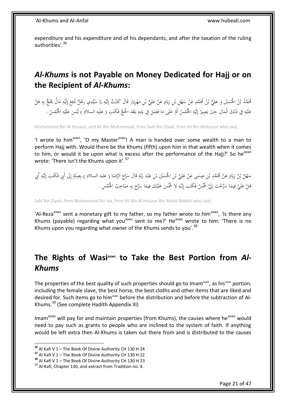expenditure and his expenditure and of his dependants, and after the taxation of the ruling authorities'.<sup>36</sup>

# <span id="page-20-0"></span>*Al-Khums* **is not Payable on Money Dedicated for Hajj or on the Recipient of** *Al-Khums***:**

ِ مُحَمَّدُ بْنُ الْحُسَيْنِ وَ عَلِيُّ بْنُ مُحَمَّدٍ عَنْ سَهْلِ بْنِ زِيَادٍ عَنْ عَلِيِّ بْنِ مَهْزِيَارَ قَالَ كَتَبْتُ إِلَيْهِ يَا سَيِّدِي رَجُلٌ دُفِعَ إِلَيْهِ مَالٌ يَحْجُ بِهِ هَلْ<br>مُحَمَّدُ بْنُ الْحُسَيْنِ وَ ب َ َ َ با<br>ا ْ ا<br>ا ْ ب ِ َ ْ .<br>; .<br>ا ْ ْ  $\ddot{\phantom{0}}$ **ٍ** ب ؚۣ<br>پ ر<br>ا َ ب ِ ي  $\ddot{\phantom{0}}$ ب<br>: ي ً ْ ْ ا<br>په ِ  $\overline{\phantom{a}}$ ً ْ ِ إ  $\zeta$ ِ عَلَيْهِ فِي ذَلِكَ الْمَالِ حِينَ يَصِيرُ إِلَيْهِ الْحُمُسُ أَوْ عَلَى مَا فَضَلَ فِي يَدِهِ بَعْدَ الْحَجِّ فَكَتَبَ ( عليه السلام ) لَيْسَ عَلَيْهِ الْحُمُسُ .<br>. َ :<br>أ .<br>ا ْ ٔ. ِ ُيا<br>ـ َ ا<br>ا َ <u>ٔ</u> ً ْ ِ إ َ َ ِ ِ ْ َ ا<br>په **ٔ** َ <u>َ</u>

Muhammad Bin Al Husayn, and Ali Bin Muhammad, from Sahl Bin Ziyad, from Ali Bin Mahziyar who said,

'I wrote to him<sup>asws</sup>, 'O my Master<sup>asws</sup>! A man is handed over some wealth to a man to perform Hajj with. Would there be the Khums (fifth) upon him in that wealth when it comes to him, or would it be upon what is excess after the performance of the Hajj?' So he<sup>asws</sup> wrote: 'There isn't the Khums upon it'.<sup>37</sup>

سَهْلُ بْنُ زِيَادٍ عَنْ مُحَمَّدِ بْنِ عِيسَى عَنْ عَلِيِّ بْنِ الْحُسَيْنِ بْنِ عَبْدِ رَبِّهِ قَالَ سَرَّحَ الرِّضَا ( عليه السلام ) بِصِلَةٍ إِلَى أَبِي فَكَتَبَ إِلَيْهِ أَبِي<br>.  $\zeta$  $\overline{a}$ َ ِ بو<br>به َ ِ ْ ب َ ْ ب **ٔ** ب ِ َ ْ  $\ddot{\phantom{0}}$ ْ ب ِ ْ **∶** َيا<br>: ب  $\overline{a}$ ِ ْ ِ إ َ ٍٍٍٍٍٍٍٍٍٍٍٍٍٍٍٍٍٍٍٍٍٍٍٍٍٍٍ إ  $\ddot{a}$ َ هَلْ عَلَيَّ فِيمَا سَرَّحْتَ إِلَيَّ خُمُسٌ فَكَتَبَ إِلَيْهِ لَا خُمُسَ عَلَيْكَ فِيمَا سَرَّحَ بِهِ صَاحِبُ الْحُمُسِ .<br>. .<br>-ِ **ٔ** ِ إ َ ِ  $\overline{a}$ **≀** ِ<br>فر د<br>ا **ٔ**  $\ddot{\phantom{0}}$ ِ ب  $\zeta$ ٔ<br>أ  $\overline{a}$ ِ

Sahl Bin Ziyad, from Muhammad Bin Isa, from Ali Bin Al Husayn Bin Abdul Rabbih who said,

'Al-Reza<sup>asws</sup> sent a monetary gift to my father, so my father wrote to him<sup>asws</sup>, 'Is there any Khums (payable) regarding what you<sup>asws</sup> sent to me?' He<sup>asws</sup> wrote to him: 'There is no Khums upon you regarding what owner of the Khums sends to you'.<sup>38</sup>

# <span id="page-20-1"></span>**The Rights of Wasiasws to Take the Best Portion from** *Al-Khums*

The properties of the best quality of such properties should go to Imam<sup>asws</sup>, as his<sup>asws</sup> portion, including the female slave, the best horse, the best cloths and other items that are liked and desired for. Such items go to him<sup>asws</sup> before the distribution and before the subtraction of Al-Khums. <sup>39</sup> (See complete Hadith Appendix III)

Imam<sup>asws</sup> will pay for and maintain properties (from Khums), the causes where he<sup>asws</sup> would need to pay such as grants to people who are inclined to the system of faith. If anything would be left extra then Al-Khums is taken out there from and is distributed to the causes

-

**<sup>36</sup>** Al Kafi V 1 – The Book Of Divine Authority CH 130 H 24

**<sup>37</sup>** Al Kafi V 1 – The Book Of Divine Authority CH 130 H 22

**<sup>38</sup>** Al Kafi V 1 – The Book Of Divine Authority CH 130 H 23

 $39$  Al-Kafi, Chapter 130, and extract from Tradition no. 4.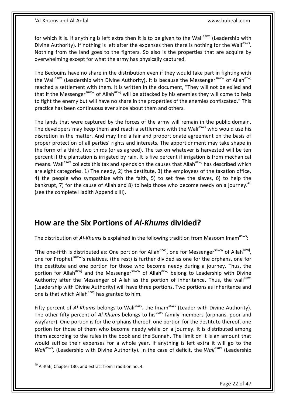for which it is. If anything is left extra then it is to be given to the Wali<sup>asws</sup> (Leadership with Divine Authority). If nothing is left after the expenses then there is nothing for the Wali<sup>asws</sup>. Nothing from the land goes to the fighters. So also is the properties that are acquire by overwhelming except for what the army has physically captured.

The Bedouins have no share in the distribution even if they would take part in fighting with the Waliasws (Leadership with Divine Authority). It is because the Messenger<sup>saww</sup> of Allah<sup>azwj</sup> reached a settlement with them. It is written in the document, "They will not be exiled and that if the Messenger<sup>saww</sup> of Allah<sup>azwj</sup> will be attacked by his enemies they will come to help to fight the enemy but will have no share in the properties of the enemies confiscated." This practice has been continuous ever since about them and others.

The lands that were captured by the forces of the army will remain in the public domain. The developers may keep them and reach a settlement with the Wali<sup>asws</sup> who would use his discretion in the matter. And may find a fair and proportionate agreement on the basis of proper protection of all parties' rights and interests. The apportionment may take shape in the form of a third, two thirds (or as agreed). The tax on whatever is harvested will be ten percent if the plantation is irrigated by rain. It is five percent if irrigation is from mechanical means. Wali<sup>asws</sup> collects this tax and spends on the causes that Allah<sup>azwj</sup> has described which are eight categories. 1) The needy, 2) the destitute, 3) the employees of the taxation office, 4) the people who sympathise with the faith, 5) to set free the slaves, 6) to help the bankrupt, 7) for the cause of Allah and 8) to help those who become needy on a journey.<sup>40</sup> (see the complete Hadith Appendix III).

### <span id="page-21-0"></span>**How are the Six Portions of** *Al-Khums* **divided?**

The distribution of *Al-Khums* is explained in the following tradition from Masoom Imam<sup>asws</sup>:

'The one-fifth is distributed as: One portion for Allah<sup>azwj</sup>, one for Messenger<sup>saww</sup> of Allah<sup>azwj</sup>, one for Prophet<sup>saww</sup>'s relatives, (the rest) is further divided as one for the orphans, one for the destitute and one portion for those who become needy during a journey. Thus, the portion for Allah<sup>azwj</sup> and the Messenger<sup>saww</sup> of Allah<sup>azwj</sup> belong to Leadership with Divine Authority after the Messenger of Allah as the portion of inheritance. Thus, the wall<sup>asws</sup> (Leadership with Divine Authority) will have three portions. Two portions as inheritance and one is that which Allah<sup>azwj</sup> has granted to him.

Fifty percent of *Al-Khums* belongs to Wali<sup>asws</sup>, the Imam<sup>asws</sup> (Leader with Divine Authority). The other fifty percent of *Al-Khums* belongs to his<sup>asws</sup> family members (orphans, poor and wayfarer). One portion is for the orphans thereof, one portion for the destitute thereof, one portion for those of them who become needy while on a journey. It is distributed among them according to the rules in the book and the Sunnah. The limit on it is an amount that would suffice their expenses for a whole year. If anything is left extra it will go to the Wali<sup>asws</sup>, (Leadership with Divine Authority). In the case of deficit, the Wali<sup>asws</sup> (Leadership

 $40$  Al-Kafi, Chapter 130, and extract from Tradition no. 4.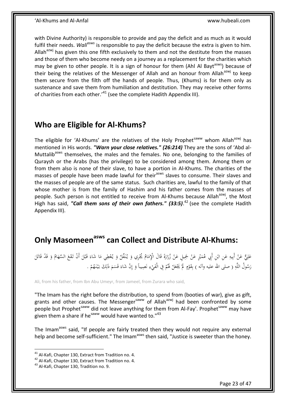with Divine Authority) is responsible to provide and pay the deficit and as much as it would fulfil their needs. *Waliasws* is responsible to pay the deficit because the extra is given to him. Allah<sup>azwj</sup> has given this one fifth exclusively to them and not the destitute from the masses and those of them who become needy on a journey as a replacement for the charities which may be given to other people. It is a sign of honour for them (Ahl Al Bayt<sup>asws</sup>) because of their being the relatives of the Messenger of Allah and an honour from Allah<sup>azwj</sup> to keep them secure from the filth off the hands of people. Thus, (Khums) is for them only as sustenance and save them from humiliation and destitution. They may receive other forms of charities from each other.<sup>141</sup> (see the complete Hadith Appendix III).

### <span id="page-22-0"></span>**Who are Eligible for Al-Khums?**

The eligible for 'Al-Khums' are the relatives of the Holy Prophet<sup>saww</sup> whom Allah<sup>azwj</sup> has mentioned in His words. *"Warn your close relatives." (26:214)* They are the sons of 'Abd al-Muttalib<sup>asws</sup> themselves, the males and the females. No one, belonging to the families of Quraysh or the Arabs (has the privilege) to be considered among them. Among them or from them also is none of their slave, to have a portion in Al-Khums. The charities of the masses of people have been made lawful for their<sup>asws</sup> slaves to consume. Their slaves and the masses of people are of the same status. Such charities are, lawful to the family of that whose mother is from the family of Hashim and his father comes from the masses of people. Such person is not entitled to receive from Al-Khums because Allah<sup>azwj</sup>, the Most High has said, *"Call them sons of their own fathers." (33:5)*. <sup>42</sup> (see the complete Hadith Appendix III).

# <span id="page-22-1"></span>**Only Masomeenasws can Collect and Distribute Al-Khums:**

ِري ُجي ُ ام اَل اْإلِم َ ق ة ار ُر ز َن ي ٍل ع ْ َْجِ َن ٍ ع ري ُم ِن أَِيب ع ِن اب ع يه أَب َن ٌّ ع ي ل ع َل ات َْد ق ق و ُ ام ِّسه ال َع َق ْن ت أَ ْل ق َ َشاء ا ي م ْطِ ع ُ ي و ُ ِّفل ن ُ ي و **ٔ**  $\overline{\phantom{a}}$ َ َ َ .<br>.<br>. ْ َ ْ َ ِ ِ ֡֡֡֡֡<u>֡</u> ِ َ ٍ<sup>ّ</sup> َ َ َ  $\zeta$ ٍ<sup>ّ</sup> ب َ  $\overline{\phantom{a}}$ َ .<br>. َ ْ رَسُولُ اللَّهِ ( صلى الله عليه وآله ) بِقَوْمٍ لَمْ يَجْعَلْ لَهُمْ فِي الْفَيْءِ نَصِيباً وَ إِنْ شَاءَ قَسَمَ ذَلِكَ بَيْنَهُمْ . ْ ْ <u>ٔ</u>  $\overline{a}$ **ٍ** ،<br>منا ِ ِ َ ْ **ٔ** َ ِ ا  $\ddot{\phantom{0}}$ </sub> ِ إ َ ُ<br>نا ن ِ

Ali, from his father, from Ibn Abu Umeyr, from Jameel, from Zurara who said,

"The Imam has the right before the distribution, to spend from (booties of war), give as gift, grants and other causes. The Messenger<sup>saww</sup> of Allah<sup>azwj</sup> had been confronted by some people but Prophet<sup>saww</sup> did not leave anything for them from Al-Fay'. Prophet<sup>saww</sup> may have given them a share if he<sup>saww</sup> would have wanted to." $43$ 

The Imam<sup>asws</sup> said, "If people are fairly treated then they would not require any external help and become self-sufficient." The Imam<sup>asws</sup> then said, "Justice is sweeter than the honey.

 $41$  Al-Kafi, Chapter 130, Extract from Tradition no. 4.

<sup>42</sup> Al-Kafi, Chapter 130, Extract from Tradition no. 4.

<sup>&</sup>lt;sup>43</sup> Al-Kafi, Chapter 130, Tradition no. 9.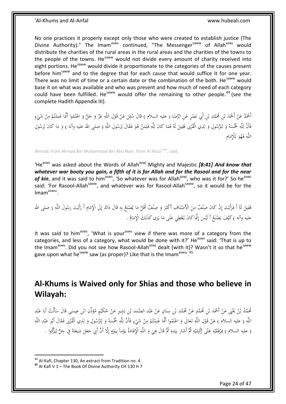No one practices it properly except only those who were created to establish justice (The Divine Authority)." The Imam<sup>asws</sup> continued, "The Messenger<sup>saww</sup> of Allah<sup>azwj</sup> would distribute the charities of the rural areas in the rural areas and the charities of the towns to the people of the towns. He<sup>saww</sup> would not divide every amount of charity received into eight portions. He<sup>saww</sup> would divide it proportionate to the categories of the causes present before him<sup>saww</sup> and to the degree that for each cause that would suffice it for one year. There was no limit of time or a certain date or the combination of the both. He<sup>saww</sup> would base it on what was available and who was present and how much of need of each category could have been fulfilled. He<sup>saww</sup> would offer the remaining to other people.<sup>44</sup> (see the complete Hadith Appendix III).

أَحْمَدُ عَنْ أَحْمَدَ بْنِ مُحَمَّدِ بْنِ أَبِي نَصْرٍ عَنِ الرِّضَا ( عليه السلام ) قَالَ سُئِلَ عَنْ قَوْلِ اللَّهِ عَزَّ وَ جَلَّ وَ اعْلَمُوا أَنَّمَا غَنِمْتُمْ مِنْ شَيْءٍ<br>. َ ⊿<br>≀ <u>ٔ</u>  $\overline{\phantom{0}}$ ِ ئ َ َ **ٔ** ب ِ ْ ب .<br>-ْ ْ ِ ْ ت ْ ِ ْ َ َ .<br>ء فَأَنَّ لِلَّهِ خُمْسَهُ وَ لِلرَّسُولِ وَ لِنِي الْقُرْبِى فَقِيلَ لَهُ فَمَا كَانَ لِلَّهِ فَلِمَنْ هُوَ فَقَالَ لِرَسُولِ اللَّهِ ( صلى الله عليه وآله ) وَ مَا كَانَ لِرَسُولِ<br>ِ َ َ .<br>د ِ ِ ل َ J ل َ  $\ddot{\phantom{0}}$ ِ اً َ ر<br>. ِ  $\overline{\phantom{a}}$ َ ِ َ ِ<br>لہ ِ<br>م َ ْ  $\overline{a}$ ِ ني<br>أ ِ ا اللَّهِ فَهُوَ لِلْإِمَامِ ا<br>ا ِ ل ر<br>د ِ

Ahmad, from Ahmad Bin Muhammad Bin Abu Nasr, from Al Reza<sup>asws</sup>, said,

'He<sup>asws</sup> was asked about the Words of Allah<sup>azwj</sup> Mighty and Majestic *[8:41] And know that whatever war booty you gain, a fifth of it is for Allah and for the Rasool and for the near*  of kin, and it was said to him<sup>asws</sup>, 'So whatever was for Allah<sup>azwj</sup>, who was it for?' So he<sup>asws</sup> said: 'For Rasool-Allah<sup>saww</sup>, and whatever was for Rasool-Allah<sup>saww</sup>, so it would be for the Imam<sup>asws</sup>'.

فَقِيلَ لَهُ أَ فَرَأَيْتَ إِنْ كَانَ صِنْفٌ مِنَ الْأَصْنَافِ أَكْثَرَ وَ صِنْفٌ أَقَلَّ مَا يُصْنَعُ بِهِ قَالَ ذَاكَ إِلَى الْإِمَامِ أَ رَأَيْتَ رَسُولَ اللَّهِ ( صلى الله<br>. اٍ َ ِ ِ ب ا<br>ا َ ر<br>ا :<br>. ن **ٔ** َ ِ ِ َ َ ِ ِ َ َ  $\overline{\phantom{a}}$ عليه وآله )كَيْفَ يَصْنَعُ أَ لَيْسَ إِنَّمَاكَانَ يُعْطِي عَلَى مَا يَرَى كَذَلِكَ الْإِمَامُ .<br>. ب<br>: ا<br>ا َ إ  $\overline{\phantom{0}}$ ا<br>ا ِ ل

It was said to him<sup>asws</sup>, 'What is your<sup>asws</sup> view if there was more of a category from the categories, and less of a category, what would be done with it?' He<sup>asws</sup> said: 'That is up to the Imam<sup>asws</sup>. Did you not see how Rasool-Allah<sup>azwj</sup> dealt (with it)? Wasn't it so that he<sup>saww</sup> gave upon what he<sup>saww</sup> saw (as proper)? Like that is the Imam<sup>asws, 45</sup>

# <span id="page-23-0"></span>**Al-Khums is Waived only for Shias and those who believe in Wilayah:**

َ مُحَمَّدُ بْنُ يَحْيَى عَنْ أَحْمَدَ بْنِ مُحَمَّدٍ عَنْ مُحَمَّدِ بْنِ سِنَانٍ عَنْ عَبْدِ الصَّمَدِ بْنِ بَشِيرٍ عَنْ حُكَيْمٍ مُؤَذِّنِ ابْنِ عِيسَى قَالَ سَأَلْتُ أَبَا عَبْدِ<br>يُمسِينَ مَنْ أَحْمَدَ بْنِ مُحَمَّدٍ عَن .<br>. ن ْ ب ِ .<br>.<br>. **ٍ** ْ ب **ـ** ْ َ ب ِ ْ ب َ َ  $\ddot{\phantom{0}}$ َ ٔ<br>أ ْ ةً<br>م **∶** ْ ب ِ  $\overline{\phantom{a}}$ **ٍ** .<br>. ب َ ْ ْ اللَّهِ ( عليه السلام ) عَنْ قَوْلِ اللَّهِ تَعَالَى وَ اعْلَمُوا أَنَّمَا غَنِمْتُمْ مِنْ شَيْءٍ فَأَنَّ لِلَّهِ خُمْسَهُ وَ لِلرَّسُولِ وَ لِنِي الْقُرْبى فَقَالَ أَبُو عَبْدِ اللَّهِ ٍ<br>ृ ْ ت ا<br>ا ِ. ر<br>د َ َ ِ <u>ٔ</u> ْ ِ ر<br>. ِ ِ ل َ ِ ل َ  $\ddot{\phantom{0}}$ ِ ِ<br>ل َ .<br>ء ِ ِ ْ ب َ .<br>م ا<br>ا ر عليه السلام ) بِمِرْفَقَيْهِ عَلَى زَكْبَتَيْهِ ثُمَّ أَشَارَ بِيَدِهِ ثُمَّ قَالَ هِيَ وَ اللَّهِ الْإِفَادَةُ يَوْماً بِيَوْمٍ إِلَّا أَنَّ أَبِي جَعَلَ شِيعَتَهُ فِي حِلِّ لِيَزْكُوا . ِ <u>ٔ</u> یا<br>: ٔ<br>ا َ ِ َ  $\ddot{\phantom{0}}$ ِ َ ِ ِ ا<br>ا ي ِ<br>پ ب .<br>. ِ **:** ي <u>ً</u> َ ِ **ٔ** ي .<br>أم <u>ّ</u> ∶' ؚ<br>ۣ ل ً<br>أ ت **ٔ**  $\overline{\phantom{0}}$ َ إ **ٍ** ْ

-

<sup>44</sup> Al-Kafi, Chapter 130, An extract from Tradition no. 4.

**<sup>45</sup>** Al Kafi V 1 – The Book Of Divine Authority CH 130 H 7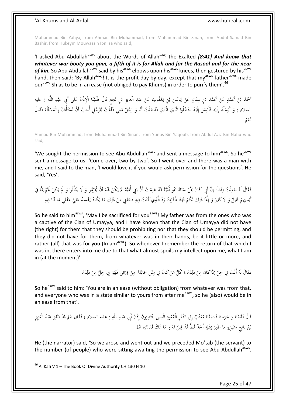Muhammad Bin Yahya, from Ahmad Bin Muhammad, from Muhammad Bin Sinan, from Abdul Samad Bin Bashir, from Hukeym Mouwazzin Ibn Isa who said,

'I asked Abu Abdullah<sup>asws</sup> about the Words of Allah<sup>azwj</sup> the Exalted *[8:41] And know that whatever war booty you gain, a fifth of it is for Allah and for the Rasool and for the near*  of kin. So Abu Abdullah<sup>asws</sup> said by his<sup>asws</sup> elbows upon his<sup>asws</sup> knees, then gestured by his<sup>asws</sup> hand, then said: 'By Allah<sup>azwj</sup>! It is the profit day by day, except that my<sup>asws</sup> father<sup>asws</sup> made our<sup>asws</sup> Shias to be in an ease (not obliged to pay Khums) in order to purify them'.<sup>46</sup>

َ أَحْمَدُ بْنُ مُحَمَّدٍ عَنْ مُحَمَّدِ بْنِ سِنَانٍ عَنْ يُونُسَ بْنِ يَعْقُوبَ عَنْ عَبْدِ الْعَزِيزِ بْنِ نَافِعٍ قَالَ طَلَبْنَا الْإِذْنَ عَلَى أَبِي عَبْدِ اللَّهِ ( عليه َ ِ َ ْ َ ∫<br>∙ **ٔ** ب َ .<br>-<br>-ْ ٔ. ا<br>ا ب  $\overline{\phantom{0}}$ و<br>يا ْ .<br>. ن ْ ب ِ ْ **ٍ** ب ِ ِ ْ ب </sub><br>د َ .<br>. ن **ٔ** ِ السلام ) وَ أَرْسَلْنَا إِلَيْهِ فَأَرْسَلَ إِلَيْنَا ادْخُلُوا اثْنَيْنِ اثْنَيْنِ فَدَخَلْتُ أَنَا وَ رَجُلٌ مَعِي فَقْلْتُ لِلرَّجُلِ أُحِبُّ أَنْ تَسْتَأْذِنَ بِالْمَسْأَلَةِ فَقَالَ **ٔ** ِ :<br>ا  $\ddot{\phantom{0}}$ َ ً. ت ْ ِ لْ ِ<br>م ا<br>ا َ ن<br>ا  $\overline{\mathfrak{l}}$ َ :<br>ا ن **ٔ** ِ إ  $\zeta$  $\overline{a}$ .<br>م ة. ْ ِ ِ <sup>(</sup> م َع ن َ

Ahmad Bin Muhammad, from Muhammad Bin Sinan, from Yunus Bin Yaqoub, from Abdul Aziz Bin Nafiu who said,

'We sought the permission to see Abu Abdullah<sup>asws</sup> and sent a message to him<sup>asws</sup>. So he<sup>asws</sup> sent a message to us: 'Come over, two by two'. So I went over and there was a man with me, and I said to the man, 'I would love it if you would ask permission for the questions'. He said, 'Yes'.

فَقَالَ لَهُ جُعِلْتُ فِدَاكَ إِنَّ أَبِي كَانَ مِمَّنْ سَبَاهُ بَنُو أُمَيَّةَ قَدْ عَلِمْتُ أَنَّ بَنِي أُمَيَّةَ لَمْ يَكُنْ لَهُمْ أَنْ يُحَرِّمُوا وَ لَا يُحَلِّلُوا وَ لَمْ يَكُنْ لَهُمْ مِمَّا فِي ب<br>أ ي  $\overline{a}$ ي ا<br>ا .<br>ا ِ َ <u>ة</u> ي<br>به ا<br>ا ن َ  $\ddot{\cdot}$ ب  $\ddot{\phantom{0}}$ **ٍ** ِ ا **ـ** ِ لْ .<br>ما ِ<br>مُ ْ .<br>-ب<br>أ ي  $\overline{a}$ َ لِّ َ َ ٔ<br>ا ْ ْ أَيْدِيهِمْ قَلِيلٌ وَ لَا كَثِيرٌ وَ إِنَّمَا ذَلِكَ لَكُمْ فَإِذَا ذَكَرْتُ رَدَّ الَّذِي كُنْتُ فِيهِ دَخَلَنِي مِنْ ذَلِكَ مَا يَكَادُ يُفْسِدُ عَلَيَّ عَقْلِي مَا أَنَا فِيهِ ِ إ َ :<br>ب َ ِ قيا<br>ا ْ ي ِ **ٔ** ِ ِ .<br>.  $\overline{\phantom{a}}$ ِ .<br>أ َ َ ب<br>:  $\overline{\phantom{a}}$ ِ .<br>.<br>. ِ  $\frac{1}{2}$ َ ِ ِ.<br>ف <u>:</u> ∫<br>∙ َ ِ ٍ<br>أ <sup>t</sup>

So he said to him<sup>asws</sup>, 'May I be sacrificed for you<sup>asws</sup>! My father was from the ones who was a captive of the Clan of Umayya, and I have known that the Clan of Umayya did not have (the right) for them that they should be prohibiting nor that they should be permitting, and they did not have for them, from whatever was in their hands, be it little or more, and rather (all) that was for you (Imam<sup>asws</sup>). So whenever I remember the return of that which I was in, there enters into me due to that what almost spoils my intellect upon me, what I am in (at the moment)'.

> فَقَالَ لَهُ أَنْتَ فِي حِلٍّ مِمَّا كَانَ مِنْ ذَلِكَ وَ كُلُّ مَنْ كَانَ فِي مِثْلِ حَالِكَ مِنْ وَرَائِي فَهُوَ فِي حِلٍّ مِنْ ذَلِكَ َ ِ<br>ئ َ َ .<br>-<br>-ِ<br>∧ ِ َ :<br>: ث ِ .<br>.<br>. ا<br>ا َ ِ .<br>.<br>. **∕ ٍ** .<br>-<br>-ِ<br>مُ ْ ِ

So he<sup>asws</sup> said to him: 'You are in an ease (without obligation) from whatever was from that, and everyone who was in a state similar to yours from after me<sup>asws</sup>, so he (also) would be in an ease from that'.

قَالَ فَقْمْنَا وَ خَرَجْنَا فَسَبَقَنَا مُعَتِّبٌ إِلَى النَّفَرِ الْقُعُودِ الَّذِينَ يَنْتَظِرُونَ إِذْنَ أَبِي عَبْدِ اللَّهِ ( عليه السلام ) فَقَالَ لَهُمْ قَدْ ظَفِرَ عَبْدُ الْعَزِيزِ ∫<br>∙ **ٔ** ب َ ِ ت :<br>. ن با<br>ا َ ∫<br>∙ **∶** .<br>أم ِ َ :<br>. ن .<br>أ .<br>ا  $\ddot{\phantom{0}}$ :<br>. ن ْ .<br>ا َ َ :<br>. ن ا<br>ا ْ .<br>أ ⊿<br>≀ َ ْ ب َ ر<br>. ِ ْ ِنُّ نَافِعٍ بِشَيْءٍ مَا ظَفِرَ بِمِثْلِهِ أَحَدٌ قَطُّ قَدْ قِيلَ لَهُ وَ مَا ذَاكَ فَفَسَّرَهُ لَهُمْ ِ ِ َ ن ب ْ َ  $\overline{\phantom{a}}$ َ  $\overline{\phantom{0}}$ ِ<br>في َ ِ J **ٔ** ث .<br>. ِ ا<br>ا **ٍ** 

He (the narrator) said, 'So we arose and went out and we preceded Mo'tab (the servant) to the number (of people) who were sitting awaiting the permission to see Abu Abdullah<sup>asws</sup>.

**<sup>46</sup>** Al Kafi V 1 – The Book Of Divine Authority CH 130 H 10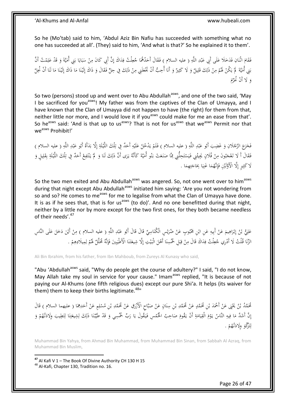So he (Mo'tab) said to him, 'Abdul Aziz Bin Nafiu has succeeded with something what no one has succeeded at all'. (They) said to him, 'And what is that?' So he explained it to them'.

ني<br>أ فَقَامَ اثْنَانِ فَدَخَلَا عَلَى أَبِي عَبْدِ اللَّهِ ( عليه السلام ) فَقَالَ أَحَدُهُمَا جُعِلْتُ فِدَاكَ إِنَّ أَبِي كَانَ مِنْ سَبَايَا بَنِي أُمَيَّةَ وَ قَدْ عَلِمْتُ أَنَّ<br>. ن<br>ا أ .<br>أ ڸڔ ب<br>ا  $\ddot{\cdot}$ ب **ـ ∕** ِ ا ٔ<br>ا ِ  $\overline{\mathfrak{c}}$ ٍ<br>و .<br>ا َ نم<br>عم ِ ِ .<br>. ب َ َ َ ِ َ َ ي  $\overline{\phantom{a}}$ َ نِي أُمَيَّةَ لَمْ يَكُنْ لَهُمْ مِنْ ذَلِكَ قَلِيلٌ وَ لَا كَثِيرٌ وَ أَنَا أُحِبُّ أَنْ بَخْعَلَنِي مِنْ ذَلِكَ فِي حِلِّ فَقَالَ وَ ذَاكَ إِلَيْنَا مَا لَنَا أَنْ نُحِلَّ<br>يُمِي أُمَيَّةَ لَمْ يَكُنْ لَهُمْ مِنْ ذَلِكَ نا<br>ا َ :<br>ب َ ؚۣ<br>پ نما<br>أ ِ .<br>.<br>. **∕** ْ ْ َ ي <sup> $\left($ </sup> ي َ ؘ<br>֞ ب  $\ddot{\phantom{0}}$ َ .<br>. ن ْ ِ  $\overline{a}$ .<br>. ن ْ َ ِ<br>مُ ِ ْ ِ َ َ وَ لَا أَنْ نَحَرِّمَ .<br>أ َ

So two (persons) stood up and went over to Abu Abdullah<sup>asws</sup>, and one of the two said, 'May I be sacrificed for you<sup>asws</sup>! My father was from the captives of the Clan of Umayya, and I have known that the Clan of Umayya did not happen to have (the right) for them from that, neither little nor more, and I would love it if you<sup>asws</sup> could make for me an ease from that'. So he<sup>asws</sup> said: 'And is that up to us<sup>asws</sup>? That is not for us<sup>asws</sup> that we<sup>asws</sup> Permit nor that we<sup>asws</sup> Prohibit!'

ِ إ ï َة ل ي َك اللَّ َ ٌد ِِف <sup>ت</sup> أَح ه َي ل ع ُل ْدخ َم ل ) عليه السالم ( ف اللَّه د و ع ُ أَب َغ ِضب و َالنِ ُ َّج الر َج ر َخ ف ) عليه السالم ( اللَّه د و ع ُ أَب ُ أَه د ََّل ب **ٔ** لْ ِ ً **:** َ **ٔ** ُيا<br>ـ ي ْ .<br>. ِ ِ **ٔ** ب َ َ َ  $\zeta$ َ ِم<br>ٍ ِّ ْ ب َ ٔ<br>ا َ :<br>. فَقَالَ أَ لَا تَعْجَبُونَ مِنْ فُلَانٍ يَجِيئُنِي فَيَسْتَحِلُّنِي مِمَّا صَنَعَتْ بَنُو أُمَيَّةَ كَأَنَّهُ يَرَى أَنَّ ذَلِكَ لَنَا وَ لَمْ يَنْتَفِعْ أَحَدٌ فِي تِلْكَ اللَّيْلَةِ بِقَلِيلٍ وَ<br>مَرت اللَّهَ الْجَمَعَةُ  $\overline{\phantom{a}}$ ِ ٔ<br>ا ت ا<br>ا ي َ ْ ِ بر<br>بہ َ .<br>أ ِ .<br>م ِ ب ï ْ  $\frac{1}{2}$ ِ **្** ِ ِ<br>أ ت <u>:</u> ن با<br>ا َ .<br>. ِ بہ<br>: ي<br>با ا<br>ا ن َ لَا كَثِيرٍ إِلَّا الْأَوَّلَيْنِ فَإِنَّهُمَا غَنِيَا بِحَاجَتِهِمَا .  $\overline{\phantom{a}}$ ∫. ت َ َ ٔ. ي ِ ا<br>ا ِ نې<br>ت ڹ

So the two men exited and Abu Abdullah<sup>asws</sup> was angered. So, not one went over to him<sup>asws</sup> during that night except Abu Abdullah<sup>asws</sup> initiated him saying: 'Are you not wondering from so and so? He comes to me<sup>asws</sup> for me to legalise from what the Clan of Umayya have done. It is as if he sees that, that is for  $us^{3000}$  (to do)'. And no one benefitted during that night, neither by a little nor by more except for the two first ones, for they both became needless of their needs'.<sup>47</sup>

عَلِيُّ بْنُ إِبْرَاهِيمَ عَنْ أَبِيهِ عَنِ ابْنِ مَخْبُوبٍ عَنْ ضُرَيْسٍ الْكُنَاسِيِّ قَالَ قَالَ أَبُو عَبْدِ اللَّهِ ( عليه السلام ) مِنْ أَيْنَ دَخَلَ عَلَى النَّاسِ ِ ِ **ٔ** ب َ َ َ .<br>ا ْ ي َ ْ د<br>ا ِ ِ ْ ا ِ َ .<br>أ ∣ٍ<br>∶ إ ب ِ  $\overline{\phantom{0}}$ َ .<br>.<br>. ِ  $\ddot{\phantom{0}}$ الزَّنَا قُلْتُ لَا أَدْرِي جُعِلْتُ فِدَاكَ قَالَ مِنْ قِبَلِ خُمُسِنَا أَهْلَ الْبَيْتِ إِلَّا شِيعَتَنَا الْأَطْيَبِينَ فَإِنَّهُ مُحَلَّلٌ لَهُمْ لِمِيلَادِهِمْ .<br>.  $\overline{\phantom{0}}$ .<br>. ن .<br>: ب ِ .<br>.<br>. **∕** َ ا <u>ً</u> ِ  $\overline{\mathfrak{l}}$ ِ **:** ْ ِ **∶** ي ِ ل ْ ٔ. ِ ة<br>أ ِ ب Ĭ .<br>. ن <u>َ</u> َ ْ ي

Ali Bin Ibrahim, from his father, from Ibn Mahboub, from Zureys Al Kunasy who said,

"Abu 'Abdullah<sup>asws</sup> said, "Why do people get the course of adultery?" I said, "I do not know, May Allah take my soul in service for your cause." Imam<sup>asws</sup> replied, "It is because of not paying our Al-Khums (one fifth religious dues) except our pure Shi'a. It helps (its waiver for them) them to keep their births legitimate. $48$ <sup>m</sup>

َ مُحَمَّدُ بْنُ يَحْيَى عَنْ أَحْمَدَ بْنِ مُحَمَّدٍ عَنْ مُحَمَّدِ بْنِ سِنَانٍ عَنْ صَبَّاحٍ الْأَزْرَقِ عَنْ مُحَمَّدِ بْنِ مُسْلِمٍ عَنْ أَحَدِهِمَا ( عليهما السلام ) قَالَ ب ِ َ .<br>.<br>. ِ ْ ْ ب ∫<br>∙ .<br>.<br>. َ ب  $\overline{\phantom{a}}$ .<br>. ن ْ ب ِ ْ **ٍ** ْ ب **ـ** ْ َ ₽, َ نَّ أَشَدَّ مَا فِيهِ النَّاسُ يَوْمَ الْقِيَامَةِ أَنْ يَقُومَ صَاحِبُ الْحُمُسِ فَيَقُولَ يَا رَبِّ خُمُسِي وَ قَدْ طَيَّبْنَا ذَلِكَ لِشِيعَتِنَا لِتَطِيبَ وِلَادَتْهُمْ وَ ِيا<br>ِ ا<br>ا َ  $\overline{\phantom{a}}$ .<br>ا  $\ddot{\epsilon}$ ا<br>ا **ٔ** ي ِ َ **ٔ** .<br>ا ِ ِ<br>في ا<br>ا ِ إ َ ْ َ ت ن<br>ا  $\ddot{\phantom{0}}$ ن ِ ت .<br>أ ِ ِ .<br>. ن .<br>. َ نَزُكُوَ وِلَادَتُهُمْ . <sup>(</sup> َ ٔ<br>ا ا ل

Muhammad Bin Yahya, from Ahmad Bin Muhammad, from Muhammad Bin Sinan, from Sabbah Al Azraq, from Muhammad Bin Muslim,

-

**<sup>47</sup>** Al Kafi V 1 – The Book Of Divine Authority CH 130 H 15

<sup>&</sup>lt;sup>48</sup> Al-Kafi. Chapter 130, Tradition no. 16.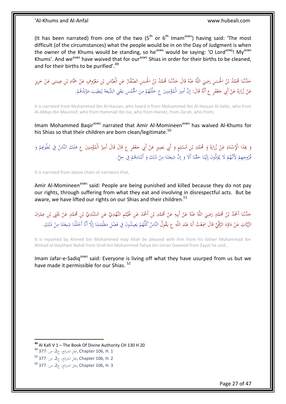(It has been narrated) from one of the two  $(5<sup>th</sup>$  or  $6<sup>th</sup>$  Imam<sup>asws</sup>) having said: 'The most difficult (of the circumstances) what the people would be in on the Day of Judgment is when the owner of the Khums would be standing, so he<sup>asws</sup> would be saying: 'O Lord<sup>azwj</sup>! Mv<sup>asws</sup> Khums'. And we<sup>asws</sup> have waived that for our<sup>asws</sup> Shias in order for their births to be cleaned, and for their births to be purified'.<sup>49</sup>

حَدَّثَنَا مُحَمَّدُ بْنُ الْحَسَنِ رَضِيَ اللَّهُ عَنْهُ قَالَ حَدَّثَنَا مُحَمَّدُ بْنُ الْحَسَنِ الصَّفَّارُ عَنِ الْعَبَّاسِ بْنِ مَعْرُوفٍ عَنْ حَمَّادِ بْنِ عِيسَى عَنْ حَرِيزٍ ب َ </sub> ا<br>ا ب :<br>ا َ ق<br>أ ن </sub> َ َ ا<br>ا ب ٔ<br>ا َ ا<br>ا اب<br>ا ب ∫<br>≃ **ٔ** ام<br>ا ْ عَنْ زُرَارَةَ عَنْ أَبِي جَعْفَرٍ ع أَنَّهُ قَالَ: إِنَّ أَمِيرَ الْمُؤْمِنِينَ عِ حَلَّلَهُمْ مِنَ الْخُمُسِ يَعْنِي الشَّيعَةَ لِيَطِيبَ مَوْلِدُهُمْ. ِ<br>ت .<br>م **ٔ** َ ْ َ َ ْ اب<br>ا ِ<br>∕ ْ ِ ل **ٔ** ام<br>ا َ ان<br>ا ي ؚ<br>ٳ ل <u>ة</u> َ **ٔ** َ َ ∕' <sup>1</sup> َ ِ<br>پ ن ِ

It is narrated from Muhammad Ibn Al-Hassan, who heard it from Mohammed Ibn Al-Hassan Al-Safar, who from Al-Abbas Ibn Mauroof, who from Hammad Ibn Isa, who from Hareez, from Zarah, who from;

Imam Mohammed Baqir<sup>asws</sup> narrated that Amir Al-Momineen<sup>asws</sup> has waived Al-Khums for his Shias so that their children are born clean/legitimate.<sup>50</sup>

**ٔ** وَ بِمَذَا الْإِسْنَادِ عَنْ زُرَارَةَ وَ مُحَمَّدِ بْنِ مُسْلِمٍ وَ أَبِي بَصِيرٍ عَنْ أَبِي جَعْفَرٍ ع قَالَ قَالَ أَمِيرُ الْمُؤْمِنِينَ ع هَلَكَ النَّاسُ فِي بُطُونِهِمْ وَ َ ْ َ َ ِ ا<br>ا ْ ب ∫ َ <u>َ</u>ّ َ ْ ∫ :<br>ا ن ا<br>ا ً </sub> ∫, ن ِ ْ ِ َ َ َ َ ْ  $\frac{1}{2}$ َ فُرُوجِهِمْ لِأَنَّهُمْ لَا يُؤَدُّونَ إِلَيْنَا حَقَّنَا أَلَا وَ إِنَّ شِيعَتَنَا مِنْ ذَلِكَ وَ أَبْنَاءَهُمْ فِي حِلٍّ. ْ ا<br>ا ا<br>أ ن .<br>أ َ ِ ْ ∫<br>∧ ا<br>ا ن ان<br>ا ت َ ِ إ </sub> :<br>ا َ : ن **ٔ** ِ َ <sup>(</sup>

It is narrated from above chain of narrators that,

Amir Al-Momineen<sup>asws</sup> said: People are being punished and killed because they do not pay our rights, through suffering from what they eat and involving in disrespectful acts. But be aware, we have lifted our rights on our Shias and their children.<sup>51</sup>

حَدَّثَنَا أَحْمَدُ بْنُ مُحَمَّدٍ رَضِيَ اللَّهُ عَنْهُ عَنْ أَبِيهِ عَنْ مُحَمَّدِ بْنِ أَحْمَدَ عَنِ الْهَيْثَمِ النَّهْدِيِّ عِنِ السِّنْدِيِّ بْنِ مُحَمَّدٍ عَنْ يَحْيَى بْنِ عِمْرَانَ َ ِ **ٔ** َ ث .<br>: ي َ َ ْ ب ِ ْ ِ ِ .<br>ا ن </sub> َ َ **ٍ** ب ٔ<br>ا ا َ ام<br>ا **ٔ** ب َ .<br>أ ∫, ْ ِ ِ الزَّيَّاتِ عَنْ دَاوُدَ الرَّقِّيِّ قَالَ سَمِعْتُ أَبَا عَبْدِ اللَّهِ ع يَقُولُ النَّاسُ كُلُّهُمْ يَعِيشُونَ فِي فَضْلِ مَظْلِمَتِنَا إِلَّا أَنَّا أَحْلَلْنَا شِيعَتَنَا مِنْ ذَلِكَ. ِ .<br>أ ب ي<br>ا ا<br>ا ن<br>أ ٔ<br>ا َ ْ ا <u>ّ</u> ِ<br>ृ ا<br>أ ن ا<br>أ ت َ ان<br>ا ْ ا<br>أ ن ِ ت ٍ<sup>م</sup> ِ ام<br>ا ي ِ َ ي ْ

It is reported by Ahmed bin Mohammed may Allah be pleased with him from his father Muhammad ibn Ahmad al-Haytham Nahdi from Sindi bin Mohammed Yahya bin Imran Dawood from Zayat he said ,

Imam Jafar-e-Sadiq<sup>asws</sup> said: Everyone is living off what they have usurped from us but we have made it permissible for our Shias.<sup>52</sup>

-

**<sup>49</sup>** Al Kafi V 1 – The Book Of Divine Authority CH 130 H 20

<sup>50 51</sup> Chapter ,عللِ الشرائعِ، جِ2، ص: 377

<sup>51 .</sup>A 106, H الشرائعِ، جِ2، ص: 37751

<sup>52 377 .</sup> Chapter ,عللِ الشرائعِ، جِ2، ص: 377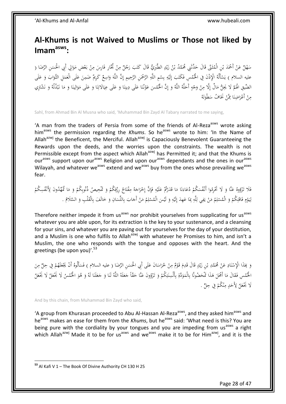# <span id="page-27-0"></span>**Al-Khums is not Waived to Muslims or Those not liked by Imamasws :**

ْ سَهْلٌ عَنْ أَحْمَدَ بْنِ الْمُثَنَّى قَالَ حَدَّثَنِي مُحَمَّدُ بْنُ زَيْدٍ الطَّبَرِيُّ قَالَ كَتَبَ رَجُلٌ مِنْ بَخْارٍ فَارِسَ مِنْ بَعْضِ مَوَالِي أَبِي الْحَسَنِ الرِّضَا (<br>.  $\overline{a}$ **∕** <u>َ</u> .<br>ف .<br>.<br>. **∕** َ َ ِ י,<br>. **ٍ** ْ ي َ ب َ ن<br>ن ْ ب <u>ً</u>  $\ddot{\phantom{0}}$ َ  $\overline{\phantom{a}}$ ْ .<br>ا عليه السلام ) يَسْأَلُهُ الْإِذْنَ فِي الْحُمُسِ فَكَتَبَ إِلَيْهِ بِسْمِ اللَّهِ الرَّحْمَنِ الرَّحِيمِ إِنَّ اللَّهَ وَاسِعٌ كَرِيمٌ ضَمِنَ عَلَى الْعَمَلِ الثَّوَابَ وَ عَلَى<br>. ِم<br>ٍ .<br>أ ب ِ **:** ∫أ إ ً<br>ا ْ َ ا ر<br>د  $\overline{a}$ َ َ :<br>ا َ َ ِ الضِّيقِ الْهَمَّ لَا يَحِلُّ مَالٌ إِلَّا مِنْ وَجْهٍ أَحَلَّهُ اللَّهُ وَ إِنَّ الْحُمُسَ عَوْنُنَا عَلَى دِينِنَا وَ عَلَى عِيَالَاتِنَا وَ عَلَى مَوَالِينَا وَ مَا نَبْذُلُهُ وَ نَشْتَرِي َ َ .<br>. ن ِ ∫<br>∹ </sub><br>د .<br>. ن <u>ٔ</u> َ .<br>-ِ إ َ َ  $\frac{2}{\sqrt{2}}$ ْ ٍ<br>ر ْ ِ َ َ .<br>. ؚ<br>پ َ  $\overline{\phantom{a}}$ </sub><br>د َ .<br>ا ن ِ<br>با ا<br>ا ي ن َ ْ ب .<br>. مِنْ أَعْرَاضِنَا مِمَّنْ نَخَافُ سَطْوَتَهُ ت ر<br>ر  $\overline{a}$ َ ْ ِ :<br>ا ا َ ْ ْ ِ

Sahl, from Ahmad Bin Al Musna who said, 'Muhammad Bin Zayd Al Tabary narrated to me saying,

'A man from the traders of Persia from some of the friends of Al-Reza<sup>asws</sup> wrote asking him<sup>asws</sup> the permission regarding the *Khums*. So he<sup>asws</sup> wrote to him: 'In the Name of Allah<sup>azwj</sup> the Beneficent, the Merciful. Allah<sup>azwj</sup> is Capaciously Benevolent Guaranteeing the Rewards upon the deeds, and the worries upon the constraints. The wealth is not Permissible except from the aspect which Allah<sup>azwj</sup> has Permitted it; and that the Khums is our<sup>asws</sup> support upon our<sup>asws</sup> Religion and upon our<sup>asws</sup> dependants and the ones in our<sup>asws</sup> Wilayah, and whatever we<sup>asws</sup> extend and we<sup>asws</sup> buy from the ones whose prevailing we<sup>asws</sup> fear.

ِ فَلَا تَزْوُوهُ عَنَّا وَ لَا تَحْرِمُوا أَنْفُسَكُمْ دُعَاءَنَا مَا قَدَرْتُمْ عَلَيْهِ فَإِنَّ إِخْرَاجَهُ مِفْتَاحُ رِزْقِكُمْ وَ تَمْحِيصُ ذُنُوبِكُمْ وَ مَا تُمَهِّدُونَ لِأَنْفُسِكُمْ<br>. ْ <u>َ</u> ت .<br>م ِ َ َ ْ ِ ٍ<br>أ ِ **ٔ** َ <u>ّ</u> ا<br>ا نا<br>ا ن ا<br>ا َ ْ  $\ddot{\phantom{0}}$ َ َ ْ ْ  $\overline{a}$ َ ْ َ ْ لِيَوْمِ فَاقَتِكُمْ وَ الْمُسْلِمُ مَنْ يَفِي لِلَّهِ بِمَا عَهِدَ إِلَيْهِ وَ لَيْسَ الْمُسْلِمُ مَنْ أَجَابَ بِاللِّسَانِ وَ خَالَفَ بِالْقَلْبِ وَ السَّلَامُ .<br>. ِ یا<br>: ي ْ  $\overline{\phantom{a}}$ ِ ا<br>ا َ <sup>(</sup> ِ.<br>ب ت ڹ<br>ؙ َ ِ ْ **ٔ** ِ َ ِ َ َ  $\ddot{\phantom{0}}$ ِ َ .<br>.<br>.  $\overline{\phantom{a}}$ ِ ا<br>ا <u>َ</u> َ ِ **:** ∫أ إ .<br>-َ َ ِ ِ ِّلْ ل

Therefore neither impede it from us<sup>asws</sup> nor prohibit yourselves from supplicating for us<sup>asws</sup> whatever you are able upon, for its extraction is the key to your sustenance, and a cleansing for your sins, and whatever you are paving out for yourselves for the day of your destitution, and a Muslim is one who fulfils to Allah<sup>azwj</sup> with whatever he Promises to him, and isn't a Muslim, the one who responds with the tongue and opposes with the heart. And the greetings (be upon you)'. $53$ 

وَ بِمَذَا الْإِسْنَادِ عَنْ مُحَمَّدِ بْنِ زَيْدٍ قَالَ قَدِمَ قَوْمٌ مِنْ خُرَاسَانَ عَلَى أَبِي الْحَسَنِ الرِّضَا ( عليه السلام ) فَسَأَلُوهُ أَنْ يَجْعَلَهُمْ فِي حِلٍّ مِنَ  $\ddot{\phantom{0}}$ َ  $\ddot{\phantom{0}}$ َ ِ <u>ٔ</u> َ ∫<br>∙ َ **ٍ** ْ ي .<br>نما ْ ب ِ ْ **∶** ٔ<br>ا ن **ٔ** ٔ َ  $\ddot{\phantom{0}}$ ِ ْ َ **ٔ**  $\ddot{\phantom{0}}$ **ٍ** ت :<br>ا ن الْخُمْسِ فَقَالَ مَا أَمْحَلَ هَذَا تَمْحَضُونَّا بِالْمَوَدَّةِ بِأَلْسِنَتِكُمْ وَ تَزْوُونَ عَنَّا حَقَّاً جَعَلَهُ اللَّهُ لَنَا وَ جَعَلَنَا لَهُ وَ هُوَ الْخُمْسُ لَا بَحْعَلُ<br>الْجُمُسِ فَقَالَ مَا أَمْحَلَ هَذَا تَ ِ ب  $\ddot{c}$ َ  $\overline{a}$ ِ ا<br>ا َ ا<br>ا .<br>أ َ َ .<br>. َ َ َ .<br>. َ َ َ َ ْ <sup>(</sup> َلَا نَخْعَلُ لِأَحَدٍ مِنْكُمْ فِي حِلٍّ . ْ ن **∕ ٍ** َ

And by this chain, from Muhammad Bin Zayd who said,

'A group from Khurasan proceeded to Abu Al-Hassan Al-Reza<sup>asws</sup>, and they asked him<sup>asws</sup> and he<sup>asws</sup> makes an ease for them from the *Khums*, but he<sup>asws</sup> said: 'What need is this? You are being pure with the cordiality by your tongues and you are impeding from us<sup>asws</sup> a right which Allah<sup>azwj</sup> Made it to be for us<sup>asws</sup> and we<sup>asws</sup> make it to be for Him<sup>azwj</sup>, and it is the

<sup>1</sup> **<sup>53</sup>** Al Kafi V 1 – The Book Of Divine Authority CH 130 H 25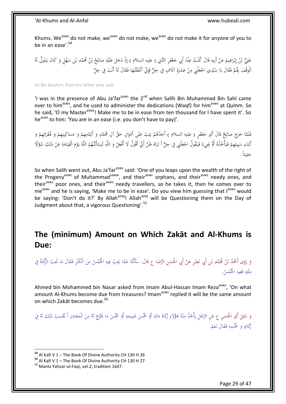Khums. We<sup>asws</sup> do not make, we<sup>asws</sup> do not make, we<sup>asws</sup> do not make it for anyone of you to be in an ease'.<sup>54</sup>

ِ عَلِيُّ بْنُ إِبْرَاهِيمَ عَنْ أَبِيهِ قَالَ كُنْتُ عِنْدَ أَبِي جَعْفَرٍ الثَّابِي ( عليه السلام ) إِذْ دَخَلَ عَلَيْهِ صَالِحُ بْنُ مُحَمَّدِ بْنِ سَهْلٍ وَ كَانَ يَتَوَلَّى لَهُ<br>.  $\overline{\phantom{a}}$ ْ َ  $\overline{\phantom{0}}$ ِ .<br>م ْ َ ٔ<br>ا ن :<br>. َ ِ ِ ْ ا ِ َ .<br>. ∫. إ ب ِ َ َ بٍ<br>∶ َ ْ ٔ<br>ا **ٔ** ب ِ ب الْوَقْفَ بِقُمَّ فَقَالَ يَا سَيِّدِي اجْعَلْنِي مِنْ عَشَرَةِ آلَافٍ فِي حِلٍّ فَإِنِّي أَنْفَقْتُهَا فَقَالَ لَهُ أَنْتَ فِي حِلٍّ َ ْ **∕** َ ْ ِ ي  $\overline{a}$ ُيا<br>. ِ<br>ف ِ<br>با :<br>ا َ .<br>.<br>. نم<br>عم  $\triangleleft$ .<br>م ِ ُ<br>أ

Ali Bin Ibrahim, from his father who said,

'I was in the presence of Abu Ja'far<sup>asws</sup> the  $2<sup>nd</sup>$  when Salih Bin Muhammad Bin Sahl came over to him<sup>asws</sup>, and he used to administer the dedications (Waqf) for him<sup>asws</sup> at Qumm. So he said, 'O my Master<sup>asws</sup>! Make me to be in ease from ten thousand for I have spent it'. So he<sup>asws</sup> to him: 'You are in an ease (i.e. you don't have to pay)'.

ْ فَلَمَّا خَرَجَ صَالِحٌ قَالَ أَبُو جَعْفَرٍ ( عليه السلام ) أَحَدُهُمْ يَتِبُ عَلَى أَمْوَالِ حَقِّ آلِ مُحَمَّدٍ وَ أَيْتَامِهِمْ وَ مَسَاكِينِهِمْ وَ فُقَرَائِهِمْ وَ<br>. َ .<br>أ ْ َ َ ∫<br>⊢  $\overline{a}$ َ َ ْ ِ َ َ ْ ِ.  $\ddot{\phantom{0}}$ َ ْ ِ<br>∧ <u>ً</u> ت ْ َ .<br>∙ َ َ ابل<br>أ َ ث ِيَّةٍ ي أَبْنَاءِ سَبِيلِهِمْ فَيَأْخُذُهُ ثُمَّ يَجِيءُ فَيَقُولُ اجْعَلْنِي فِي حِلِّ أَ تَرَاهُ ظَنَّ أَنِّي أَقُولُ لَا أَفْعَلُ وَ اللَّهِ لَيَسْأَلَنَّهُمُ اللَّهُ يَوْمَ الْقِيَامَةِ عَنْ ذَلِكَ سُؤَالًا اب<br>ا ي َ <sup>(</sup> ِ ِ ب  $\overline{\phantom{a}}$ ِ :<br>ا ن .<br>أ **ٔ** ⊿ َ َ َ ْ ا<br>ا َ ِ <u>:</u> ة.  $\overline{\phantom{a}}$  $\ddot{\phantom{0}}$ ي .<br>د َ <u>ٔ</u> ب<br>: حَثِيثاً . .<br>ب ث َ

So when Salih went out, Abu Ja'far<sup>asws</sup> said: 'One of you leaps upon the wealth of the right of the Progeny<sup>asws</sup> of Muhammad<sup>saww</sup>, and their<sup>asws</sup> orphans, and their<sup>asws</sup> needy ones, and their<sup>asws</sup> poor ones, and their<sup>asws</sup> needy travellers, so he takes it, then he comes over to  $me<sup>asws</sup>$  and he is saying, 'Make me to be in ease'. Do you view him guessing that  $I<sup>asws</sup>$  would be saying: 'Don't do it?' By Allah<sup>azwj</sup>! Allah<sup>azwj</sup> will be Questioning them on the Day of Judgment about that, a vigorous Questioning'. $55$ 

### <span id="page-28-0"></span>**The (minimum) Amount on Which Zakāt and Al-Khums is Due:**

وَ رَوَى أَحْمَدُ بْنُ مُحَمَّدِ بْنِ أَبِي نَصْرٍ عَنْ أَبِي الْحَسَنِ الرِّضَا ع قَالَ: سَأَلْتُهُ عَمَّا يَجِبُ فِيهِ الْحُمْسُ مِنَ الْكَنْزِ فَقَالَ مَا تَجِبُ الزَّكَاةُ فِي<br>مَسْتَمَسْمَعُ مِنَ الْمَمَلُ بِّينَ أَبِ َ ٔ<br>ا ْ ْ ب ِ ب َ َ ام<br>ا .<br>م <u>:</u> َ ِ<br>ृ ।<br>। ِ ا<br>ا مِثْلِهِ فَفِيهِ الْحُمُسُ.<br>ـ  $\overline{a}$ ِ ِ J **:** ث ∫<br>∧

Ahmed bin Mohammed bin Nasar asked from Imam Abul-Hassan Imam Reza<sup>asws</sup>, 'On what amount Al-Khums become due from treasures? Imam<sup>asws</sup> replied it will be the same amount on which Zakāt becomes due.<sup>56</sup>

وَ سُئِلَ أَبُو الْحَسَنِ عِ عَنِ الرَّجُلِ يَأْخُذُ مِنْهُ هَؤُلَاءِ زَكَاةَ مَالِهِ أَوْ خُمُسَ غَنِيمَتِهِ أَوْ خُمُسَ مَا يَخْرُجُ لَهُ مِنَ الْمَعَادِنِ أَ يُحْسَبُ ذَلِكَ لَهُ فِي  $\ddot{\phantom{1}}$ ٍ ) ِ<br>ئا ئ َ ا<br>ا ِ َ ن ∫<br>∕ َيا َ ِ ِ َ َ َ ِ ام<br>ا ً<br>ا **ٔ** ∫ ِ ت **ै** ِ<br>ب ٔ<br>ا **ٔ** ِ ِ ل زَكَاتِهِ وَ خُمُسِهِ فَقَالَ نَعَمْ. <sup>(</sup> َ .<br>أ ِ </sub> ِ ِ

**<sup>54</sup>** Al Kafi V 1 – The Book Of Divine Authority CH 130 H 26

**<sup>55</sup>** Al Kafi V 1 – The Book Of Divine Authority CH 130 H 27

<sup>56</sup> Manla Yahzar-ul-Faqi, vol.2, tradition 1647.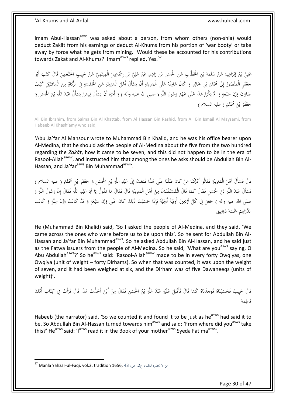Imam Abul-Hassan<sup>asws</sup> was asked about a person, from whom others (non-shia) would deduct Zakāt from his earnings or deduct Al-Khums from his portion of 'war booty' or take away by force what he gets from mining. Would these be accounted for his contributions towards Zakat and Al-Khums? Imam<sup>asws</sup> replied, Yes.<sup>57</sup>

عَلِيُّ بْنُ إِبْرَاهِيمَ عَنْ سَلَمَةَ بْنِ الْحَطَّابِ عَنِ الْحَسَنِ بْنِ رَاشِدٍ عَنْ عَلِيٍّ بْنِ إِسْمَاعِيلَ الْعِيشَمِيِّ عَنْ حَبِيبِ الْخُنْعَمِيِّ قَالَ كَتَبَ أَبُو ْ ب <u>َّ</u> ا<br>ا  $\ddot{\phantom{0}}$ ا ِ َ .<br>أ ِ إ ب ِ َ **َ** َ َ ِ ب َ ٍ<sup>ّ</sup> َ ٍاٍ ْ ب ِ َ .<br>.<br>. **ٍ** را<br>. ْ  $\ddot{\phantom{0}}$ َ </sub><br>د حَعْفَرٍ الْمَنْصُورُ إِلَى مُحَمَّدِ بْنِ خَالِدٍ وَ كَانَ عَامِلَهُ عَلَى الْمَدِينَةِ أَنْ يَسْأَلَ أَهْلَ الْمَدِينَةِ عَنِ الْحُمْسَةِ فِي الزَّكَاةِ مِنَ الْمِائَتَيْنِ كَيْفَ<br>. ï .<br>. ِ  $\overline{a}$  $\overline{\phantom{0}}$ ْ ï .<br>. ِ  $\overline{\phantom{a}}$ َ ∫<br>∕ َ َ **∶** ِ َ ْ ب ِ ِ إ ن ا<br>ا َ ْ َ ٔ<br>ا :<br>ا ∕'  $\ddot{c}$ ï ٔ<br>ا ِ صَارَتْ وَزْنَ سَبْعَةٍ وَ ۖ لَمْ يَكُنْ هَذَا عَلَى عَهْدِ رَسُولِ اللَّهِ ( صلى الله عليه وآله ) وَ أَمَرَهُ أَنْ يَسْأَلَ فِيمَنْ يَسْأَلُ عَبْدَ اللَّهِ بْنَ الْحَسَنِ وَ ْ َ  $\overline{\phantom{a}}$ َ ِم<br>ٍ َ ِ ْ َ َ ۵<br>ا ْ َ ي ا<br>ا َ  $\ddot{\epsilon}$ َ .<br>.  $\ddot{\phantom{0}}$ َ  $\overline{\phantom{a}}$  $\ddot{\phantom{0}}$ َ ب ً ا<br>ا ْ ب </sub><br>د ــ<br>أ ي .<br>- $\ddot{\phantom{0}}$ جَعْفَرَ بْنَ مُحَمَّدٍ ( عليه السلام ) **ٍ** َ ب َ و<br>ا َ

Ali Bin Ibrahim, from Salma Bin Al Khattab, from Al Hassan Bin Rashid, from Ali Bin Ismail Al Maysami, from Habeeb Al Khash'amy who said,

'Abu Ja'far Al Mansour wrote to Muhammad Bin Khalid, and he was his office bearer upon Al-Medina, that he should ask the people of Al-Medina about the five from the two hundred regarding the *Zakāt*, how it came to be seven, and this did not happen to be in the era of Rasool-Allah<sup>saww</sup>, and instructed him that among the ones he asks should be Abdullah Bin Al-Hassan, and Ja'far<sup>asws</sup> Bin Muhammad<sup>asws</sup>'.

قَالَ فَسَأَلَ أَهْلَ الْمَدِينَةِ فَقَالُوا أَدْرَكْنَا مَنْ كَانَ قَبْلَنَا عَلَى هَذَا فَبَعَثَ إِلَى عَبْدِ اللَّهِ بْنِ الْحُسَنِ وَ جَعْفَرِ بْنِ مُحَمَّدٍ ( عليه السلام )<br>. ْ ب ِ **ٍ** ْ ب َ ِ  $\ddot{\cdot}$ َ ۵<br>ا َ .<br>. **ٔ** َ ْ ا<br>ا .<br>. َ ُمُ ; ن<br>ا ِ َ َ  $\ddot{\phantom{0}}$ َ **ٍ** ْ .<br>م ْ َ َ  $\ddot{\phantom{0}}$ فَسَأَلَ عَبْدَ اللَّهِ بْنَ الْحُسَنِ فَقَالَ كَمَا قَالَ الْمُسْتَفْتَوْنَ مِنْ أَهْلِ الْمَدِينَةِ قَالَ فَقَالَ مَا تَقُولُ يَا أَبَا عَبْدِ اللَّهِ فَقَالَ إِنَّ رَسُولَ اللَّهِ (<br>. ُمُ  $\ddot{\phantom{0}}$ َ ب ِ **ـ** .<br>. ب َ  $\ddot{\phantom{0}}$ َ ِ .<br>م ⊿<br>≀ ِ **ٔ** ب َ با<br>ا ب<br>أ .<br>م َ ِ .<br>. ِ  $\overline{\phantom{a}}$ å<br>. .<br>.<br>. **ٍ** <u>ٔ</u> .<br>أ ٔ<br>ا َ  $\overline{\phantom{a}}$ ⊿<br>≀ ْ صلى الله عليه وآله ) حَعَلَ فِي ݣُلِّ أَرْبَعِينَ أُوقِيَّةً أُوقِيَّةً فَإِذَا حَسَبْتَ ذَلِكَ كَانَ عَلَى وَزْنِ سَبْعَةٍ وَ قَدْ كَانَتْ وَزْنَ سِتَّةٍ وَ كَانَتِ<br>الدَّرَاهِمُ خَمْسَةَ دَوَانِيقَ  $\ddot{\phantom{0}}$ َ </sub><br>د ِ ب  $\ddot{\phantom{0}}$ ِ ِّي<br>أ  $\ddot{\phantom{a}}$ ي<br>به ِ <u>:</u> ي ِ ِ َ ب .<br>ا  $\zeta$  َ .<br>. <u>ۃ</u> َ َ  $\ddot{a}$ َ الدَّرَاهِمُ خَمْسَةَ دَوَانِيقَ<br>' ِ َ ا<br>ا  $\overline{\phantom{a}}$ ِ َ

He (Muhammad Bin Khalid) said, 'So I asked the people of Al-Medina, and they said, 'We came across the ones who were before us to be upon this'. So he sent for Abdullah Bin Al-Hassan and Ja'far Bin Muhammad<sup>asws</sup>. So he asked Abdullah Bin Al-Hassan, and he said just as the Fatwa issuers from the people of Al-Medina. So he said, 'What are you<sup>asws</sup> saying, O Abu Abdullah<sup>asws</sup>?' So he<sup>asws</sup> said: 'Rasool-Allah<sup>saww</sup> made to be in every forty Owqiyas, one Owqiya (unit of weight – forty Dirhams). So when that was counted, it was upon the weight of seven, and it had been weighed at six, and the Dirham was of five Dawaneeqs (units of weight)'.

قَالَ حَبِيبٌ فَحَسَبْنَاهُ فَوَجَدْنَاهُ كَمَا قَالَ فَأَقْبَلَ عَلَيْهِ عَبْدُ اللَّهِ بْنُ الْحَسَنِ فَقَالَ مِنْ أَيْنَ أَخَذْتَ هَذَا قَالَ قَرَأْتُ فِي كِتَابِ أُمِّكَ َ .<br>.<br>. ِ ِ<br>مُ ب ِ ْ ب َ ِ **:** َ  $\zeta$ .<br>: ٍ<br>أ ن<br>ن َ ُنا َ َ ٔ<br>ا ن .<br>.  $\overline{a}$ ي ِ ب َ .<br>أ <u>ً</u> ت أْ َ َ َ َ <u>َ</u> ة م اطِ ف ا<br>ا َ

Habeeb (the narrator) said, 'So we counted it and found it to be just as he<sup>asws</sup> had said it to be. So Abdullah Bin Al-Hassan turned towards him<sup>asws</sup> and said: 'From where did you<sup>asws</sup> take this?' He<sup>asws</sup> said: 'I<sup>asws</sup> read it in the Book of your mother<sup>asws</sup> Syeda Fatima<sup>asws</sup>'.

-

منَ لَا يَحْضُرِهِ الفقيَّةِ، جِ2، ص: 43 Aanla Yahzar-ul-Faqi, vol.2, tradition  $1656$ ,  $43$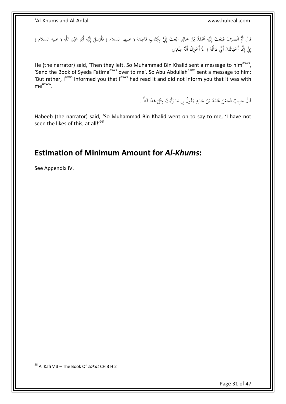قَالَ ثُمَّ انْصَرَفَ فَبَعَثَ إِلَيْهِ مُحَمَّدُ بْنُ خَالِدٍ ابْعَثْ إِلَيَّ بِكِتَابِ فَاطِمَةَ ( عليها السلام ) فَأَرْسَلَ إِلَيْهِ أَبُو عَبْدِ اللَّهِ ( عليه السلام )<br>-ب ِ **:** ׀֬<sup>׀</sup>  $\ddot{\phantom{0}}$ ُ<br>ا َ  $\overline{a}$ .<br>أ ⊿<br>≀ ∫<br>∙ ْ ب َ ِ ْ اٰ ا إ  $\overline{\phantom{0}}$ ٔ<br>ا َ  $\overline{a}$ ٍ<br>ئ <u>ً</u> ت َ  $\int$ **ٔ ٍ** ِ َ نِّي إِنَّمَا أَخْبَرْتُكَ أَنِّي قَرَأْتُهُ وَ لَمْ أُخْبِرْكَ أَنَّهُ عِنْدِي ِ ن <u>ّ</u> ْ <sup> $\overline{ }$ </sup> َ َ م<br>تار<br>-.<br>. .<br>ا **ٔ** ِ إ

He (the narrator) said, 'Then they left. So Muhammad Bin Khalid sent a message to him<sup>asws</sup>, 'Send the Book of Syeda Fatima<sup>asws</sup> over to me'. So Abu Abdullah<sup>asws</sup> sent a message to him: 'But rather, I<sup>asws</sup> informed you that I<sup>asws</sup> had read it and did not inform you that it was with measws,

> َ قَالَ حَبِيبٌ فَجَعَلَ مُحَمَّدُ بْنُ خَالِدٍ يَقُولُ لِي مَا رَأَيْتُ مِثْلَ هَذَا قَطٌ .<br>\* َ ي ِ ب َ َ َ ۵<br>ا َ ث **ृ** َ ا<br>ا ُ. **ٍ** ِ َ ب

Habeeb (the narrator) said, 'So Muhammad Bin Khalid went on to say to me, 'I have not seen the likes of this, at all!'<sup>58</sup>

### <span id="page-30-0"></span>**Estimation of Minimum Amount for** *Al-Khums***:**

See Appendix IV.

1 <sup>58</sup> Al Kafi V 3 – The Book Of *Zakat* CH 3 H 2

Page 31 of 47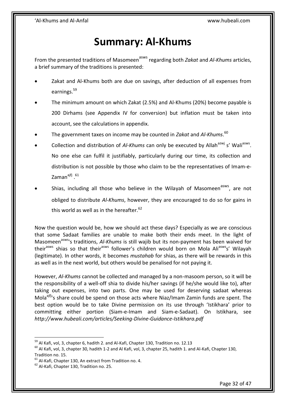# **Summary: Al-Khums**

<span id="page-31-0"></span>From the presented traditions of Masomeen<sup>asws</sup> regarding both *Zakat* and *Al-Khums* articles, a brief summary of the traditions is presented:

- Zakat and Al-Khums both are due on savings, after deduction of all expenses from earnings.<sup>59</sup>
- The minimum amount on which Zakat (2.5%) and Al-Khums (20%) become payable is 200 Dirhams (see Appendix IV for conversion) but inflation must be taken into account, see the calculations in appendix.
- The government taxes on income may be counted in *Zakat* and *Al-Khums*. 60
- Collection and distribution of *Al-Khums* can only be executed by Allah<sup>azwj</sup> s' Wali<sup>asws</sup>. No one else can fulfil it justifiably, particularly during our time, its collection and distribution is not possible by those who claim to be the representatives of Imam-e-<sup>61</sup>. <sup>61</sup> Zaman<sup>ajfj</sup>
- Shias, including all those who believe in the Wilayah of Masomeen<sup>asws</sup>, are not obliged to distribute *Al-Khums*, however, they are encouraged to do so for gains in this world as well as in the hereafter.<sup>62</sup>

Now the question would be, how we should act these days? Especially as we are conscious that some Sadaat families are unable to make both their ends meet. In the light of Masomeen<sup>asws</sup>'s traditions, Al-Khums is still wajib but its non-payment has been waived for their<sup>asws</sup> shias so that their<sup>asws</sup> follower's children would born on Mola Ali<sup>asws</sup>s' Wilayah (legitimate). In other words, it becomes *mustahab* for shias, as there will be rewards in this as well as in the next world, but others would be penalised for not paying it.

However, *Al-Khums* cannot be collected and managed by a non-masoom person, so it will be the responsibility of a well-off shia to divide his/her savings (if he/she would like to), after taking out expenses, into two parts. One may be used for deserving sadaat whereas Mola<sup>ajfji</sup>'s share could be spend on those acts where Niaz/Imam Zamin funds are spent. The best option would be to take Divine permission on its use through 'Istikhara' prior to committing either portion (Siam-e-Imam and Siam-e-Sadaat). On Istikhara, see *http://www.hubeali.com/articles/Seeking-Divine-Guidance-Istikhara.pdf*

-

<sup>&</sup>lt;sup>59</sup> Al Kafi, vol, 3, chapter 6, hadith 2. and Al-Kafi, Chapter 130, Tradition no. 12.13

 $^{60}$  Al Kafi, vol, 3, chapter 30, hadith 1-2 and Al Kafi, vol, 3, chapter 25, hadith 1. and Al-Kafi, Chapter 130, Tradition no. 15.

 $61$  Al-Kafi, Chapter 130, An extract from Tradition no. 4.

<sup>&</sup>lt;sup>62</sup> Al-Kafi, Chapter 130, Tradition no. 25.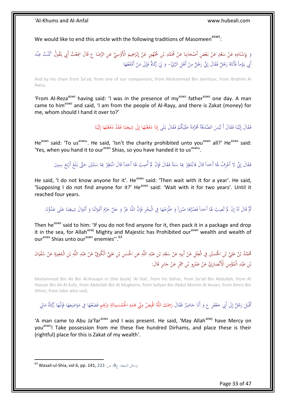#### We would like to end this article with the following traditions of Masomeen<sup>asws</sup>:

َ و ِّ ي ْسِ اْْلَو يم اه ر ب َن وٍر ع ُ ِن ُْجْه َ َّمد ُُم َن ا ع اب ْح ِض أَص ع ب َن ع د ع ْ س َن ع ه اد ِس إ ب وُل ِ ُ ق ْ ُت أَِيب ي ع اَل َمسِ ِّ َضا ع ق ِن الر َ ع ِِ ْد ُت عِ ُكن َ ِ َ .<br>ا ِ إ ْ ْ ب ِ ْ .<br>أ ن ِ َ **ٔ** ا ْ **ٍ** ْ ٔ<br>ا ِ ِ ٔ<br>ا ن **ٔ** ب<br>ا َ َ ن <u>:</u> أَبِي يَوْماً فَأَتَاهُ رَجُلٌ فَقَالَ إِنِّي رَجُلٌ مِنْ أَهْلِ الرَّيِّ– وَ لِيَ زَكَاةٌ فَإِلَى مَنْ أَدْفَعُهَا **ٔ ٔ** ∫<br>∕ ِ َ َ .<br>أ **ٔ** ا<br>ا َ <u>ٔ</u> ْ ام<br>ا ِ ا<br>أ  $\zeta$ َ

And by his chain from Sa'ad, from one of our companions, from Muhammad Bin Jamhour, from Ibrahim Al Awsy,

'From Al-Reza<sup>asws</sup> having said: 'I was in the presence of my<sup>asws</sup> father<sup>asws</sup> one day. A man came to him<sup>asws</sup> and said, 'I am from the people of Al-Rayy, and there is Zakat (money) for me, whom should I hand it over to?'

> ِ فَقَالَ إِلَيْنَا فَقَالَ أَ لَيْسَ الصَّدَقَةُ مُحَرَّمَةً عَلَيْكُمْ فَقَالَ بَلَى إِذَا دَفَعْتَهَا إِلَى شِيعَتِنَا فَقَدْ دَفَعْتَهَا إِلَيْنَا ة<br>أ اب<br>ا **ٔ** ً<br>گ َ ان<br>ا ا<br>ا .<br>ا ة<br>أ :<br>ا ن ْ ِ َ ت ْ ِ ٔ. ن ِ ت َ ِ ֖֖֦֧֦֧֦֧֦֧ׅ֪֦֧֦֧֦֧֦֧֦֧֦֧֦֧֧ׅ֪֪֪֪֪֪֪֪֦֧֧֦֧֧֧֦֧֪֪֪֪֪֪֪֪֪֪֪֪֪֪֪֪֪֪֪֪֪֚֚֚֚֚֚֚֚֚֚֡֝֬֝֜֝֬֝֬֜֜֬֞֝֬֞ ٔ<br>ً ت **ٔ** ا<br>ا ن ْ ِ إ

He<sup>asws</sup> said: 'To us<sup>asws</sup>'. He said, 'Isn't the charity prohibited unto you<sup>asws</sup> all?' He<sup>asws</sup> said: 'Yes, when you hand it to our<sup>asws</sup> Shias, so you have handed it to us<sup>asws</sup>'.

<u>َ</u> ت <u>ّ</u> فَقَالَ إِنِّي لَا أَعْرِفُ لَهَا أَحَداً قَالَ فَانْتَظِرْ كِمَا سَنَةً فَقَالَ فَإِنْ لَمْ أُصِبْ لَهَا أَحَداً قَالَ انْتَظِرْ كِمَا سَنَتَيْنِ حَتَّى بَلَغَ أَرْبَعَ سِنِينَ  $\overline{a}$ َ ً<br>ا ْ ِ َ ِ<br>م ن<br>ا ن ا<br>ا َ .<br>أ ت :<br>ا .<br>أ ن<br>ا ً َ ۱, ا<br>ا ِ نم<br>عم ن ا ب .<br>أ َ اب<br>ا َ ت <u>َ</u> ن ا<br>ا َ ر<br>ا

He said, 'I do not know anyone for it'. He<sup>asws</sup> said: 'Then wait with it for a year'. He said, 'Supposing I do not find anyone for it?' He<sup>asws</sup> said: 'Wait with it for two years'. Until it reached four years.

مُّ قَالَ لَهُ إِنْ لَمْ تُصِبْ لَهَا أَحَداً فَصُرَّهَا صُرَراً وَ اطْرَحْهَا فِي الْبَحْرِ فَإِنَّ اللَّهَ عَزَّ وَ جَلَّ حَرَّمَ أَمْوَالَنَا وَ أَمْوَالَ شِيعَتِنَا عَلَى عَدُوِّنَا. َ ً َ ۱ ت  $\overline{a}$ ِ إ َ :<br>ا اند<br>ا ن ِ َ ام<br>ا َ اند<br>ا َ ام<br>ا َ َ َ َ ً<br>گ َ ِ ا<br>أ ْ َ ْ ُ<br>ن َ

Then he<sup>asws</sup> said to him: 'If you do not find anyone for it, then pack it in a package and drop it in the sea, for Allah<sup>azwj</sup> Mighty and Majestic has Prohibited our<sup>asws</sup> wealth and wealth of our<sup>asws</sup> Shias unto our<sup>asws</sup> enemies".<sup>63</sup>

#### مُحَمَّدُ بْنُ عَلِيِّ بْنِ الْحُسَيْنِ فِي الْعِلَلِ عَنْ أَبِيهِ عَنْ سَعْدِ بْنِ عَبْدِ اللَّهِ عَنِ الْحَسَنِ بْنِ عَلِيٍّ الْكُوڤِيِّ عَنْ عَبْدِ اللَّهِ بْنِ الْمُغِيرَةِ عَنْ سُفْيَانَ<br>. ِ َ ا<br>ا ٔ<br>ا ً<br>گ ∫<br>} ِ .<br>أ ب ر<br>گ ْ ب ِ ْ ا<br>ا ِ ∫ ْ ٍ<br>ا ِ ْ ب ِ َ ب ب ِ ِ **ٔ** ب </sub><br>د <u>:</u> ้ ي .<br>م ة<br>ق <u>َّ</u> ِ نِ عَبْدِ الْمُؤْمِنِ الْأَنْصَارِيِّ عَنْ عَمْرِو بْنِ شِمْرٍ عَنْ جَابِرٍ قَالَ: َ َ **ٔ** ْ ا<br>ا ْ ا<br>ا ∫<br>∕ <u>ا</u> ِ .<br>أ ب َ ْ ب

Muhammad Bin Ali Bin Al-Husayn in (the book) 'Al Illal', from his father, from Sa'ad Bin Abdullah, from Al Hassan Bin Ali Al Kufy, from Abdullah Bin Al Mugheira, from Sufyan Bin Abdul Momin Al Ansari, from Amro Bin SHimr, from Jabir who said,

أَقْبَلَ رَجُلٌ إِلَى أَبِي جَعْفَرٍ ع وَ أَنَا حَاضِرٌ فَقَالَ رَجِمَكَ اللَّهُ اقْبِضْ مِنِّي هَذِهِ الْحُمْسَمِائَةِ دِرْهَمٍ فَضَعْهَا فِي مَوَاضِعِهَا فَإِنَّهَا زَكَاةُ مَالِي ة<br>أ َ ُنا َ َ **ٔ** َ ِ إ ٍ ) َ ِ ِ ِ ِ َ ِ ٔ<br>ا َ <u>ّز</u> ∫<br>∹ َ ام<br>ا َ **ٔ** ام<br>ا َ ِ َ َ ِ, ا

'A man came to Abu Ja'far<sup>asws</sup> and I was present. He said, 'May Allah<sup>azwj</sup> have Mercy on you<sup>asws</sup>! Take possession from me these five hundred Dirhams, and place these is their (rightful) place for this is Zakat of my wealth'.

-

 $^{63}$  Wasail-ul-Shia, vol 6, pp. 141, 223  $\,$ وسائل الشيعةِ، ج $9$ ، ص $\,$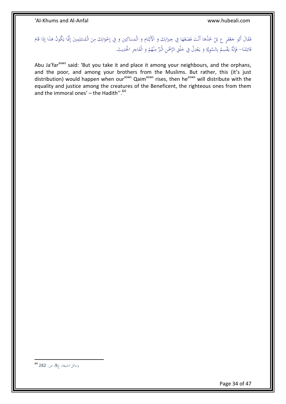#### َ فَقَالَ أَبُو جَعْفَرٍ ع بَلْ خُذْهَا أَنْتَ فَضَعْهَا فِي جِيرَانِكَ وَ الْأَيْتَامِ وَ الْمَسَاكِينِ وَ فِي إِخْوَانِكَ مِنَ الْمُسْلِمِينَ إِنَّمَا يَكُونُ هَذَا إِذَا قَامَ ِ ِ َ **ٔ** َ ٔ<br>ا َ <u>ً</u> ت ْ َ ِ  $\overline{a}$ َ **ٔ** .<br>ا َ **ٔ** با<br>ا َ **ٔ** َ نم<br>عم َ ِ َ پ<br>ا ا ا<br>ا قَائِمُنَا– فَإِنَّهُ يَقْسِمُ بِالسَّوِيَّةِ وَ يَعْدِلُ فِي خَلْقِ الرَّحْمَنِ الْبَرِّ مِنْهُمْ وَ الْفَاجِرِ الْحَدِيثَ. :<br>ا ن ِ َ ∫ **ٔ** ُبا<br>ا َ ِ ِ ب ٔ, ِ ِ<br>و ي ِ ٔ<br>ا .<br>م َ <sup>أ</sup> ن ِ

Abu Ja'far<sup>asws</sup> said: 'But you take it and place it among your neighbours, and the orphans, and the poor, and among your brothers from the Muslims. But rather, this (it's just distribution) would happen when our<sup>asws</sup> Qaim<sup>asws</sup> rises, then he<sup>asws</sup> will distribute with the equality and justice among the creatures of the Beneficent, the righteous ones from them and the immoral ones' - the Hadith".<sup>64</sup>

-

Page 34 of 47

وسائلِ الشيعةِ، ج9ِ، ص: 282 <sup>64</sup>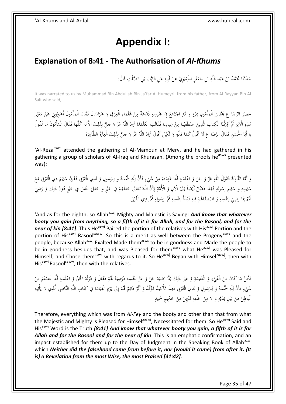# **Appendix I:**

### <span id="page-34-1"></span><span id="page-34-0"></span>**Explanation of 8:41 - The Authorisation of** *Al-Khums*

حَدَّثَنَا مُحَمَّدُ بْنُ عَبْدِ اللَّهِ بْنِ جَعْفَرٍ الْحِمْيَرِيُّ عَنْ أَبِيهِ عَنِ الرَّيَّانِ بْنِ الصَّلْتِ قَالَ: َ ْ ب ن<br>يا َ ِ ِّ ْ ِ  $\ddot{\cdot}$ .<br>م ْ َ ْ ب ِ ِ .<br>. ب ي<br>ا ب :<br>. َ

It was narrated to us by Muhammad Bin Abdullah Bin Ja'far Al Humeyri, from his father, from Al Rayyan Bin Al Salt who said,

ا َ حَضَرَ الرِّضَا عِ مَخْلِسَ الْمَأْمُونِ بِمَرْوَ وَ قَدِ اجْتَمَعَ فِي مَخْلِسِهِ جَمَاعَةٌ مِنْ عُلَمَاءِ الْعِزَاقِ وَ خُزَاسَانَ فَقَالَ الْمَأْمُونُ أَخْبِرُونِي عَنْ مَعْنَى<br>. ֚֚֡֬ َ َ َ ا َ ِ ِ ً<br>ً. .<br>-<br>-ِ َ ِ ِ  $\zeta$  $\ddot{\phantom{0}}$ ت ْ ِ َ َ .<br>. ِ **≀**  $\overline{\phantom{0}}$ .<br>ح  $\overline{\phantom{a}}$ .<br>-<br>-ْ ٍ<br>م ِ<br>ع هَذِهِ الْآيَةِ ثُمَّ أَوْرَتْنَا الْكِتابَ الَّذِينَ اصْطَفَيْنا مِنْ عِبادِنا فَقَالَتِ الْعُلَمَاءُ أَرَادَ اللَّهُ عَزَّ وَ حَلَّ بِذَلِكَ الْأُمَّةَ كُلَّهَا فَقَالَ الْمَأْمُونُ مَا تَقُولُ ِ<br>مُ **∶** ْ ِ **:** ي َ َ **ٍ** .<br>. َ ِّ ; یا<br>-ِ ∫<br>∙ ٔ<br>أ  $\overline{\phantom{a}}$  $\overline{a}$ ِ<br>مُ َ ِ ِ َ َ َ َ .<br>. لَ ا أَبَا الْحَسَنِ فَقَالَ الرِّضَا عِ لَا أَقُولُ كَمَا قَالُوا وَ لَكِنِّي أَقُولُ أَرَادَ اللَّهُ عَزَّ وَ جَلَّ بِذَلِكَ الْعِتْرَةَ الطَّاهِرَةَ ِ ِ َ َ ا<br>ا َ َ َ َ .<br>أ َ َ ي ِ ة<br>م  $\overline{\phantom{a}}$ ِ ة<br>أ َ

'Al-Reza<sup>asws</sup> attended the gathering of Al-Mamoun at Merv, and he had gathered in his gathering a group of scholars of Al-Iraq and Khurasan. (Among the proofs he<sup>asws</sup> presented was):

 $\overline{\phantom{0}}$ وَ أَمَّا الثَّامِنَةُ فَقَوْلُ اللَّهِ عَزَّ وَ حَمَلَ وَ اعْلَمُوا أَمَّا غَنِمْتُمْ مِنْ شَيْءٍ فَأَنَّ لِلَّهِ خُمْسَهُ وَ لِلرَّسُولِ وَ لِلرِي الْقُرْبى فَقَرَنَ سَهْمَ ذِي الْقُرْبَى مَعَ<br>. َ َ َ ِ <u>ٔ</u> ن<br>ا ن ∫<br>∕ َ ْ َ ْ ∕' ْ ت ا<br>ا ِ ر<br>. ِ ِ ل َ ِ ل َ  $\ddot{\phantom{0}}$ ً ڵ .<br>أ .<br>ء  $\zeta$  $\ddot{\phantom{0}}$ َ ;<br>∶ ا <sup>e</sup> ٔ<br>أ َ .<br>د ْ سَهْمِهِ وَ سَهْمِ رَسُولِهِ فَهَذَا فَضْلٌ أَيْضاً بَيْنَ الْآلِ وَ الْأُمَّةِ لِأَنَّ اللَّهَ تَعَالَى جَعَلَهُمْ فِي خَيْرٍ وَ جَعَلَ النَّاسَ فِي خَيْرٍ دُونَ ذَلِكَ وَ رَضِيَ ْ َ َ َ  $\ddot{\epsilon}$ َ  $\Leftrightarrow$ ِ َ ْ  $\overline{a}$ َ ِ ْ  $\overline{a}$ َ  $\ddot{\phantom{0}}$ َ َ ِ ْ .<br>- $\overline{\phantom{0}}$ َ َ لَّمْ بِمَا رَضِيَ لِنَفْسِهِ وَ اصْطَفَاهُمْ فِيهِ فَبَدَأَ بِنَفْسِهِ ثُمَّ بِرَسُولِهِ ثُمَّ بِذِي الْقُرْبَى ∫<br>∙ ِ ِ َ ِ<br>پ ِ <u>َ</u> ن ِ **ـ** .<br>: ب َ ِ ْ .<br>م َ ِ <u>َ</u> ن ِ ل  $\ddot{\phantom{0}}$ َ  $\overline{\phantom{0}}$  $\frac{1}{2}$ ْ

'And as for the eighth, so Allah<sup>azwj</sup> Mighty and Majestic is Saying: **And know that whatever** *booty you gain from anything, so a fifth of it is for Allah, and for the Rasool, and for the*  near of kin [8:41]. Thus He<sup>azwj</sup> Paired the portion of the relatives with His<sup>azwj</sup> Portion and the portion of His<sup>azwj</sup> Rasool<sup>saww</sup>. So this is a merit as well between the Progeny<sup>asws</sup> and the people, because Allah<sup>azwj</sup> Exalted Made them<sup>asws</sup> to be in goodness and Made the people to be in goodness besides that, and was Pleased for them<sup>asws</sup> what He<sup>azwj</sup> was Pleased for Himself, and Chose themasives with regards to it. So Heazwj Began with Himselfazwj, then with His<sup>azwj</sup> Rasool<sup>saww</sup>, then with the relatives.

ْ فَكُّلُّ مَا كَانَ مِنَ الْفَيْءِ وَ الْغَنِيمَةِ وَ غَيْرِ ذَلِكَ مِمَّا رَضِيَهُ حَلَّ وَ عَزَّ لِنَفْسِهِ فَرَضِيَهُ لَهُمْ فَقَالَ وَ قَوْلُهُ الْحَقُّ وَ اعْلَمُوا أَنَّمَا غَنِمْتُمْ مِنْ َ **ٍ** ا<br>ا َ <u>ٔ</u> َ ِ<br>مُ ْ ∶' َ ِ .<br>ا ن ِ<br>نا َ َ ا<br>ا .<br>. ِ J ْ َ ;  $\overline{\phantom{a}}$ ِ ن َ َ ِ ْ َ .<br>-<br>-ِ ْ ت ا<sup>م</sup> ب ِ ْ شَيْءٍ فَأَنَّ لِلَّهِ لْحُمْسَهُ وَ لِلرَّسُولِ وَ لِذِي الْقُرْبى فَهَذَا تَأْكِيدٌ مُؤَكَّدٌ وَ أَثَرٌ قَائِمٌ لَهُمْ إِلَى يَوْمِ الْقِيَامَةِ فِي كِتَابِ اللَّهِ النَّاطِقِ الَّذِي لا يَأْتِيهِ ∫<br>∙ ِ ل َ J ل َ  $\overline{\phantom{a}}$ ِ ا ن<br>ا ∫<br>∙ ِ ً<br>أ ت ة. ا<br>ا ا:<br>ا ي .<br>د **ٍ** <u>ٔ</u> ب<br>: ا<br>پا إ ْ ِ َ َ ي ن<br>ا  $\triangleleft$ ِ<br>ٍ ِ<br>نا ب<br>ا **∕** الْباطِلُ مِنْ بَيْنِ يَدَيْهِ وَ لا مِنْ خَلْفِهِ تَنْزِيلٌ مِنْ حَكِيمٍ حَمِيدٍ َ ِ <u>يا</u> ي **ـ** ِيا<br>ِ ي ْ **∕ ٍ ∕ :** ن :<br>ا ِ ِ َ

Therefore, everything which was from *Al-Fey* and the booty and other than that from what the Majestic and Mighty is Pleased for Himself<sup>azwj</sup>, Necessitated for them. So He<sup>azwj</sup> Said and His<sup>azwj</sup> Word is the Truth *[8:41] And know that whatever booty you gain, a fifth of it is for Allah and for the Rasool and for the near of kin*. This is an emphatic confirmation, and an impact established for them up to the Day of Judgment in the Speaking Book of Allah<sup>azwj</sup> which *Neither did the falsehood come from before it, nor (would it come) from after it. (It is) a Revelation from the most Wise, the most Praised [41:42]*.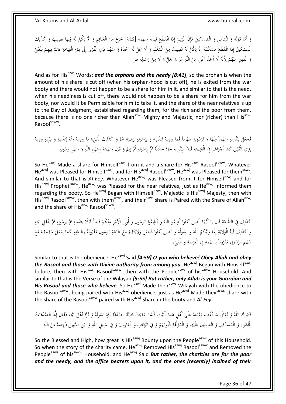وَ أَمَّا قَوْلُهُ وَ الْيَتامى وَ الْمَساكِينِ فَإِنَّ الْيَتِيمَ إِذَا انْقَطَعَ قيمة سهمه [يُتْمُهُ] خَرَجَ مِنَ الْغَنَائِمِ وَ لَمَ يَكُنْ لَهُ فِيهَا نَصِيبٌ وَ كَذَلِكَ<br>ِ **ٔ** َ  $\ddot{ }$ َ َ ت  $\zeta$ إ ا ِ ت ان<br>ا ِ .<br>أ  $\zeta$ َ ِ َ َ َ ِ .<br>.<br>. ب<br>: ي **أ** َ ِ .<br>. ن َ َ ٍ<br>∧ **∶** الْمِسْكِينُ إِذَا انْقَطَعَ مَسْكَنتُهُ لَمْ يَكُنْ لَهُ نَصِيبٌ مِنَ الْمَغْنَمِ وَ لَا يَحِلُّ لَهُ أَحْذُهُ وَ سَهْمُ ذِي الْقُرْبَى إِلَى يَوْمِ الْقِيَامَةِ قَائِمٌ فِيهِمْ لِلْغَنِيِّ ْ ٔ<br>ا َ ْ َ .<br>. ن ُفْ<br>أ َ <u>َ</u>: **∕** َ ن .<br>.<br>. َ ي **أ** ت : ْ  $\zeta$ ا<br>ا .<br>. ِ<br>ل ل ْ ي ِ ِ َ ٍ<br>ق  $\overline{\phantom{a}}$ ้<br>∶ิ์ ي ِ<br>م **ٍ** ْ ب<br>ا ِ إ َ وَ الْفَقِيرِ مِنْهُمْ لِأَنَّهُ لَا أَحَدٌ أَغْنَى مِنَ اللَّهِ عَزَّ وَ جَلَّ وَ لَا مِنْ رَسُولِهِ ص ِ َ .<br>-<br>-ِ َ َ َ َ ِ َ **∕** َ <sup>(</sup> ن **∕** ِ.<br>مُ َ

And as for His<sup>azwj</sup> Words: **and the orphans and the needy [8:41]**, so the orphan is when the amount of his share is cut off (when his orphan-hood is cut off), he is exited from the war booty and there would not happen to be a share for him in it, and similar to that is the need, when his neediness is cut off, there would not happen to be a share for him from the war booty, nor would it be Permissible for him to take it, and the share of the near relatives is up to the Day of Judgment, established regarding them, for the rich and the poor from them, because there is no one richer than Allah<sup>azwj</sup> Mighty and Majestic, nor (richer) than His<sup>azwj</sup> Rasoolsaww.

َ فَخَعَلَ لِنَفْسِهِ سَهْماً مِنْهَا وَ لِرَسُولِهِ سَهْماً فَمَا رَضِيَهُ لِنَفْسِهِ وَ لِرَسُولِهِ رَضِيَهُ لَهُمْ وَ كَذَلِكَ الْفَيْءُ مَا رَضِيَهُ مِنْهُ لِنَفْسِهِ وَ لِنَبِيِّهِ رَضِيَهُ ِ Į َ ِ ل َ ِ :<br>: ن ِ ل ا:<br>ا َ َ ْ  $\ddot{\phantom{0}}$ ِ l. َ <u>ِ</u> ل َ  $\Leftrightarrow$ ن ِ **ٰ**  $\ddot{\phantom{0}}$ ِ <u>َ</u> ن ِ ل َ **ٔ** ِ َ <sup>(</sup> ا<br>ا َ **ٔ** َ ِ ي ِ ب .<br>أ ن ِ ل َ ِ : ن ِ<br>ل ل ن ِ<br>ِم **ٔ** َ ا<br>. : ن ِ نِي الْقُرْبَى كَمَا أَجْرَاهُمْ فِي الْغَنِيمَةِ فَبَدَأَ بِنَفْسِهِ جَلَّ جَلَالُهُ ثُمَّ بِرَسُولِهِ ثُمَّ مِجمْ وَ قَرَنَ سَهْمَهُ بِسَهْمِ اللَّهِ وَ سَهْمِ رَسُولِهِ ٔ<br>ا .<br>: ب َ ا<br>ا ِ ن ُ<br>أ ْ َ ْ ا<br>ا َ ِ J ل ِ ِ<br>ل ً<br>ا ْ  $\ddot{\phantom{0}}$ َ ِ ْ  $\ddot{\phantom{0}}$ ب **ै** ْ  $\ddot{\phantom{0}}$ َ َ ْ ِ ِ ر<br>ا ِ<br>بہ َ ِ

So He<sup>azwj</sup> Made a share for Himself<sup>azwj</sup> from it and a share for His<sup>azwj</sup> Rasool<sup>saww</sup>. Whatever He<sup>azwj</sup> was Pleased for Himself<sup>azwj</sup>, and for His<sup>azwj</sup> Rasool<sup>saww</sup>, He<sup>azwj</sup> was Pleased for them<sup>asws</sup>. And similar to that is *Al-Fey*. Whatever He<sup>azwj</sup> was Pleased from it for Himself<sup>azwj</sup> and for His<sup>azwj</sup> Prophet<sup>saww</sup>, He<sup>azwj</sup> was Pleased for the near relatives, just as He<sup>azwj</sup> Informed them regarding the booty. So He<sup>azwj</sup> Began with Himself<sup>azwj</sup>, Majestic is His<sup>azwj</sup> Majesty, then with His<sup>azwj</sup> Rasool<sup>saww</sup>, then with themasws, and their<sup>asws</sup> share is Paired with the Share of Allah<sup>azwj</sup> and the share of His<sup>azwj</sup> Rasool<sup>saww</sup>.

كَذَلِكَ فِي الطَّاعَةِ قَالَ يا أَيُّهَا الَّذِينَ آمَنُوا أَطِيعُوا اللَّهَ وَ أَطِيعُوا الرَّسُولَ وَ أُولِي الْأَمْرِ مِنْكُمْ فَبَدَأَ قَبْلًا بِنَفْسِهِ ثُمَّ بِرَسُولِهِ ثُمَّ بِأَهْلِ بَيْتِهِ َ ; َ ∫<br>∟ ا<br>ا َ ∫<br>∙  $\triangleleft$ ن ِ ْ َ َ َ ن ِ<br>ٍ ِ ت .<br>: ي بہ<br>: å<br>. ِ ⊿<br>≀ ِ ر<br>ا ِ<br>بہ ِ َ ن ِ<br>با ْ ب َ ا<br>ا .<br>: ب َ با<br>∶ وَ كَذَلِكَ آيَةُ الْوَلَايَةِ إِنَّمَا وَلِيُّكُمُ اللَّهُ وَ رَسُولُهُ وَ الَّذِينَ آمَنُوا فَجَعَلَ وَلَايَتَهُمْ مَعَ طَاعَةِ الرَّسُولِ مَقْرُونَةً بِطَاعَتِهِ كَمَا جَعَلَ سَهْمَهُمْ مَعَ َ َ َ ن  $\overline{\phantom{a}}$ <u>َ</u>: ِ َ َ َ ي <u>ی</u> ل َ إ  $\ddot{\epsilon}$ يا<br>. ر<br>ر با<br>ا J َ  $\zeta$  $\overline{\phantom{a}}$ <sup>1</sup> ٍ<sup>م</sup> **€ ـ**  $\overline{\phantom{0}}$ َ  $\ddot{\phantom{0}}$ ِ ∫, ت َفْ ب <u>ة</u>  $\overline{\phantom{a}}$ ِ َ  $\zeta$  $\cdot$ ْ ت ْ سَهْمِ الرَّسُولِ مَقْرُوناً بِسَهْمِهِ فِي الْغَنِيمَةِ وَ الْفَيْءِ َ **a** َ ِ ن َ ِ ْ  $\ddot{\phantom{0}}$ ا<br>ا ْ  $\overline{a}$ ِ

Similar to that is the obedience. He<sup>azwj</sup> Said [4:59] O you who believe! Obey Allah and obey *the Rasool and those with Divine authority from among you*. He<sup>azwj</sup> Began with Himself<sup>azwj</sup> before, then with His<sup>azwj</sup> Rasool<sup>saww</sup>, then with the People<sup>asws</sup> of his<sup>saww</sup> Household. And similar to that is the Verse of the Wilayah *[5:55] But rather, only Allah is your Guardian and His Rasool and those who believe*. So He<sup>azwj</sup> Made their<sup>asws</sup> Wilayah with the obedience to the Rasool<sup>saww</sup>, being paired with His<sup>azwj</sup> obedience, just as He<sup>azwj</sup> Made their<sup>asws</sup> share with the share of the Rasool<sup>saww</sup> paired with His<sup>azwj</sup> Share in the booty and Al-Fey.

فَتَبَارَكَ اللَّهُ وَ تَعَالَى مَا أَعْظَمَ نِعْمَتَهُ عَلَى أَهْلِ هَذَا الْبَيْتِ فَلَمَّا جَاءَتْ قِصَّةُ الصَّدَقَةِ نَزَّهَ رَسُولَهُ وَ نَزَّهَ أَهْلَ بَيْتِهِ فَقَالَ إِمَّا الصَّدَقاتُ  $\ddot{a}$ ٔ<br>ا ِ َ َ **ٔ** ي ا<br>: ٔ<br>م å<br>. َ :<br>. ت ا<br>ا ْ ِ ن ا ا<br>ا َ َ َ .<br>أ ب ِّبْ ت ِ<br>ع ِ ت .<br>: ي ب<br>أ ٍ<sup>ّ</sup> َ َ َ **ہ** ا<br>ا إ لِلْفُقَراءِ وَ الْمَساكِينِ وَ الْعامِلِينَ عَلَيْها وَ الْمُؤَلَّفَةِ قُلُوبُهُمْ وَ فِي الرِّقابِ وَ الْغارِمِينَ وَ فِي سَبِيلِ اللَّهِ وَ ابْنِ السَّبِيلِ فَرِيضَةً مِنَ اللَّهِ ِ ∕. َ َ ِ į َ ِ ْ َ ِم<br>ٍ ِ ب  $\overline{a}$ َ ∕. َ َ ْ ة<br>تر َ **ٔ** َ ً َ ٍ<br>≀

So the Blessed and High, how great is His<sup>azwj</sup> Bounty upon the People<sup>asws</sup> of this Household. So when the story of the charity came, He<sup>azwj</sup> Removed His<sup>azwj</sup> Rasool<sup>saww</sup> and Removed the People<sup>asws</sup> of his<sup>saww</sup> Household, and He<sup>azwj</sup> Said *But rather, the charities are for the poor and the needy, and the office bearers upon it, and the ones (recently) inclined of their*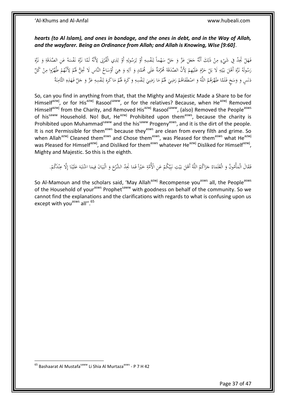#### *hearts (to Al Islam), and ones in bondage, and the ones in debt, and in the Way of Allah, and the wayfarer. Being an Ordinance from Allah; and Allah is Knowing, Wise [9:60]*.

ْ فَهَلْ تَجِدُ فِي شَيْءٍ مِنْ ذَلِكَ أَنَّهُ جَعَلَ عَزَّ وَ حَلَّ سَهْماً لِنَفْسِهِ أَوْ لِرَسُولِهِ أَوْ لِذِي الْقُرْبَى لِأَنَّهُ لَمَّا نَزَّهَ نَفْسَهُ عَنِ الصَّدَقَةِ وَ نَزَّهَ **ٔ** ِ <u>َ</u> ن  $\ddot{\phantom{a}}$ ْ  $\ddot{\phantom{0}}$ َ َ َ  $\overline{\phantom{0}}$ َ J ْ **∕** .<br>ء  $\ddot{\cdot}$ َ ٍ<br>ن ٍ<br>ا َ  $\ddot{\phantom{0}}$ **ہ** ِ ِ ل <u>ٔ</u> ِ ِ<br>پا .<br>ن ِ ل <u>ٔ</u>  $\ddot{\cdot}$ رَسُولَهُ نَزَّهَ أَهْلَ بَيْتِهِ لَا بَلْ حَرَّمَ عَلَيْهِمْ لِأَنَّ الصَّدَقَةَ مُحَرَّمَةٌ عَلَى مُحَمَّدٍ وَ آلِهِ وَ هِيَ أَوْسَاخُ النَّاسِ لَا تَحِلُّ لَهُمْ لِأَنَّهُمْ طُهِّرُوا مِنْ كُلِّ ِ َ ِ ِ َ **ٍ** َ  $\overline{\phantom{a}}$ .<br>أ  $\overline{\phantom{a}}$ ْ ْ َ َ َ **ٔ** َ ِ ِ ت <u>:</u> ي َ َ َ  $\ddot{\phantom{0}}$ .<br>-ِم ْ ْ َ دَنَسٍ وَ وَسَخٍ فَلَمَّا طَهَّرَهُمُ اللَّهُ وَ اصْطَفَاهُمْ رَضِيَ لَهُمْ مَا رَضِيَ لِنَفْسِهِ وَ كَرِهَ لَهُمْ مَا كَرِهَ لِنَفْسِهِ عَزَّ وَ حَلَّ فَهَذِهِ الثَّامِنَةُ  $\overline{\phantom{a}}$ ْ َ َ ِ .<br>ا ن ؚ<br>ٳ ل  $\ddot{\cdot}$ َ ا<br>ا ْ  $\ddot{\cdot}$ َ ْ َ َ َ .<br>أ َ َ .<br>ا ن َ .<br>. ن ِ<br>پر ِ ِ َ َ َ </sub><br>د ً <u>َ</u> ن ِ ل

So, can you find in anything from that, that the Mighty and Majestic Made a Share to be for Himself<sup>azwj</sup>, or for His<sup>azwj</sup> Rasool<sup>saww</sup>, or for the relatives? Because, when He<sup>azwj</sup> Removed Himself<sup>azwj</sup> from the Charity, and Removed His<sup>azwj</sup> Rasool<sup>saww</sup>, (also) Removed the People<sup>asws</sup> of his<sup>saww</sup> Household. No! But, He<sup>azwj</sup> Prohibited upon them<sup>asws</sup>, because the charity is Prohibited upon Muhammad<sup>saww</sup> and the his<sup>saww</sup> Progeny<sup>asws</sup>, and it is the dirt of the people. It is not Permissible for them<sup>asws</sup> because they<sup>asws</sup> are clean from every filth and grime. So when Allah<sup>azwj</sup> Cleaned them<sup>asws</sup> and Chose them<sup>asws</sup>, was Pleased for them<sup>asws</sup> what He<sup>azwj</sup> was Pleased for Himself<sup>azwj</sup>, and Disliked for them<sup>asws</sup> whatever He<sup>azwj</sup> Disliked for Himself<sup>azwj</sup>, Mighty and Majestic. So this is the eighth.

 $\overline{a}$ فَقَالَ الْمَأْمُونُ وَ الْعُلَمَاءُ جَزَاكُمُ اللَّهُ أَهْلَ بَيْتِ نَبِيِّكُمْ عَنِ الْأُمَّةِ حَيْراً فَمَا نَجِدْ الشَّرْحَ وَ الْبَيَانَ فِيمَا اشْتَبَهَ عَلَيْنَا إِلَّا عِنْدَكُمْ. َ َ ُمُ ب <u>بہ</u>  $\overline{a}$ ِ<br>فر َ ي ا<br>ا َ  $\zeta$  $\overline{a}$  $\overline{a}$ ا ْ ï َ ْ ي ِ ب ن<br>: **:** ي .<br>أ  $\overline{\phantom{0}}$ ا َ َ َ ْ ن  $\ddot{\phantom{0}}$ ن ْ َ َ

So Al-Mamoun and the scholars said, 'May Allah<sup>azwj</sup> Recompense you<sup>asws</sup> all, the People<sup>asws</sup> of the Household of your<sup>asws</sup> Prophet<sup>saww</sup> with goodness on behalf of the community. So we cannot find the explanations and the clarifications with regards to what is confusing upon us except with you<sup>asws</sup> all".<sup>65</sup>

<sup>1</sup> <sup>65</sup> Bashaarat Al Mustafa<sup>saww</sup> Li Shia Al Murtaza<sup>asws</sup> - P 7 H 42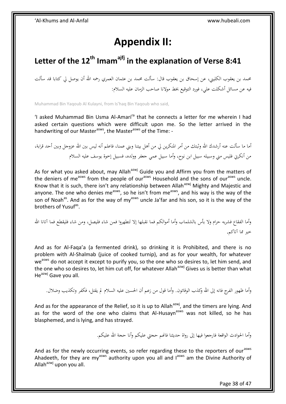# **Appendix II:**

# <span id="page-37-1"></span><span id="page-37-0"></span>**Letter of the 12th Imamajfj in the explanation of Verse 8:41**

ُممد ِبن ِيعقوب ِالكلي ي، ِعن ِإسحاق ِبن ِيعقوب ِقال: ِسألت ُِممد ِبن ِعثمان ِالعمري ِرْحه ِاهلل ِأن ِيوصل ِيل ِكتابا ِقد ِسألتِ فيهِ عنِ مسائلِ أشكلتِ عليي، فوردِ التوقيعِ بخط مولاناِ صاحبِ الزمانِ عليهِ السلامِ:

Muhammad Bin Yaqoub Al Kulayni, from Is'haq Bin Yaqoub who said,

'I asked Muhammad Bin Usma Al-Amari<sup>ra</sup> that he connects a letter for me wherein I had asked certain questions which were difficult upon me. So the letter arrived in the handwriting of our Master<sup>asws</sup>, the Master<sup>asws</sup> of the Time: -

أماِ ما سألت عنهِ أرشدكِ اللهِ وثبتكِ من أمرِ المنكرينِ لي من أهلِ بيتنا وبني عمنا، فاعلمِ أنه ليس بينِ اللهِ عزوجلِ وبينِ أحدِ قرابةٍ، منِ أنكريِي فليس مني وسبيلهِ سبيلِ ابنِ نوحٍ، وأما سبيلِ عمي جعفرِ وولده، فسبيلِ إخوةِ يوسفِ عليهِ السلامِ

As for what you asked about, may Allah<sup>azwj</sup> Guide you and Affirm you from the matters of the deniers of me<sup>asws</sup> from the people of our<sup>asws</sup> Household and the sons of our<sup>asws</sup> uncle. Know that it is such, there isn't any relationship between Allah<sup>azwj</sup> Mighty and Majestic and anyone. The one who denies me<sup>asws</sup>, so he isn't from me<sup>asws</sup>, and his way is the way of the son of Noah<sup>as</sup>. And as for the way of my<sup>asws</sup> uncle Ja'far and his son, so it is the way of the brothers of Yusuf<sup>as</sup>.

وأما الفقاعِ فشربه حرامِ ولا بأس بالشلمابِ وأما أموالكم فما نقبلها إِلا لتطهرواِ فمن شاءِ فليصلِ، ومن شاءِ فليقطعِ فما آتانا الله خريِمماِآتاكم.

And as for Al-Faqa'a (a fermented drink), so drinking it is Prohibited, and there is no problem with Al-Shalmab (juice of cooked turnip), and as for your wealth, for whatever we<sup>asws</sup> do not accept it except to purify you, so the one who so desires to, let him send, and the one who so desires to, let him cut off, for whatever Allah<sup>azwj</sup> Gives us is better than what He<sup>azwj</sup> Gave you all.

وأماِ ظهورِ الفرجِ فانهِ إلى اللهِ وكذبِ الوقاتونِ. وأما قولِ من زعمِ أن الحسينِ عليهِ السلامِ لم يقتلِ، فكفرِ وتكذيبِ وضلال.

And as for the appearance of the Relief, so it is up to Allah<sup>azwj</sup>, and the timers are lying. And as for the word of the one who claims that Al-Husayn<sup>asws</sup> was not killed, so he has blasphemed, and is lying, and has strayed.

وأما الحوادثِ الواقعةِ فارجعوا فيها إلى رواةِ حديثنا فانهم حجتي عليكم وأنا حجةِ اللهِ عليكم.

And as for the newly occurring events, so refer regarding these to the reporters of our<sup>asws</sup> Ahadeeth, for they are my<sup>asws</sup> authority upon you all and  $I^{asws}$  am the Divine Authority of Allah $a^{ax}$ upon you all.

Page 38 of 47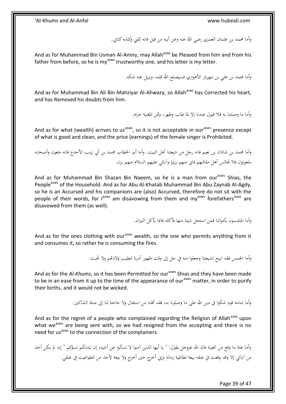وأما محمدِ بنِ عثمانِ العمريِ رضي اللهِ عنهِ وعنِ أبيهِ من قبلِ فانهِ ثقتي وكتابهِ كتابي.

And as for Muhammad Bin Usman Al-Amiry, may Allah<sup>azwj</sup> be Pleased from him and from his father from before, so he is my<sup>asws</sup> trustworthy one, and his letter is my letter.

وأما محمدِبنِ على بنِ مهزيارِ الأهوازيِ فسيصلحِ الله قلبه، ويزيلِ عنهِ شكه.

And as for Muhammad Bin Ali Bin Mahziyar Al-Ahwazy, so Allah<sup>azwj</sup> has Corrected his heart, and has Removed his doubts from him.

وأماِماِوصلتناِبهِفالِقبولِعندناِإَلِملاِطابِوطهرِ،وَثنِاملغنيةِحرام.

And as for what (wealth) arrives to us<sup>asws</sup>, so it is not acceptable in our<sup>asws</sup> presence except of what is good and clean, and the price (earnings) of the female singer is Prohibited.

وأما محمدِبنِ شاذانِ بنِ نعيمِ فانهِ رجلِ من شيعتنا أهلِ البيتِ. وأما أبوِ الخطابِ محمدِ بنِ أبي زينبِ الأجدعِ فانهِ ملعونِ وأصحابِهِ ملعونونِ فلا تِحالسِ أهلِ مقالتهِمِ فابنِ منهمِ برئِ وآبائيِ عليهمِ السلامِ منهمِ براءِ.

And as for Muhammad Bin Shazan Bin Naeem, so he is a man from our<sup>asws</sup> Shias, the People<sup>asws</sup> of the Household. And as for Abu Al-Khatab Muhammad Bin Abu Zaynab Al-Agdy, so he is an Accursed and his companions are (also) Accursed, therefore do not sit with the people of their words, for l<sup>asws</sup> am disavowing from them and my<sup>asws</sup> forefathers<sup>asws</sup> are disavowed from them (as well).

وأماِ المتلسِّمونِ بأموالناِ فمنِ استحلِ شيئاِ منهاِ فأكلهِ فانما بأكلِ النبران.

And as for the ones clothing with our<sup>asws</sup> wealth, so the one who permits anything from it and consumes it, so rather he is consuming the fires.

وأماِ الخمس فقدِ ابيحِ لشيعتنا وجعلواِ منهِ في حلِ إلى وقتِ ظهورِ أمرِنا لتطيبِ ولادتهم ولا تخبث.

And as for the *Al-Khums*, so it has been Permitted for our<sup>asws</sup> Shias and they have been made to be in an ease from it up to the time of the appearance of our<sup>asws</sup> matter, in order to purify their births, and it would not be wicked.

وأماِ ندامةِ قومِ شكواِ فِي دينِ اللهِ علىِ ما وصلونا بهِ، فقد أقلنا من استقالِ ولا حاجةِ لنا إلى صلةِ الشاكينِ.

And as for the regret of a people who complained regarding the Religion of Allah<sup>azwj</sup> upon what we<sup>asws</sup> are being sent with, so we had resigned from the accepting and there is no need for us<sup>asws</sup> to the connection of the complainers.

وأماِ علةِ ما وقعِ منِ الغيبةِ فانِ اللهِ عزوجلِ يقولِ: " يا أيها الذينِ آمنواِ لا تسألواِ عنِ أشياءِ إن تبدلكمِ تسؤكمِ " إنه لم يكن أحد منِ آبائيِ إِلا وقد وقعتِ في عنقهِ بيعةِ لطاغيةِ زمانهِ وإِنِي أخرجِ حينِ أخرجِ وِلا بيعةِ لأحدِ منِ الطواغيتِ في عنقي.

Page 39 of 47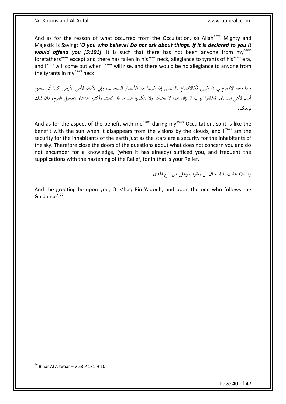And as for the reason of what occurred from the Occultation, so Allah<sup>azwj</sup> Mighty and Majestic is Saying: '*O you who believe! Do not ask about things, if it is declared to you it*  would offend you [5:101]. It is such that there has not been anyone from mv<sup>asws</sup> forefathers<sup>asws</sup> except and there has fallen in his<sup>asws</sup> neck, allegiance to tyrants of his<sup>asws</sup> era, and l<sup>asws</sup> will come out when l<sup>asws</sup> will rise, and there would be no allegiance to anyone from the tyrants in my<sup>asws</sup> neck.

وأما ِوجه ِاَلنتفاع ِيب ِِف ِغيبيت ِفكاَلنتفاع ِبالشمس ِإذا ِغيبها ِعن ِاْلبصار ِالسحاب، ِوإِّن ِْلمان ِْلهل ِاْلرض ِكما ِأن ِالنجومِ أمانِ لأهلِ السماءِ، فاغلقوا ابوابِ السؤالِ عماِ لا يعنيكمِ وِلا تتكلفواِ علمِ ما قد كفيتمِ وأكثروا الدعاءِ بتعجيلِ الفرجِ، فانِ ذلكِ فرجكم،

And as for the aspect of the benefit with me<sup>asws</sup> during my<sup>asws</sup> Occultation, so it is like the benefit with the sun when it disappears from the visions by the clouds, and lasws am the security for the inhabitants of the earth just as the stars are a security for the inhabitants of the sky. Therefore close the doors of the questions about what does not concern you and do not encumber for a knowledge, (when it has already) sufficed you, and frequent the supplications with the hastening of the Relief, for in that is your Relief.

والسلامِ عليكِ يا إسحاقِ بنِ يعقوبِ وعلىِ منِ اتبعِ الهدىِ.

And the greeting be upon you, O Is'haq Bin Yaqoub, and upon the one who follows the Guidance'.<sup>66</sup>

<sup>1</sup>  $<sup>66</sup>$  Bihar Al Anwaar – V 53 P 181 H 10</sup>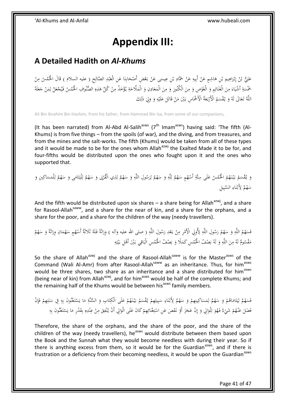# **Appendix III:**

### <span id="page-40-1"></span><span id="page-40-0"></span>**A Detailed Hadith on** *Al-Khums*

ِ عَلِيُّ بْنُ إِبْرَاهِيمَ بْنِ هَاشِمٍ عَنْ أَبِيهِ عَنْ حَمَّادِ بْنِ عِيسَى عَنْ بَعْضِ أَصْحَابِنَا عَنِ الْعَبْدِ الصَّالِحِ ( عليه السلام ) قَالَ الْحُمْسُ مِنْ<br>مَا يَسَمَّلْ الْمُنْسَمَةِ مِنْ أَبِيهِ عَنْ حَمَّادِ ِ ْ ب َ َ .<br>. ن ِ َ ْ ٔ. .<br>-<br>- $\ddot{\phantom{0}}$ **ٔ** ب ∫<br>∹ ِ ِ ْ م<br>ا **ٔ** ب ا ∫<br>∫ َ .<br>أ ِ إ ب ِ َ .<br>-<br>-ِ<br>ِم َ َ خَسْبَةِ أَشْيَاءَ مِنَ الْغَنَائِمِ وَ الْغَوْصِ وَ مِنَ الْكُنُوزِ وَ مِنَ الْمَعَادِنِ وَ الْمَلَّاحَةِ يُؤْخَذُ مِنْ كُلِّ هَذِهِ الصُّنُوفِ الْحُمُسُ فَيُجْعَلُ لِمَنْ جَعَلَهُ<br>مَسَةِ أَشْيَاءَ مِنَ الْغَنَائِمِ وَ ال  $\overline{\phantom{a}}$ َ ِ َ َ **∕** َ <u>ٔ</u> َ <u>ِ</u> .<br>. ن َ َ ِ </sub> **:** ;  $\overline{\phantom{a}}$ َ َ  $\overline{a}$ ِ ل ْ ي َ ِ ِ **م** <u>:</u> ِ َ  $\ddot{a}$ َ  $\overline{\phantom{a}}$ َ **∶** اللَّهُ تَعَالَى لَهُ وَ يُقْسَمُ الْأَرْبَعَةُ الْأَخْمَاسِ بَيْنَ مَنْ قَاتَلَ عَلَيْهِ وَ وَلِيَ ذَلِكَ ِ  $\zeta$ َ َ ِ **ٔ** َ َ َ ْ  $\overline{\phantom{a}}$ َ ا .<br>ا  $\ddot{\phantom{0}}$ َ َ

Ali Bin Ibrahim Bin Hashim, from his father, from Hammad Bin Isa, from some of our companions,

(It has been narrated) from Al-Abd Al-Salih<sup>asws</sup> ( $7<sup>th</sup>$  Imam<sup>asws</sup>) having said: 'The fifth (Al-Khums) is from five things – from the spoils (of war), and the diving, and from treasures, and from the mines and the salt-works. The fifth (Khums) would be taken from all of these types and it would be made to be for the ones whom Allah<sup>azwj</sup> the Exalted Made it to be for, and four-fifths would be distributed upon the ones who fought upon it and the ones who supported that.

َ وَ يُقْسَمُ بَيْنَهُمُ الْحُمُسُ عَلَى سِتَّةِ أَسْهُمٍ سَهْمٌ لِلَّهِ وَ سَهْمٌ لِرَسُولِ اللَّهِ وَ سَهْمٌ لِلنِيَ الْقُرْبَى وَ سَهْمٌ لِلْيَتَامَى وَ سَهْمٌ لِلْمَسَاكِينِ وَ ∫<br>∙ ِ ل ْ ٔ<br>ا َ ِ َ ِ ل ْ ٔ<br>ا َ ِ ل ل ْ  $\ddot{\phantom{0}}$ **ٔ**  $\ddot{\epsilon}$ ر<br>ا با<br>ا  $\ddot{\phantom{0}}$ َ َ  $\ddot{\phantom{0}}$ ِ ل ْ ٔ<br>ا َ <u>َ</u> ت .<br>: ِ ل ْ **ـ** َ سَهْمٌ لِأَبْنَاءِ السَّبِيلِ ِ ِ :<br>. ن .<br>أ ْ  $\overline{a}$ 

And the fifth would be distributed upon six shares – a share being for Allah<sup>azwj</sup>, and a share for Rasool-Allah<sup>saww</sup>, and a share for the near of kin, and a share for the orphans, and a share for the poor, and a share for the children of the way (needy travellers).

فَسَهْمُ اللَّهِ وَ سَهْمُ رَسُولِ اللَّهِ لِأُولِي الْأَمْرِ مِنْ بَعْدِ رَسُولِ اللَّهِ ( صلى الله عليه وآله ) وِرَاثَةً فَلَهُ ثَلَاثَةُ أَسْهُمٍ سَهْمَانِ وِرَاثَةً وَ سَهْمٌ َ ْ  $\ddot{\phantom{0}}$ َ ِ **ٰ**  $\ddot{\phantom{0}}$ َ  $\overline{a}$ ْ  $\ddot{\phantom{0}}$ **ٔ** َ  $\ddot{\phantom{0}}$ َ ِ َ ِ ْ ً **∕** ا<br>ا ِ  $\epsilon$ ٔ<br>ا َ ِ مَقْسُومٌ لَهُ مِنَ اللَّهِ وَ لَهُ نِصْفُ الْحُمُسِ كَمَلًا وَ نِصْفُ الْحُمُسِ الْبَاقِي بَيْنَ أَهْلِ بَيْتِهِ ِ ت .<br>-ي  $\ddot{\phantom{0}}$ ِ<br>وَ  $\ddot{\cdot}$ ِ ن َ **≀** ِ ن َ ِ َ ِ ا<br>ا

So the share of Allah<sup>azwj</sup> and the share of Rasool-Allah<sup>saww</sup> is for the Master<sup>asws</sup> of the Command (Wali Al-Amr) from after Rasool-Allah<sup>saww</sup> as an inheritance. Thus, for him<sup>asws</sup> would be three shares, two share as an inheritance and a share distributed for him<sup>asws</sup> (being near of kin) from Allah<sup>azwj</sup>, and for him<sup>asws</sup> would be half of the complete Khums; and the remaining half of the Khums would be between his<sup>asws</sup> family members.

ْ فَسَهْمٌ لِيَتَامَاهُمْ وَ سَهْمٌ لِمَسَاكِينِهِمْ وَ سَهْمٌ لِأَبْنَاءِ سَبِيلِهِمْ يُفْسَمُ بَيْنَهُمْ عَلَى الْكِتَابِ وَ السُّنَّةِ مَا يَسْتَغْنُونَ بِهِ فِي سَنَتِهِمْ فَإِنْ ِ ِ ب  $\ddot{\phantom{0}}$ ِ .<br>ا ن .<br>أ ْ  $\ddot{\phantom{0}}$ َ ْ ِ.  $\overline{a}$ ِ ل ْ  $\ddot{\phantom{0}}$ َ ْ ا<br>ا ٔ<br>ا ت ؘ ي ِ ل ْ  $\ddot{\phantom{0}}$ ِ ُ<br>أ ْ ِ ت Ï ن  $\ddot{\phantom{0}}$ ⊿<br>ٍ ِ ن .<br>. ً<br>أ ْ  $\overline{a}$ ِ َ ً. ت َ ْ **ٔ** َ  $\ddot{\phantom{0}}$ ْ فَضَلَ عَنْهُمْ شَيْءٌ فَهُوَ لِلْوَالِي وَ إِنْ عَجَزَ أَوْ نَقَصَ عَنِ اسْتِغْنَائِهِمْ كَانَ عَلَى الْوَالِي أَنْ يُنْفِقَ مِنْ عِنْدِهِ بِقَدْرٍ مَا يَسْتَغْنُونَ بِهِ ُ<br>گ َ ِ ب ِ ∫<br>∙ ن .<br>.<br>. ِ َ ِ ن َ َ ْ ِ<br>ئا :<br>. ن .<br>. ِ ت **ٔ** َ .<br>أ :<br>ن َ ِ إ َ ِّ Į ل َ <u>بُّ</u> **ٔ**  $\overline{\phantom{a}}$ ِ ِ<br>با ن .<br>.

Therefore, the share of the orphans, and the share of the poor, and the share of the children of the way (needy travellers), he<sup>asws</sup> would distribute between them based upon the Book and the Sunnah what they would become needless with during their year. So if there is anything excess from them, so it would be for the Guardian<sup>asws</sup>, and if there is frustration or a deficiency from their becoming needless, it would be upon the Guardian<sup>asws</sup>

Page 41 of 47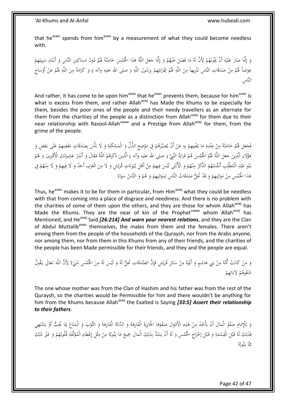that he<sup>asws</sup> spends from him<sup>asws</sup> by a measurement of what they could become needless with.

وَ إِنَّمَا صَارَ عَلَيْهِ أَنْ يَمُونَهُمْ لِأَنَّ لَهُ مَا فَضَلَ عَنْهُمْ وَ إِنَّمَا جَعَلَ اللَّهُ هَذَا الْحُمُسَ خَاصَّةً لَهُمْ دُونَ مَسَاكِينِ النَّاسِ وَ أَبْنَاءِ سَبِيلِهِمْ َ .<br>-۵<br>ا َ َ إ َ ْ َ ٍ<br>ٍ  $\overline{\phantom{a}}$ <sup>1</sup> ِ ْ َ َ  $\overline{\phantom{a}}$ إ َ ْ ِ ِ ب .<br>. ِ .<br>. ن .<br>. َ  $\ddot{\phantom{0}}$ ْ عِوَضاً لَهُمْ مِنْ صَدَقَاتِ النَّاسِ تَنْزِيهاً مِنَ اللَّهِ لَهُمْ لِقَرَابَتِهِمْ بِرَسُولِ اللَّهِ ( صلى الله عليه وآله ) وَ كَرَامَةً مِنَ اللَّهِ لَهُمْ عَنْ أَوْسَاخِ َ **ـ**  $\overline{\phantom{a}}$ ِ ْ ْ ِ :<br>ا ِ ا<br>ا َ َ ِ َ ِ<br>پ ب ْ ِ ت ِ َ <u>ِ</u> ل ْ ِ َ **∕** <u>ٔ</u> ن َ .<br>-<br>-النَّاس

And rather, it has come to be upon him<sup>asws</sup> that he<sup>asws</sup> prevents them, because for him<sup>asws</sup> is what is excess from them, and rather Allah<sup>azwj</sup> has Made the Khums to be especially for them, besides the poor ones of the people and their needy travellers as an alternate for them from the charities of the people as a distinction from Allah<sup>azwj</sup> for them due to their near relationship with Rasool-Allah<sup>saww</sup> and a Prestige from Allah<sup>azwj</sup> for them, from the grime of the people.

َ فَحَعَلَ لَهُمْ خَاصَّةً مِنْ عِنْدِهِ مَا يُغْنِيهِمْ بِهِ عَنْ أَنْ يُصَيِّرَهُمْ فِي مَوْضِعِ الذُّلِّ وَ الْمَسْكَنَةِ وَ لَا بَأْسَ بِصَدَقَاتِ بَعْضِهِمْ عَلَى بَعْضٍ وَ<br>. ï .<br>. ْ و<br>ر <u>ٔ</u>  $\overline{\phantom{a}}$ ْ َ  $\overline{\phantom{a}}$ ْ ً با ب ْ ي ِ ن ُفْ<br>أ ا<br>ا ِ ِ ن :<br>.<br>. **∕** َ َ َ َ .<br>ا  $\ddot{\phantom{0}}$ ب .<br>-َ َ ْ َ َ ْ ْ َ هَؤُلاءِ الَّذِينَ حَمَلَ اللَّهُ لَهُمُ الْحُمُسَ هُمْ قَرَابَةُ النَّبِيِّ ( صلى الله عليه وآله ) الَّذِينَ ذَكَرَهُمُ اللَّهُ فَقَالَ وَ أَنْذِرْ عَشِيرَتَكَ الْأَقْرَبِينَ وَ هُمْ<br>وَالِّهُ الْفَائِمِ الَّذِينَ حَمَلَ ا َ َ ِ با َ .<br>-َ َ َ ِ ِ ٔ<br>م ْ َ ر<br>ا  $\overline{\phantom{a}}$ ر<br>أ ِ َ .<br>م بَنُو عَبْدِ الْمُطَّلِبِ أَنْفُسُهُمْ الذَّكَرُ مِنْهُمْ وَ الْأُنْثَى لَيْسَ فِيهِمْ مِنْ أَهْلِ بُيُوتَاتِ قُرَيْشٍ وَ لَا مِنَ الْعَرَبِ أَحَدٌ وَ لَا فِيهِمْ وَ لَا مِنْهُمْ فِي <sup>t</sup> ِ ِ **ٔ** ب ِ<br>گ ر<br>نه َ َ ْ ي ِ<br>ف َ َ َ <u>َ</u>: **∕** َ ْ ي َ َ ي å. ْ **∕** ْ ي ِ  $\overline{\phantom{0}}$ ث ْ َ <sup>t</sup> ْ ِ هَذَا الْخُمُسِ مِنْ مَوَالِيهِمْ وَ قَدْ تَحِلُّ صَدَقَاتُ النَّاسِ لِمَوَالِيهِمْ وَ هُمْ وَ النَّاسُ سَوَاءٌ َ  $\ddot{\phantom{0}}$ َ <sup>t</sup> َ ْ ي ِ َ َ ِ َ ٔ<br>ا  $\ddot{\phantom{0}}$ َ <sup>t</sup> ي ِ َ  $\overline{\phantom{a}}$ ْ **∕** ٔ<br>م

Thus, he<sup>asws</sup> makes it to be for them in particular, from Him<sup>azwj</sup> what they could be needless with that from coming into a place of disgrace and neediness. And there is no problem with the charities of some of them upon the others, and they are those for whom Allah<sup>azwj</sup> has Made the Khums. They are the near of kin of the Prophet<sup>saww</sup> whom Allah<sup>azwj</sup> has Mentioned, and He<sup>azwj</sup> Said *[26:214] And warn your nearest relations*, and they are the Clan of Abdul Muttalib<sup>asws</sup> themselves, the males from them and the females. There aren't among them from the people of the households of the Quraysh, nor from the Arabs anyone, nor among them, nor from them in this Khums from any of their friends, and the charities of the people has been Made permissible for their friends, and they and the people are equal.

وَ مَنْ كَانَتْ أُمُّهُ مِنْ بَنِي هَاشِمٍ وَ أَبُوهُ مِنْ سَائِرِ قُرَيْشٍ فَإِنَّ الصَّدَقَاتِ تَحِلُّ لَهُ وَ لَيْسَ لَهُ مِنَ الْخُمُسِ شَيْءٌ لِأَنَّ اللَّهَ تَعَالَى يَقُولُ .<br>-َ َ .<br>-ِ ة<br>أ ْ ي َ ٔ<br>ا ِ َ ا<br>ا ؘ<br>֞ ب ْ ِ ْ ا<br>ا َ **ٔ** َ یہ<br>ا َ َ ْ ادْعُوهُمْ لِآبائِهِمْ ِ<br>ئا <sup>(</sup>

The one whose mother was from the Clan of Hashim and his father was from the rest of the Quraysh, so the charities would be Permissible for him and there wouldn't be anything for him from the Khums because Allah<sup>azwj</sup> the Exalted is Saying *[33:5] Assert their relationship to their fathers*.

.<br>م وَ لِلْإِمَامِ صَفْوُ الْمَالِ أَنْ يَأْخُذَ مِنْ هَذِهِ الْأَمْوَالِ صَفْوَهَا الْحَارِيَةَ الْفَارِهَةَ وَ الدَّابَّةَ الْفَارِهَةَ وَ النَّاوَّبَ وَ الْمَتَاعَ بِمَا يُحِبُّ أَوْ يَشْتَهِي ة<br>أ َ ۵<br>ا .<br>م <u>َّ</u> پا<br>` َ ۵<br>ا َ  $\overline{\phantom{a}}$ وا<br>ر ا<br>ا ِ ِ ا<br>ا ْ ِ َ َ  $\overline{\phantom{a}}$  $\overline{\phantom{a}}$ ِ ل َ ي ْ ُ<br>ا ِ َ <u>َ</u> ت  $\overline{a}$ َ َ ۵<br>ا فَذَلِكَ لَهُ قَبْلَ الْقِسْمَةِ وَ قَبْلَ إِخْرَاجِ الْحُمُسِ وَ لَهُ أَنْ يَسُدَّ بِذَلِكَ الْمَالِ جَمِيعَ مَا يَنُوبُهُ مِنْ مِثْلِ إِعْطَاءِ الْمُؤَلَّفَةِ قُلُوبُهُمْ وَ غَيْرِ ذَلِكَ َ ْ إ  $\overline{\phantom{0}}$ ب َ َ ِ  $\overline{\phantom{a}}$ ْ .<br>د َ ب َ ِ ِ ْ َ ْ **a** ة<br>أ ِ <u>:</u> ث **∕** .<br>.<br>. **∕** ن با<br>ا ا<br>ا  $\zeta$  $\overline{a}$ ِ ِ َ ِ مِّمَّا يَنُوبُهُ ر<br>نو با<br>ا ِ

Page 42 of 47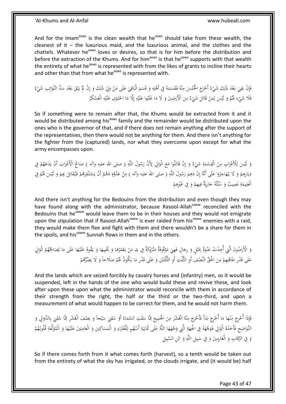And for the Imam<sup>asws</sup> is the clean wealth that he<sup>asws</sup> should take from these wealth, the cleanest of it – the luxurious maid, and the luxurious animal, and the clothes and the chattels. Whatever he<sup>asws</sup> loves or desires, so that is for him before the distribution and before the extraction of the Khums. And for him<sup>asws</sup> is that he<sup>asws</sup> supports with that wealth the entirety of what he<sup>asws</sup> is represented with from the likes of grants to incline their hearts and other than that from what he $^{asws}$  is represented with.

ْ فَإِنْ بَقِيَ بَعْدَ ذَلِكَ شَيْءٌ أَحْرَجَ الْخُمُسَ مِنْهُ فَقَسَمَهُ فِي أَهْلِهِ وَ قَسَمَ الْبَاقِيَ عَلَى مَنْ وَلِيَ ذَلِكَ وَ إِنْ لَمْ يَبْقَ بَعْدَ سَدِّ النَّوَائِبِ شَيْءٌ ∫<br>∟ ْ ً  $\ddot{\phantom{0}}$ ِ ا<br>ا ِ ِ<br>أ ِ .<br>ا ا  $\ddot{\phantom{0}}$ َ ِ ِ **مُ**  $\overline{\phantom{a}}$  $\ddot{\phantom{0}}$ ن ِ **َ**  $\zeta$ ْ **ٔ** ِ َ **ـ** ْ َ ب ب<br>: **أ** ِ إ َ ِ  $\zeta$ َ .<br>-<br>- $\overline{\phantom{a}}$ َ َ **ـ** فَلَا شَيْءَ لَهُمْ وَ لَيْسَ لِمَنْ قَاتَلَ شَيْءٌ مِنَ الْأَرَضِينَ وَ لَا مَا غَلَبُوا عَلَيْهِ إِلَّا مَا احْتَوَى عَلَيْهِ الْعَسْكُرُ ْ َ ن<br>أ ْ  $\overline{\phantom{a}}$ <u>ِ</u> ل .<br>-َ ْ </sub> ْ ⊿<br>≀ ْ </sub><br>د ْ  $\overline{a}$ إ ِ ْ َ ا<br>ا َ َ َ **∕** 

So if something were to remain after that, the Khums would be extracted from it and it would be distributed among his<sup>asws</sup> family and the remainder would be distributed upon the ones who is the governor of that, and if there does not remain anything after the support of the representatives, then there would not be anything for them. And there isn't anything for the fighter from the (captured) lands, nor what they overcome upon except for what the army encompasses upon.

ْ وَ لَيْسَ لِلْأَعْرَابِ مِنَ الْقِسْمَةِ شَيْءٌ وَ إِنْ قَاتَلُوا مَعَ الْوَالِي لِأَنَّ رَسُولَ اللَّهِ ( صلى الله عليه وآله ) صَالَحَ الْأَعْرَابَ أَنْ يَدَعَهُمْ فِي **a** .<br>. ا<br>ا .<br>مُ َ ِ ا َ ْ ِ ل  $\overline{\phantom{0}}$ َ  $\overline{\phantom{a}}$ َ َ ِ إ َ ْ َ ِ<br>با ا َ ْ  $\tilde{\zeta}$  $\overline{\phantom{a}}$ ⊿ َ َ  $\zeta$ ِ<br>ب دِيَارِهِمْ وَ لَا يُهَاجِرُوا عَلَى أَنَّهُ إِنْ دَهِمَ رَسُولَ اللَّهِ ( صلى الله عليه وآله ) مِنْ عَدُوِّهِ دَهْمٌ أَنْ يَسْتَنْفِرَهُمْ فَيُقَاتِلَ بِمِمْ وَ لَيْسَ لَهُمْ فِي<br>. ِ ْ ِ ِ َ ا ِ ِ إ َ  $\triangleleft$ ْ ِ ُيا<br>ـ ي ِ ٍ<sup>ا</sup> ِ .<br>م ْ َ ∫<br>∫ ن <u>ً</u> ْ <u>َ</u> َ ْ ْ الْغَنِيمَةِ نَصِيبٌ وَ سُنَّتُهُ حَارِيَةٌ فِيهِمْ وَ فِي غَيْرِهِمْ ِ ْ َ ْ ي ِ با َ َ َ ن ; ا<br>ا ِ ن َ

And there isn't anything for the Bedouins from the distribution and even though they may have found along with the administrator, because Rasool-Allah<sup>saww</sup> reconciled with the Bedouins that he<sup>saww</sup> would leave them to be in their houses and they would not emigrate upon the stipulation that if Rasool-Allah<sup>saww</sup> is ever raided from his<sup>saww</sup> enemies with a raid, they would make them flee and fight with them and there wouldn't be a share for them in the spoils, and his<sup>saww</sup> Sunnah flows in them and in the others.

ْ وَ الْأَرَضُونَ الَّتِي أُخِذَتْ عَنْوَةً بِخَيْلٍ وَ رِجَالٍ فَهِيَ مَوْقُوفَةٌ مَتْرُوكَةٌ فِي يَدِ مَنْ يَعْمُرُهَا وَ يُخْيِيهَا وَ يَقُومُ عَلَيْهَا عَلَى مَا يُصَالِحُهُمُ الْوَالِي َ َ ْ َ ْ ا<br>ا ∫<br>∙ ِ<br>با <u>ٔ</u> ا<br>ا  $\ddot{\cdot}$ َ َ َ **ٔ** ي ؘؚ َ َ َ  $\overline{\phantom{a}}$ َ َ ْ َ با<br>ا َ َ ¦ َ  $\overline{a}$ و<br>يو  $\overline{\phantom{a}}$ عَلَى قَدْرِ طَاقَتِهِمْ مِنَ الْحَقِّ النِّصْفِ أَوِ الثُّلُثِ أَوِ الثُّلُثَيْنِ وَ عَلَى قَدْرِ مَا يَكُونُ لَهُمْ صَلَاحاً وَ لَا يَضُرُّهُمْ  $\overline{\phantom{a}}$ ب<br>ا ا<br>ا َ َ ئة<br>أ َ ِ ْ ِ ت ن:<br>أ َ ْ َ

And the lands which are seized forcibly by cavalry horses and (infantry) men, so it would be suspended, left in the hands of the one who would build these and revive these, and look after upon these upon what the administrator would reconcile with them in accordance of their strength from the right, the half or the third or the two-third, and upon a measurement of what would happen to be correct for them, and he would not harm them.

 $\ddot{\phantom{0}}$ فَإِذَا أُخْرِجَ مِنْهَا مَا أُخْرِجَ بَدَأَ فَأَخْرَجَ مِنْهُ الْعُشْرَ مِنَ الْحَمِيعِ مِمَّا سَقَىتٍ السَّمَاءُ أَوْ سُقِيَ سَيْحاً وَ نِصْفَ الْعُشْرِ مِمَّا سُقِيَ بِالدَّوَالِي وَ ِ.  $\overline{\phantom{a}}$ نم<br>عم  $\ddot{\phantom{0}}$ ِ .<br>. َ **∕** َ ن ِ  $\zeta$ ْ ٍ<br>أ .<br>-با<br>ا ب  $\zeta$ ْ ا<br>ا  $\Leftrightarrow$ ِ  $\zeta$ **ٔ** ِ ا<br>أ ِ ِ<br>با ن َ ي  $\overline{a}$ َ َ ِ<br>با ب َ .<br>م ا َ النَّوَاضِحِ فَأَخَذَهُ الْوَالِي فَوَجَّهَهُ فِي الْجِهَةِ الَّتِي وَجَّهَهَا اللَّهُ عَلَى ثَمَانِيَةِ أَسْهُمٍ لِلْفُقَرَاءِ وَ الْمَسَاكِينِ وَ الْعَامِلِينَ عَلَيْهَا وَ الْمُؤَلَّفَةِ قُلُوبُهُمْ ِ **ٔ**  $\ddot{\text{a}}$ ا:<br>ا ي ٍ<br>پَ َ  $\epsilon$  $\triangleleft$ ٍ<br>ر  $\ddot{\text{a}}$  $\ddot{\phantom{0}}$  $\Leftrightarrow$ </sub> ِ، َ َ ا َ ْ ِ ة<br>أ َ َ ْ َ ا ِ َ َ  $\ddot{\phantom{0}}$ َ ِ وَ فِي الرِّقَابِ وَ الْغَارِمِينَ وَ فِي سَبِيلِ اللَّهِ وَ ابْنِ السَّبِيلِ َ َ قا<br>أ َ ِ ْ َ ِ ِ ب  $\ddot{\phantom{0}}$ َ **∕** 

So if there comes forth from it what comes forth (harvest), so a tenth would be taken out from the entirety of what the sky has irrigated, or the clouds irrigate, and (it would be) half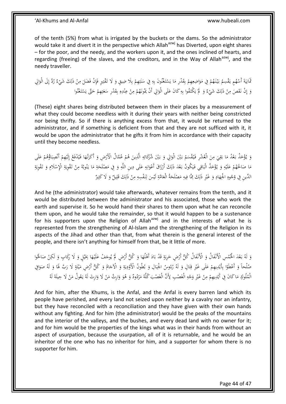of the tenth (5%) from what is irrigated by the buckets or the dams. So the administrator would take it and divert it in the perspective which Allah<sup>azwj</sup> has Diverted, upon eight shares – for the poor, and the needy, and the workers upon it, and the ones inclined of hearts, and regarding (freeing) of the slaves, and the creditors, and in the Way of Allah<sup>azwj</sup>, and the needy traveller.

غَانِيَةَ أَسْهُمٍ يَقْسِمُ بَيْنَهُمْ فِي مَوَاضِعِهِمْ بِقَدْرِ مَا يَسْتَغْنُونَ بِهِ فِي سَنَتِهِمْ بِلَا ضِيقٍ وَ لَا تَقْتِيرٍ فَإِنْ فَضَلَ مِنْ ذَلِكَ شَيْءٌ رُدَّ إِلَى الْوَال<br>-----------------------------------َ ِ ب ْ ِ ت :نا ن ٔ<br>ا ِ ِ<br>با ن .<br>. <u>َ</u> ا<br>ا  $\overline{\phantom{a}}$ ِ ب ْ **ٍ** ا َ  $\overline{\phantom{a}}$ ْ **ٔ** .<br>ا ُبا<br>ا **ٔ** <u>َ</u> َ ي  $\ddot{\cdot}$ ِ نې<br>أ ; ت .<br>أ **ٔ** ِ <u>:</u> ِ  $\overline{\phantom{0}}$ َ اٍ ْ وَ إِنْ نَقَصَ مِنْ ذَلِكَ شَيْءٌ وَ لَمْ يَكْتَفُوا بِهِ كَانَ عَلَى الْوَالِي أَنْ يَمُونَهُمْ مِنْ عِنْدِهِ بِقَدْرِ سَعَتِهِمْ حَتَّى يَسْتَغْنُوا ِ ْ ∕' ِ<br>مُ ِ إ َ ن .<br>ف ً<br>أ ْ َ ِ ت .<br>ا ٔ<br>أ ِ ب ِ ِ ن .<br>.<br>. ∕' ْ َ َ ِ ِ ٔ<br>ا ي <sup> $\overline{a}$ </sup> َ

(These) eight shares being distributed between them in their places by a measurement of what they could become needless with it during their years with neither being constricted nor being thrifty. So if there is anything excess from that, it would be returned to the administrator, and if something is deficient from that and they are not sufficed with it, it would be upon the administrator that he gifts it from him in accordance with their capacity until they become needless.

وَ يُؤْخَذُ بَعْدُ مَا بَقِيَ مِنَ الْعُشْرِ فَيُقْسَمُ بَيْنَ الْوَالِي وَ بَيْنَ شُرَكَائِهِ الَّذِينَ هُمْ عُمَّالُ الْأَرْضِ وَ أَكَرَتُهَا فَيُدْفَعُ إِلَيْهِمْ أَنْصِبَاؤُهُمْ عَلَى َ و<br>د َ  $\ddot{\phantom{0}}$ َ :<br>-**∕**  $\ddot{\phantom{0}}$ ِ َ  $\overline{\phantom{a}}$ ْ ً َ َ َ ْ  $\ddot{\cdot}$ ْ ْ ْ ٍ<br>≀ٍ إ ي َ َ َ َ <u>ٔ</u> ْ َ ∫<br>∙ ِ ِ<br>ئا  $\overline{a}$ مَا صَالحَهُمْ عَلَيْهِ وَ يُؤْخَذُ الْبَاقِي فَيَكُونُ بَعْدَ ذَلِكَ أَرْزَاقَ أَعْوَانِهِ عَلَى دِينِ اللَّهِ وَ فِي مَصْلَحَةِ مَا يَنُوبُهُ مِنْ تَقْوِيَةِ الْإِسْلَامِ وَ تَقْوِيَةِ َ ِ **∶** َ ِ ِ<br>نا َ ا َ .<br>. ِ ْ َ ي َ ِ<br>في .<br>أ َ َ ِ **:** َ ْ َ  $\overline{\phantom{a}}$ ا<br>ا یا<br>ا .<br>م ∕' ن با<br>ا  $\overline{a}$ ة<br>م َ .<br>م **ٔ** ï َ الدِّينِ فِي وُجُوهِ الْجِهَادِ وَ غَيْرِ ذَلِكَ مِمَّا فِيهِ مَصْلَحَةُ الْعَامَّةِ لَيْسَ لِنَفْسِهِ مِنْ ذَلِكَ قَلِيلٌ وَ لَا كَثِيرٌ ِ قم<br>أ ِ .<br>-<br>-ِ ِ .<br>ا ل .<br>- $\ddot{\text{a}}$ َ َ ِ ِ **ٍ** ∫<br>∟ ْ َ **∶**  $\ddot{\phantom{0}}$ ِ ِ<br>بُ

And he (the administrator) would take afterwards, whatever remains from the tenth, and it would be distributed between the administrator and his associated, those who work the earth and supervise it. So he would hand their shares to them upon what he can reconcile them upon, and he would take the remainder, so that it would happen to be a sustenance for his supporters upon the Religion of Allah $a$ <sup>2wj</sup> and in the interests of what he is represented from the strengthening of Al-Islam and the strengthening of the Religion in its aspects of the Jihad and other than that, from what therein is the general interest of the people, and there isn't anything for himself from that, be it little of more.

وَ لَهُ بَعْدَ الْخُمْسِ الْأَنْفَالُ وَ الْأَنْفَالُ كُلُّ أَرْضٍ خَرِبَةٍ قَدْ بَادَ أَهْلُهَا وَ كُلُّ أَرْضٍ لَمْ يُوجَفْ عَلَيْهَا بِخَيْلٍ وَ لَا رَكَابٍ وَ لَكِنْ صَالْحُوا و<br>يو **أ** <u>ٔ</u> َ  $\triangleleft$ **ٔ** َ ا ; با<br>أ َ .<br>. .<br>م َ .<br>م **ـ** ْ َ َ َ ْ ي ؚ َ **ٔ** َ  $\overline{a}$ َ صُلْحاً وَ أَعْطَوْا بِأَيْدِيهِمْ عَلَى غَيْرِ قِتَالٍ وَ لَهُ رُءُوسُ الجُبَالِ وَ بُطُونُ الْأَوْدِيَةِ وَ الْأَجَامُ وَ كُلُّ أَرْضٍ مَيْتَةٍ لَا رَبَّ لَهَا وَ لَهُ صَوَافِي<br>مَمَّدُ الْمَسْلَمَةُ الْمَسْلَمَةِ الْمَس َ َ َ ِ ُيا<br>-ي ِ ْ أ و<br>ب َ  $\ddot{\cdot}$ ب َ <u>ً</u> ت ِ ∫<br>J ْ َ ْ ي ِ ْ ِ <u>ٔ</u> َ  $\ddot{\phantom{0}}$ َ ا َ <u>ۃ</u> ً<br>أ ت .<br>: ي  $\overline{a}$ ر<br>أ ْ الْمُلُوكِ مَاكَانَ فِي أَيْدِيهِمْ مِنْ غَيْرِ وَجْهِ الْغَصْبِ لِأَنَّ الْغَصْبَ كُلَّهُ مَرْدُودٌ وَ هُوَ وَارِثُ مَنْ لَا وَارِثَ لَهُ يَعُولُ مَنْ لَا حِيلَةَ لَهُ َ ْ ْ ِ <sup>t</sup> ي ِ ْ  $\overline{\phantom{a}}$ ة<br>. .<br>.<br>.  $\overline{\phantom{a}}$ ب<br>: َ ْ  $\overline{\phantom{a}}$ َ ر<br>ر َ <u>ّ</u>  $\overline{\phantom{a}}$ َ ِ

And for him, after the Khums, is the Anfal, and the Anfal is every barren land which its people have perished, and every land not seized upon neither by a cavalry nor an infantry, but they have reconciled with a reconciliation and they have given with their own hands without any fighting. And for him (the administrator) would be the peaks of the mountains and the interior of the valleys, and the bushes, and every dead land with no owner for it; and for him would be the properties of the kings what was in their hands from without an aspect of usurpation, because the usurpation, all of it is returnable, and he would be an inheritor of the one who has no inheritor for him, and a supporter for whom there is no supporter for him.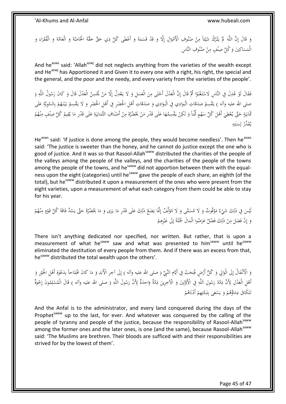وَ قَالَ إِنَّ اللَّهَ لَمْ يَتْرُكْ شَيْئاً مِنْ صُنُوفِ الْأَمْوَالِ إِلَّا وَ قَدْ قَسَمَهُ وَ أَعْطَى كُلَّ ذِي حَقٍّ حَقَّهُ الْخَاصَّةَ وَ الْعَامَّةَ وَ الْفُقَرَاءَ وَ<br>ِ َ َ **∶** َ **ै**  $\ddot{\phantom{0}}$ َ إ ر<br>ر ا<br>ا ن **∕** .<br>: با<br>∶ <sup> $\overline{ }$ </sup> َ ِ .<br>أ َ </sub> ر<br>ا َ َ َ ن<br>ا َ الْمَسَاكِينَ وَ كُلَّ صِنْفٍ مِنْ صُنُوفِ النَّاسِ ن **∕** :<br>. َ  $\ddot{\phantom{0}}$ 

And he<sup>asws</sup> said: 'Allah<sup>azwj</sup> did not neglects anything from the varieties of the wealth except and He<sup>azwj</sup> has Apportioned it and Given it to every one with a right, his right, the special and the general, and the poor and the needy, and every variety from the varieties of the people'.

.<br>-<br>-فَقَالَ لَوْ عُدِلَ فِي النَّاسِ لَاسْتَغْنَوْا ثُمَّ قَالَ إِنَّ الْعَدْلَ أَحْلَى مِنَ الْعَسَلِ وَ لَا يَعْدِلُ إِلَّا مَنْ يُحْسِنُ الْعَدْلَ قَالَ وَ كَانَ رَسُولُ اللَّهِ ( ا<br>ا ِ ْ با<br>أ َ  $\ddot{\phantom{0}}$ َ ∕. ْ ِ َ <u>ٔ</u> .<br>. ٔ<br>ا ِ <u>ٔ</u> ِ<br>م ر<br>ا َ َ <u>ہ</u> صلى الله عليه وآله ) يَقْسِمُ صَدَقَاتِ الْبَوَادِي فِي الْبَوَادِي وَ صَدَقَاتِ أَهْلِ الْحَضَرِ فِي أَهْلِ الْحَضَرِ وَ لَا يَقْسِمُ بَيْنَهُمْ بِالسَّوِيَّةِ عَلَى<br>. َ **م ٔ** َ .<br>- $\overline{\phantom{a}}$ **∶** َ  $\ddot{\cdot}$ **∶** َ  $\ddot{\phantom{0}}$ ق<br>ف ٔ<br>ا  $\ddot{\phantom{0}}$ ؘ<br>֚ ; ِ ْ بہ<br>ا ب<br>: َ فَّانِيَةٍ حَتَّى يُعْطِيَ أَهْلَ كُلِّ سَهْمٍ ثُمْنًا وَ لَكِنْ يَقْسِمُهَا عَلَى قَدْرِ مَنْ يَحْضُرُهُ مِنْ أَصْنَافِ الثَّمَانِيَةِ عَلَى قَدْرِ مَا يُقِيمُ كُلَّ صِنْفٍ مِنْهُمْ  $\ddot{\phantom{0}}$ ٔ. َ ْ  $\ddot{\phantom{0}}$  $\zeta$  $\ddot{\cdot}$ َ *<u>2</u>* با<br>ا ي ِ ْ ِ **:** .<br>د  $\overline{a}$ َ  $\ddot{a}$ **ٔ** ي ؚ<br>ڹ  $\overline{a}$ .<br>. ن ْ .<br>.<br>. ٍ<br>ृ .<br>-<br>-ا<br>ا ِ يُقَدِّرُ لِسَنَتِهِ<br>ـ ِ ت : ن  $\overline{a}$ ِ ل .<br>أ

He<sup>asws</sup> said: 'If justice is done among the people, they would become needless'. Then he<sup>asws</sup> said: 'The justice is sweeter than the honey, and he cannot do justice except the one who is good of justice. And it was so that Rasool-Allah<sup>saww</sup> distributed the charities of the people of the valleys among the people of the valleys, and the charities of the people of the towns among the people of the towns, and he<sup>saww</sup> did not apportion between them with the equalness upon the eight (categories) until he<sup>saww</sup> gave the people of each share, an eighth (of the total), but he<sup>saww</sup> distributed it upon a measurement of the ones who were present from the eight varieties, upon a measurement of what each category from them could be able to stay for his year.

```
ْ
َيْسَ فِي ذَلِكَ شَيْءٌ مَوْقُوتٌ وَ لَا مُسَمَّى وَ لَا مُؤَلَّفٌ إِنَّمَا يَضَعُ ذَلِكَ عَلَى قَدْرِ مَا يَزى وَ مَا يَحْضُرُهُ حَتَّى يَسُدَّ فَاقَةَ كُلِّ قَوْمٍ مِنْهُمْ<br>.
                                                                                                                                                                                                                                                          ِ
                                                                                                                                                                                                                                                                        َ
                                                          َ
                                                                                 \overline{\phantom{a}}َ
                                                                                                 بہ<br>ا
                                                                                                       \overline{\phantom{a}}َ
                                                                                                                                      ِ
                                                                                                                                                                       لَّ
                                                                                                                                                                        ٔ<br>ز
                                                                                                                                                                                      َ
                                                                                                                                                                                                  \ddot{\phantom{0}}َ
                                                                                                                                                                                                                                 <u>ٔ</u>
                                                                                                                                                                                                                                   ا<br>ا
ْ
        ِ
             ٍ
               <u>ٔ</u>
                                     َ
                                                                                                                                                           ْ
                                                                                                                                                          وَ إِنْ فَضَلَ مِنْ ذَلِكَ فَضْلٌ عَرَضُوا الْمَالَ جُمْلَةً إِلَى غَيْرِهِمْ
                                                                                                                                                              ِ
                                                                                                                                                                  ْ
                                                                                                                                                                             ِ
                                                                                                                                                                             إ
                                                                                                                                                                                 <u>:</u>
                                                                                                                                                                                                  \overline{\phantom{a}}َ
                                                                                                                                                                                                                   َ
                                                                                                                                                                                                                                          ِ
                                                                                                                                                                                                                                                  ْ
                                                                                                                                                                                                                                                     ∕
                                                                                                                                                                                                                                                         \zetaِ
                                                                                                                                                                                                                                                                          إ
                                                                                                                                                                                                                                                                              َ
```
There isn't anything dedicated nor specified, nor written. But rather, that is upon a measurement of what he<sup>saww</sup> saw and what was presented to him<sup>saww</sup> until he<sup>saww</sup> eliminated the destitution of every people from them. And if there was an excess from that, he<sup>saww</sup> distributed the total wealth upon the others'.

وَ الْأَنْفَالُ إِلَى الْوَالِي وَ كُلُّ أَرْضٍ فُتِحَتْ فِي أَيَّامِ النَّبِيِّ ( صلى الله عليه وآله ) إِلَى آخِرِ الْأَبَدِ وَ مَا كَانَ افْتِتَاحاً بِدَعْوَةِ أَهْلِ الْحَوْرِ وَ ت .<br>ا َ وا<br>ر  $\int$ .<br>أ َ َ ْ َ å.  $\frac{1}{c}$ َ ً. ت ِ  $\overline{\phantom{a}}$ َ ِ ا ِ أَهْلِ الْعَدْلِ لِأَنَّ ذِمَّةَ رَسُولِ اللَّهِ فِي الْأَوَّلِينَ وَ الْآخِرِينَ ذِمَّةٌ وَاحِدَةٌ لِأَنَّ رَسُولَ اللَّهِ ( صلى الله عليه وآله ) قَالَ الْمُسْلِمُونَ إِخْوَةٌ ِ َ  $\overline{\phantom{a}}$ َ **∶** َ َ ِ ِ َ **∶** ر<br>أ ِ **ٔ** ْ <sup>t</sup> نَتَكَافَ دِمَاؤُهُمْ وَ يَسْعَى بِذِمَّتِهِمْ أَدْنَاهُمْ َ ن ٔ.<br>. <sup>(</sup> ِ ِ ا<br>ا ي َ <sup>t</sup> ا<br>ا **∶** : ت ِّ

And the Anfal is to the administrator, and every land conquered during the days of the Prophet<sup>saww</sup> up to the last, for ever. And whatever was conquered by the calling of the people of tyranny and people of the justice, because the responsibility of Rasool-Allah<sup>saww</sup> among the former ones and the later ones, is one (and the same), because Rasool-Allah<sup>saww</sup> said: 'The Muslims are brethren. Their bloods are sufficed with and their responsibilities are strived for by the lowest of them'.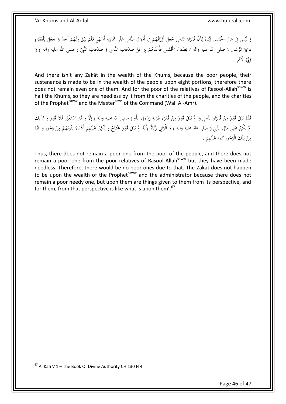$\ddot{a}$ وَ لَيْسَ فِي مَالِ الْخُمُسِ زَكَاةٌ لِأَنَّ فُقَرَاءَ النَّاسِ جُعِلَ أَرْزَاقْهُمْ فِي أَمْوَالِ النَّاسِ عَلَى ثَمَانِيَةِ أَسْهُمٍ فَلَمْ يَبْقَ مِنْهُمْ أَحَدٌ وَ حَعَلَ لِلْفُقَرَاءِ ا:<br>ا ي  $\ddot{\cdot}$ َ َ ْ ْ .<br>.<br>.  $\zeta$ ِ </sub> َ  $\overline{\phantom{a}}$ َ َ ِ ر<br>. ِ<br>ل ل ٍ<sup>ا</sup> َ َ ْ ِ  $\overline{a}$ ب َ <sup>t</sup> َ **ٔ** قَرَابَةِ الرَّسُولِ ( صلى الله عليه وآله ) نِصْفَ الْحُمُسِ فَأَغْنَاهُمْ بِهِ عَنْ صَدَقَاتِ النَّاسِ وَ صَدَقَاتِ النَّبِيِّ ( صلى الله عليه وآله ) وَ  $\ddot{\epsilon}$ با َ َ ٔ<br>ا  $\overline{a}$ َ .<br>ا  $\overline{\phantom{a}}$ ِ ِ<br>با ب ْ :<br>. َ ِ َ وَلِيٍّ الْأَمْرِ ا<br>ا رُ

And there isn't any Zakāt in the wealth of the Khums, because the poor people, their sustenance is made to be in the wealth of the people upon eight portions, therefore there does not remain even one of them. And for the poor of the relatives of Rasool-Allah<sup>saww</sup> is half the Khums, so they are needless by it from the charities of the people, and the charities of the Prophet<sup>saww</sup> and the Master<sup>asws</sup> of the Command (Wali Al-Amr).

فَلَمْ يَبْقَ فَقِيرٌ مِنْ فُقَرَاءِ النَّاسِ وَ لَمْ يَبْقَ فَقِيرٌ مِنْ فُقَرَاءِ قَرَابَةِ رَسُولِ اللَّهِ ( صلى الله عليه وآله ) إِلَّا وَ قَدِ اسْتَغْنَى فَلَا فَقِيرَ وَ لِذَلِكَ ِ َ  $\ddot{a}$ َ َ ِ را<br>. ْ **∕** .<br>د  $\overline{\phantom{0}}$ ب ب<br>أ  $\overline{\phantom{a}}$ َ ِ َ ْ **∕** ِ.<br>مُ  $\overline{\phantom{0}}$ ب ب<br>أ ْ َ ِ ل َ  $\overline{\phantom{a}}$ ِ. .<br>ئ <u>َ</u> ِ َ لَمَّ يَكُنْ عَلَى مَالِ النَّبِيِّ ( صلى الله عليه وآله ) وَ الْوَالِي زَكَاةٌ لِأَنَّهُ لَمَّ يَبْقَ فَقِيرٌ مُخْتَاجٌ وَ لَكِنْ عَلَيْهِمْ أَشْيَاءُ تَنُوبُهُمْ مِنْ وُجُوهٍ وَ لَهُمْ َ <u>َ</u> ِ َ ب ب<br>أ  $\overline{a}$ َ َ ا<br>ا َ ْ َ ي ا<br>ا ْ َ ٍ .<br>-ِم<br>ِ ْ ن ت ∶' ْ ْ َ .<br>.<br>. مِنْ تِلْكَ الْوُجُوهِ كَمَا عَلَيْهِمْ . ْ **ٔ** َ **ै** ِ  $\overline{\mathsf{l}}$ ŀ ت ْ **∕** 

Thus, there does not remain a poor one from the poor of the people, and there does not remain a poor one from the poor relatives of Rasool-Allah<sup>saww</sup> but they have been made needless. Therefore, there would be no poor ones due to that. The Zakāt does not happen to be upon the wealth of the Prophet<sup>saww</sup> and the administrator because there does not remain a poor needy one, but upon them are things given to them from its perspective, and for them, from that perspective is like what is upon them'. $67$ 

**<sup>67</sup>** Al Kafi V 1 – The Book Of Divine Authority CH 130 H 4